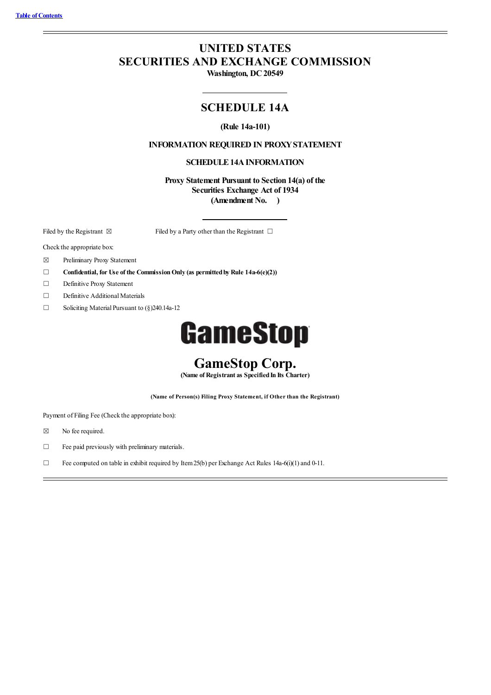# **UNITED STATES SECURITIES AND EXCHANGE COMMISSION**

**Washington, DC20549**

# **SCHEDULE 14A**

#### **(Rule 14a-101)**

### **INFORMATION REQUIRED IN PROXYSTATEMENT**

#### **SCHEDULE 14A INFORMATION**

**Proxy Statement Pursuant to Section 14(a) of the Securities Exchange Act of 1934 (Amendment No. )**

Filed by the Registrant  $\boxtimes$  Filed by a Party other than the Registrant  $\Box$ 

Check the appropriate box:

- ☒ Preliminary Proxy Statement
- ☐ **Confidential, for Use of the CommissionOnly (as permittedbyRule 14a-6(e)(2))**
- ☐ Definitive Proxy Statement
- □ Definitive Additional Materials
- $\Box$  Soliciting Material Pursuant to  $(\S)$  240.14a-12

# **GameStop**

# **GameStop Corp.**

**(Name of Registrant as SpecifiedIn Its Charter)**

**(Name of Person(s) Filing Proxy Statement, if Other than the Registrant)**

Payment of Filing Fee (Check the appropriate box):

- ☒ No fee required.
- $\Box$  Fee paid previously with preliminary materials.
- □ Fee computed on table in exhibit required by Item 25(b) per Exchange Act Rules 14a-6(i)(1) and 0-11.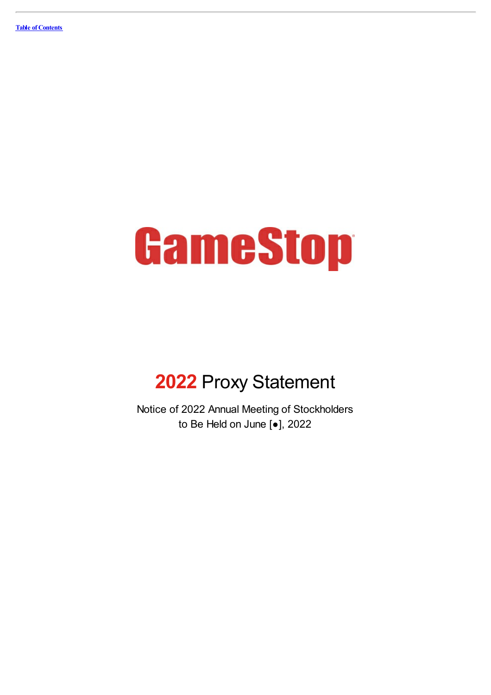

# **2022** Proxy Statement

Notice of 2022 Annual Meeting of Stockholders to Be Held on June [●], 2022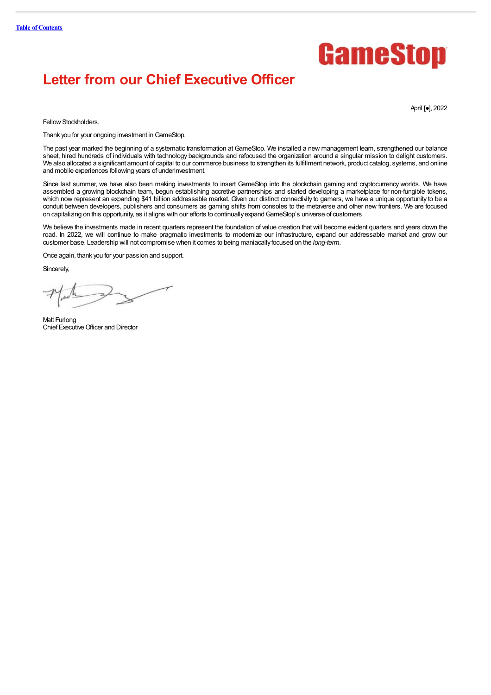# GameStop

# **Letter from our Chief Executive Officer**

April [●], 2022

Fellow Stockholders.

Thank you for your ongoing investment in GameStop.

The past year marked the beginning of a systematic transformation at GameStop. We installed a new management team, strengthened our balance sheet, hired hundreds of individuals with technology backgrounds and refocused the organization around a singular mission to delight customers.<br>We also allocated a significant amount of capital to our commerce business to and mobile experiences following years of underinvestment.

Since last summer, we have also been making investments to insert GameStop into the blockchain gaming and cryptocurrency worlds. We have assembled a growing blockchain team, begun establishing accretive partnerships and started developing a marketplace for non-fungible tokens, which now represent an expanding \$41 billion addressable market. Given our distinct connectivity to gamers, we have a unique opportunity to be a conduit between developers, publishers and consumers as gaming shifts from consoles to the metaverse and other new frontiers. We are focused on capitalizing on this opportunity, as it aligns with our efforts to continuallyexpandGameStop's universe of customers.

We believe the investments made in recent quarters represent the foundation of value creation that will become evident quarters and years down the road. In 2022, we will continue to make pragmatic investments to modernize our infrastructure, expand our addressable market and grow our customer base. Leadership will not compromise when it comes to being maniacallyfocused on the *long-term*.

Once again, thank you for your passion and support.

Sincerely,

Matt Furlong Chief Executive Officer and Director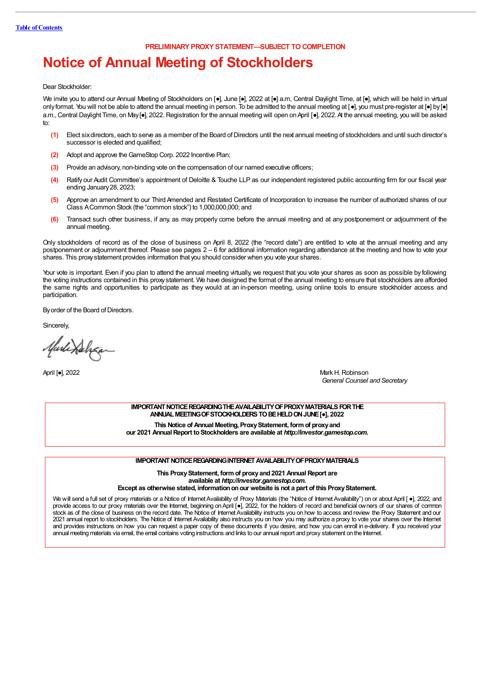**PRELIMINARY PROXY STATEMENT—SUBJECT TO COMPLETION**

# **Notice of Annual Meeting of Stockholders**

Dear Stockholder:

We invite you to attend our Annual Meeting of Stockholders on [•], June [•], 2022 at [•] a.m, Central Daylight Time, at [•], which will be held in virtual onlyformat. You will not be able to attend the annual meeting in person. To be admitted to the annual meeting at [●], you must pre-register at [●] by [●] a.m., Central Daylight Time, on May[•], 2022. Registration for the annual meeting will open on April [•], 2022. At the annual meeting, you will be asked to:

- **(1)** Elect sixdirectors, each to serve as a member of the Board ofDirectors until the next annual meeting of stockholders and until such director's successor is elected and qualified;
- **(2)** Adopt and approve theGameStop Corp. 2022 Incentive Plan;
- **(3)** Provide an advisory, non-binding vote on the compensation of our named executive officers;
- **(4)** Ratify our Audit Committee's appointment of Deloitte & Touche LLP as our independent registered public accounting firm for our fiscal year ending January28, 2023;
- **(5)** Approve an amendment to our Third Amended and Restated Certificate of Incorporation to increase the number of authorized shares of our Class ACommon Stock (the "common stock") to 1,000,000,000; and
- **(6)** Transact such other business, if any, as may properly come before the annual meeting and at any postponement or adjournment of the annual meeting.

Only stockholders of record as of the close of business on April 8, 2022 (the "record date") are entitled to vote at the annual meeting and any postponement or adjournment thereof. Please see pages 2 – 6 for additional information regarding attendance at the meeting and how to vote your shares. This proxystatement provides information that you should consider when you vote your shares.

Your vote is important. Even if you plan to attend the annual meeting virtually, we request that you vote your shares as soon as possible by following the voting instructions contained in this proxystatement. We have designed the format of the annual meeting to ensure that stockholders are afforded the same rights and opportunities to participate as they would at an in-person meeting, using online tools to ensure stockholder access and participation.

By order of the Board of Directors.

**Sincerely** 

Marlindeham

April [●], 2022 Mark H. Robinson *General Counsel and Secretary*

> **IMPORTANT NOTICE REGARDING THE AVAILABILITY OF PROXY MATERIALS FOR THE ANNUALMEETINGOFSTOCKHOLDERSTOBEHELDONJUNE[**●**], 2022**

**This Notice of Annual Meeting, ProxyStatement, formof proxyand our 2021 AnnualReport toStockholders are available at** *http:/ investor.gamestop.com***.**

#### **IMPORTANT NOTICE REGARDING INTERNET AVAILABILITY OF PROXY MATERIALS**

**This ProxyStatement, formof proxyand2021 AnnualReport are available at** *http:/ investor.gamestop.com***.**

**Except as otherwise stated, informationonour website is not a part of this ProxyStatement.**

We will send a full set of proxy materials or a Notice of Internet Availability of Proxy Materials (the "Notice of Internet Availability") on or about April [ •], 2022, and provide access to our proxy materials over the Internet, beginning onApril [●], 2022, for the holders of record and beneficial owners of our shares of common stock as of the close of business on the record date. The Notice of Internet Availability instructs you on how to access and review the Proxy Statement and our 2021 annual report to stockholders. The Notice of Internet Availability also instructs you on how you may authorize a proxy to vote your shares over the Internet and provides instructions on how you can request a paper copy of these documents if you desire, and how you can enroll in e-delivery. If you received your annual meeting materials via email, the email contains voting instructions and links to our annual report and proxy statement on the Internet.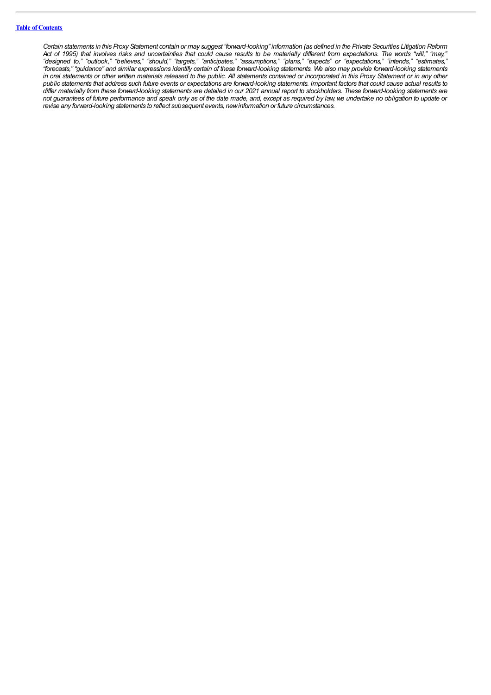Certain statements in this Proxy Statement contain or may suggest "forward-looking" information (as defined in the Private Securities Litigation Reform Act of 1995) that involves risks and uncertainties that could cause results to be materially different from expectations. The words "will," "may," "designed to," "outlook," "believes," "should," "targets," "anticipates," "assumptions," "plans," "expects" or "expectations," "intends," "estimates," "forecasts," "guidance" and similar expressions identify certain of these forward-looking statements. We also may provide forward-looking statements in oral statements or other written materials released to the public. All statements contained or incorporated in this Proxy Statement or in any other public statements that address such future events or expectations are forward-looking statements. Important factors that could cause actual results to differ materially from these forward-looking statements are detailed in our 2021 annual report to stockholders. These forward-looking statements are not guarantees of future performance and speak only as of the date made, and, except as required by law, we undertake no obligation to update or *revise any forward-looking statements to reflect subsequent events, newinformation or future circumstances.*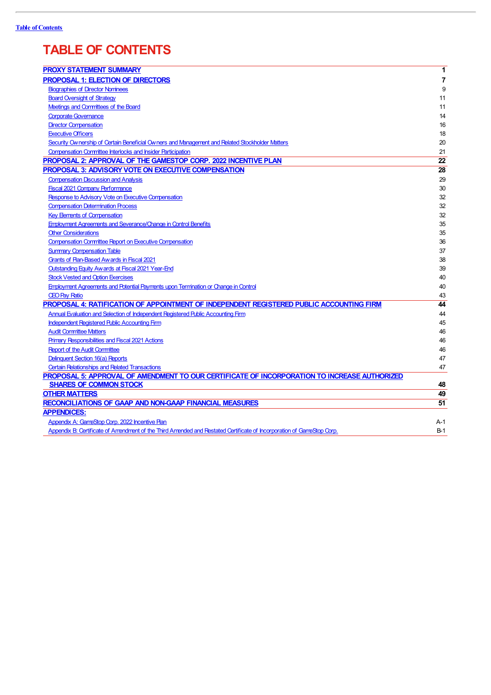# **TABLE OF CONTENTS**

| <b>PROXY STATEMENT SUMMARY</b>                                                                                        | 1     |
|-----------------------------------------------------------------------------------------------------------------------|-------|
| <b>PROPOSAL 1: ELECTION OF DIRECTORS</b>                                                                              | 7     |
| <b>Biographies of Director Nominees</b>                                                                               | 9     |
| <b>Board Oversight of Strategy</b>                                                                                    | 11    |
| Meetings and Committees of the Board                                                                                  | 11    |
| <b>Corporate Governance</b>                                                                                           | 14    |
| <b>Director Compensation</b>                                                                                          | 16    |
| <b>Executive Officers</b>                                                                                             | 18    |
| Security Ownership of Certain Beneficial Owners and Management and Related Stockholder Matters                        | 20    |
| <b>Compensation Committee Interlocks and Insider Participation</b>                                                    | 21    |
| <b>PROPOSAL 2: APPROVAL OF THE GAMESTOP CORP. 2022 INCENTIVE PLAN</b>                                                 | 22    |
| PROPOSAL 3: ADVISORY VOTE ON EXECUTIVE COMPENSATION                                                                   | 28    |
| <b>Compensation Discussion and Analysis</b>                                                                           | 29    |
| <b>Fiscal 2021 Company Performance</b>                                                                                | 30    |
| Response to Advisory Vote on Executive Compensation                                                                   | 32    |
| <b>Compensation Determination Process</b>                                                                             | 32    |
| <b>Key Elements of Compensation</b>                                                                                   | 32    |
| <b>Employment Agreements and Severance/Change in Control Benefits</b>                                                 | 35    |
| <b>Other Considerations</b>                                                                                           | 35    |
| <b>Compensation Committee Report on Executive Compensation</b>                                                        | 36    |
| <b>Summary Compensation Table</b>                                                                                     | 37    |
| <b>Grants of Pan-Based Awards in Fiscal 2021</b>                                                                      | 38    |
| <b>Outstanding Equity Awards at Fiscal 2021 Year-End</b>                                                              | 39    |
| <b>Stock Vested and Option Exercises</b>                                                                              | 40    |
| Employment Agreements and Potential Payments upon Termination or Change in Control                                    | 40    |
| <b>CEO Pay Ratio</b>                                                                                                  | 43    |
| PROPOSAL 4: RATIFICATION OF APPOINTMENT OF INDEPENDENT REGISTERED PUBLIC ACCOUNTING FIRM                              | 44    |
| Annual Evaluation and Selection of Independent Registered Public Accounting Firm                                      | 44    |
| <b>Independent Registered Rublic Accounting Firm</b>                                                                  | 45    |
| <b>Audit Committee Matters</b>                                                                                        | 46    |
| <b>Primary Responsibilities and Fiscal 2021 Actions</b>                                                               | 46    |
| <b>Report of the Audit Committee</b>                                                                                  | 46    |
| Delinquent Section 16(a) Reports                                                                                      | 47    |
| <b>Certain Relationships and Related Transactions</b>                                                                 | 47    |
| PROPOSAL 5: APPROVAL OF AMENDMENT TO OUR CERTIFICATE OF INCORPORATION TO INCREASE AUTHORIZED                          |       |
| <b>SHARES OF COMMON STOCK</b>                                                                                         | 48    |
| <b>OTHER MATTERS</b>                                                                                                  | 49    |
| <b>RECONCILIATIONS OF GAAP AND NON-GAAP FINANCIAL MEASURES</b>                                                        | 51    |
| <b>APPENDICES:</b>                                                                                                    |       |
| Appendix A: GameStop Corp. 2022 Incentive Plan                                                                        | A-1   |
| Appendix B: Certificate of Amendment of the Third Amended and Restated Certificate of Incorporation of GameStop Corp. | $B-1$ |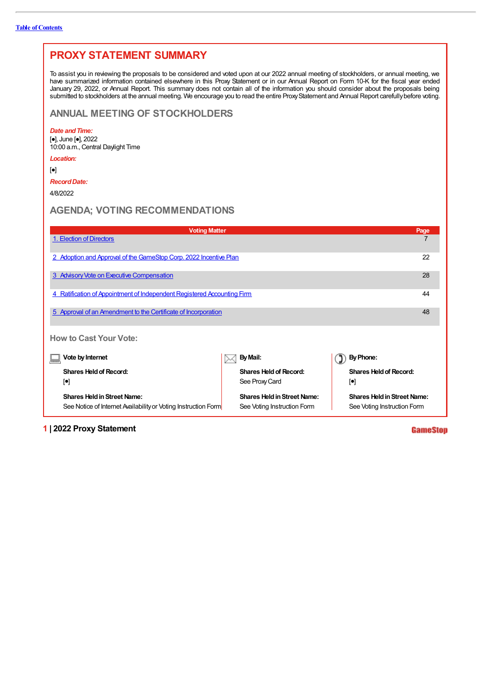| <b>PROXY STATEMENT SUMMARY</b>                                                                                                                                                                                                                                                                                                                                                                                                                                                                                                                                                    |                                                 |                                              |  |  |
|-----------------------------------------------------------------------------------------------------------------------------------------------------------------------------------------------------------------------------------------------------------------------------------------------------------------------------------------------------------------------------------------------------------------------------------------------------------------------------------------------------------------------------------------------------------------------------------|-------------------------------------------------|----------------------------------------------|--|--|
| To assist you in reviewing the proposals to be considered and voted upon at our 2022 annual meeting of stockholders, or annual meeting, we<br>have summarized information contained elsewhere in this Proxy Statement or in our Annual Report on Form 10-K for the fiscal year ended<br>January 29, 2022, or Annual Report. This summary does not contain all of the information you should consider about the proposals being<br>submitted to stockholders at the annual meeting. We encourage you to read the entire Proxy Statement and Annual Report carefully before voting. |                                                 |                                              |  |  |
| <b>ANNUAL MEETING OF STOCKHOLDERS</b>                                                                                                                                                                                                                                                                                                                                                                                                                                                                                                                                             |                                                 |                                              |  |  |
| Date and Time:<br>$\left[\bullet\right]$ , June $\left[\bullet\right]$ , 2022<br>10:00 a.m., Central Daylight Time                                                                                                                                                                                                                                                                                                                                                                                                                                                                |                                                 |                                              |  |  |
| Location:                                                                                                                                                                                                                                                                                                                                                                                                                                                                                                                                                                         |                                                 |                                              |  |  |
| $\left[\bullet\right]$                                                                                                                                                                                                                                                                                                                                                                                                                                                                                                                                                            |                                                 |                                              |  |  |
| <b>Record Date:</b>                                                                                                                                                                                                                                                                                                                                                                                                                                                                                                                                                               |                                                 |                                              |  |  |
| 4/8/2022                                                                                                                                                                                                                                                                                                                                                                                                                                                                                                                                                                          |                                                 |                                              |  |  |
| <b>AGENDA: VOTING RECOMMENDATIONS</b>                                                                                                                                                                                                                                                                                                                                                                                                                                                                                                                                             |                                                 |                                              |  |  |
| <b>Voting Matter</b>                                                                                                                                                                                                                                                                                                                                                                                                                                                                                                                                                              |                                                 | Page                                         |  |  |
| 1. Election of Directors                                                                                                                                                                                                                                                                                                                                                                                                                                                                                                                                                          |                                                 | $\overline{7}$                               |  |  |
| 2 Adoption and Approval of the GameStop Corp. 2022 Incentive Plan<br>22                                                                                                                                                                                                                                                                                                                                                                                                                                                                                                           |                                                 |                                              |  |  |
| 3 Advisory Vote on Executive Compensation<br>28                                                                                                                                                                                                                                                                                                                                                                                                                                                                                                                                   |                                                 |                                              |  |  |
| 4 Ratification of Appointment of Independent Registered Accounting Firm                                                                                                                                                                                                                                                                                                                                                                                                                                                                                                           |                                                 | 44                                           |  |  |
| 5 Approval of an Amendment to the Certificate of Incorporation<br>48                                                                                                                                                                                                                                                                                                                                                                                                                                                                                                              |                                                 |                                              |  |  |
| <b>How to Cast Your Vote:</b>                                                                                                                                                                                                                                                                                                                                                                                                                                                                                                                                                     |                                                 |                                              |  |  |
| Vote by Internet                                                                                                                                                                                                                                                                                                                                                                                                                                                                                                                                                                  | By Mail:                                        | By Phone:                                    |  |  |
| <b>Shares Held of Record:</b><br>$[\bullet]$                                                                                                                                                                                                                                                                                                                                                                                                                                                                                                                                      | <b>Shares Held of Record:</b><br>See Proxy Card | <b>Shares Held of Record:</b><br>$[\bullet]$ |  |  |
| <b>Shares Held in Street Name:</b><br><b>Shares Held in Street Name:</b><br><b>Shares Held in Street Name:</b><br>See Notice of Internet Availability or Voting Instruction Form<br>See Voting Instruction Form<br>See Voting Instruction Form                                                                                                                                                                                                                                                                                                                                    |                                                 |                                              |  |  |

**1 | 2022 Proxy Statement**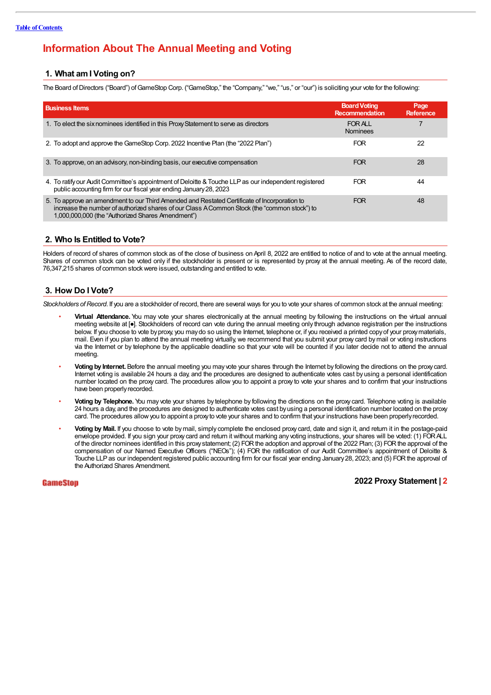# **Information About The Annual Meeting and Voting**

#### **1. What amI Voting on?**

The Board of Directors ("Board") of GameStop Corp. ("GameStop," the "Company," "we," "us," or "our") is soliciting your yote for the following:

| <b>Business Items</b>                                                                                                                                                                                                                             | <b>Board Voting</b><br><b>Recommendation</b> | Page<br>Reference |
|---------------------------------------------------------------------------------------------------------------------------------------------------------------------------------------------------------------------------------------------------|----------------------------------------------|-------------------|
| 1. To elect the six nominees identified in this Proxy Statement to serve as directors                                                                                                                                                             | FOR ALL<br><b>Nominees</b>                   |                   |
| 2. To adopt and approve the GameStop Corp. 2022 Incentive Plan (the "2022 Plan")                                                                                                                                                                  | <b>FOR</b>                                   | 22                |
| 3. To approve, on an advisory, non-binding basis, our executive compensation                                                                                                                                                                      | <b>FOR</b>                                   | 28                |
| 4. To ratify our Audit Committee's appointment of Deloitte & Touche LLP as our independent registered<br>public accounting firm for our fiscal year ending January 28, 2023                                                                       | <b>FOR</b>                                   | 44                |
| 5. To approve an amendment to our Third Amended and Restated Certificate of Incorporation to<br>increase the number of authorized shares of our Class A Common Stock (the "common stock") to<br>1,000,000,000 (the "Authorized Shares Amendment") | <b>FOR</b>                                   | 48                |

#### **2. Who Is Entitled to Vote?**

Holders of record of shares of common stock as of the close of business on April 8, 2022 are entitled to notice of and to vote at the annual meeting. Shares of common stock can be voted only if the stockholder is present or is represented by proxy at the annual meeting. As of the record date, 76,347,215 shares of common stockwere issued, outstanding and entitled to vote.

#### **3. How Do I Vote?**

*Stockholders ofRecord*. If you are a stockholder of record, there are several ways for you to vote your shares of common stock at the annual meeting:

- **Virtual Attendance.** You may vote your shares electronically at the annual meeting by following the instructions on the virtual annual meeting website at [●]. Stockholders of record can vote during the annual meeting only through advance registration per the instructions below. If you choose to vote by proxy, you may do so using the Internet, telephone or, if you received a printed copy of your proxy materials, mail. Even if you plan to attend the annual meeting virtually, we recommend that you submit your proxy card bymail or voting instructions via the Internet or by telephone by the applicable deadline so that your vote will be counted if you later decide not to attend the annual meeting.
- **Voting by Internet.** Before the annual meeting you may vote your shares through the Internet by following the directions on the proxy card. Internet voting is available 24 hours a day, and the procedures are designed to authenticate votes cast by using a personal identification number located on the proxy card. The procedures allow you to appoint a proxy to vote your shares and to confirm that your instructions have been properly recorded.
- **Voting by Telephone.** You may vote your shares by telephone by following the directions on the proxy card. Telephone voting is available 24 hours a day, and the procedures are designed to authenticate votes cast byusing a personal identification number located on the proxy card. The procedures allowyou to appoint a proxyto vote your shares and to confirm that your instructions have been properlyrecorded.
- **Voting by Mail.** If you choose to vote bymail, simply complete the enclosed proxy card, date and sign it, and return it in the postage-paid envelope provided. If you sign your proxy card and return it without marking any voting instructions, your shares will be voted: (1) FORALL of the director nominees identified in this proxystatement; (2) FORthe adoption and approval of the 2022 Plan; (3) FORthe approval of the compensation of our Named Executive Officers ("NEOs"); (4) FOR the ratification of our Audit Committee's appointment of Deloitte & Touche LLPas our independent registered public accounting firm for our fiscal year ending January28, 2023; and (5) FORthe approval of the Authorized Shares Amendment.

**GameStop**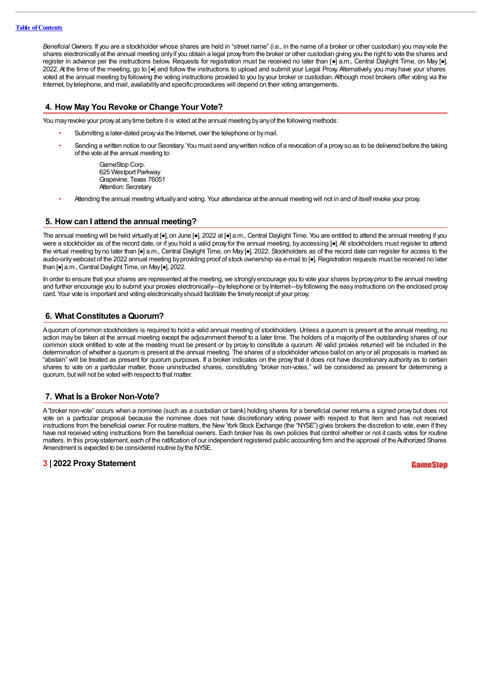#### **Table of Contents**

*Beneficial Owners*. If you are a stockholder whose shares are held in "street name" (i.e., in the name of a broker or other custodian) you may vote the shares electronicallyat the annual meeting onlyif you obtain a legal proxyfrom the broker or other custodian giving you the right to vote the shares and register in advance per the instructions below. Requests for registration must be received no later than [●] a.m., Central Daylight Time, on May [●], 2022.At the time of the meeting, go to [●] and follow the instructions to upload and submit your Legal Proxy. Alternatively, you may have your shares voted at the annual meeting by following the voting instructions provided to you by your broker or custodian.Although most brokers offer voting via the Internet, bytelephone, and mail, availabilityand specific procedures will depend on their voting arrangements.

#### **4. How May You Revoke or Change Your Vote?**

You may revoke your proxy at any time before it is voted at the annual meeting by any of the following methods:

- Submitting a later-dated proxy via the Internet, over the telephone or by mail.
- Sending a written notice to our Secretary. You must send any written notice of a revocation of a proxy so as to be delivered before the taking of the vote at the annual meeting to:

GameStop Corp. 625 Westport Parkway Grapevine, Texas 76051 Attention: Secretary

• Attending the annual meeting virtuallyand voting. Your attendance at the annual meeting will not in and of itself revoke your proxy.

#### **5. How can I attend the annual meeting?**

The annual meeting will be held virtually at [•], on June [•], 2022 at [•] a.m., Central Daylight Time. You are entitled to attend the annual meeting if you were a stockholder as of the record date, or if you hold a valid proxy for the annual meeting, by accessing [•]. All stockholders must register to attend the virtual meeting by no later than [ $\bullet$ ] a.m., Central Daylight Time, on May [ $\bullet$ ], 2022. Stockholders as of the record date can register for access to the audio-onlywebcast of the 2022 annual meeting by providing proof of stock ownership via e-mail to [●]. Registration requests must be received no later than [●] a.m., Central Daylight Time, on May [●], 2022.

In order to ensure that your shares are represented at the meeting, we strongly encourage you to vote your shares by proxy prior to the annual meeting and further encourage you to submit your proxies electronically—by telephone or by Internet—by following the easy instructions on the enclosed proxy card. Your vote is important and voting electronicallyshould facilitate the timelyreceipt of your proxy.

#### **6. What Constitutes a Quorum?**

Aquorum of common stockholders is required to hold a valid annual meeting of stockholders. Unless a quorum is present at the annual meeting, no action may be taken at the annual meeting except the adjournment thereof to a later time. The holders of a majority of the outstanding shares of our common stock entitled to vote at the meeting must be present or by proxy to constitute a quorum. All valid proxies returned will be included in the determination of whether a quorum is present at the annual meeting. The shares of a stockholder whose ballot on anyor all proposals is marked as "abstain" will be treated as present for quorum purposes. If a broker indicates on the proxy that it does not have discretionary authority as to certain shares to vote on a particular matter, those uninstructed shares, constituting "broker non-votes," will be considered as present for determining a quorum, but will not be voted with respect to that matter.

#### **7. What Is a Broker Non-Vote?**

A"broker non-vote" occurs when a nominee (such as a custodian or bank) holding shares for a beneficial owner returns a signed proxybut does not vote on a particular proposal because the nominee does not have discretionary voting power with respect to that item and has not received instructions from the beneficial owner. For routine matters, the New York Stock Exchange (the "NYSE") gives brokers the discretion to vote, even if they have not received voting instructions from the beneficial owners. Each broker has its own policies that control whether or not it casts votes for routine matters. In this proxystatement, each of the ratification of our independent registered public accounting firm and the approval of the Authorized Shares Amendment is expected to be considered routine by the NYSE.

#### **3 | 2022 Proxy Statement**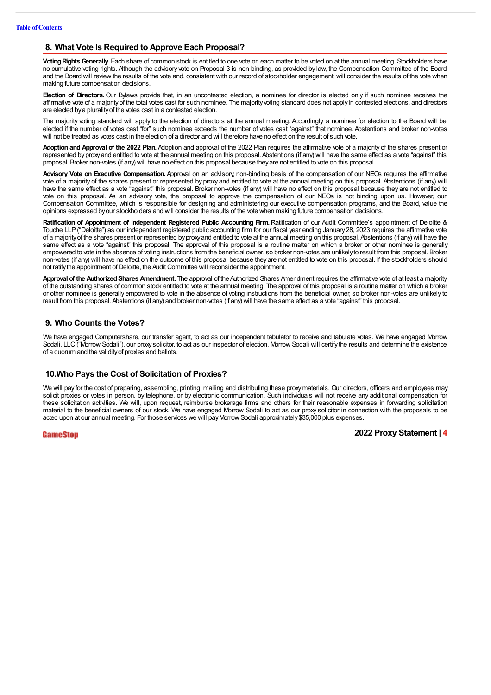#### **8. What Vote Is Required to Approve Each Proposal?**

Voting Rights Generally. Each share of common stock is entitled to one vote on each matter to be voted on at the annual meeting. Stockholders have no cumulative voting rights.Although the advisory vote on Proposal 3 is non-binding, as provided by law, the Compensation Committee of the Board and the Board will review the results of the vote and, consistent with our record of stockholder engagement, will consider the results of the vote when making future compensation decisions.

**Election of Directors.**Our Bylaws provide that, in an uncontested election, a nominee for director is elected only if such nominee receives the affirmative vote of a majorityof the total votes cast for such nominee. The majorityvoting standard does not applyin contested elections, and directors are elected bya pluralityof the votes cast in a contested election.

The majority voting standard will apply to the election of directors at the annual meeting. Accordingly, a nominee for election to the Board will be elected if the number of votes cast "for" such nominee exceeds the number of votes cast "against" that nominee. Abstentions and broker non-votes will not be treated as votes cast in the election of a director and will therefore have no effect on the result of such vote.

**Adoption and Approval of the 2022 Plan.** Adoption and approval of the 2022 Plan requires the affirmative vote of a majority of the shares present or represented by proxy and entitled to vote at the annual meeting on this proposal. Abstentions (if any) will have the same effect as a vote "against" this proposal. Broker non-votes (if any) will have no effect on this proposal because theyare not entitled to vote on this proposal.

**Advisory Vote on Executive Compensation.** Approval on an advisory, non-binding basis of the compensation of our NEOs requires the affirmative vote of a majority of the shares present or represented by proxy and entitled to vote at the annual meeting on this proposal. Abstentions (if any) will have the same effect as a vote "against" this proposal. Broker non-votes (if any) will have no effect on this proposal because they are not entitled to vote on this proposal. As an advisory vote, the proposal to approve the compensation of our NEOs is not binding upon us. However, our Compensation Committee, which is responsible for designing and administering our executive compensation programs, and the Board, value the opinions expressed byour stockholders and will consider the results of the vote when making future compensation decisions.

**Ratification of Appointment of Independent Registered Public Accounting Firm.** Ratification of our Audit Committee's appointment of Deloitte & Touche LLP ("Deloitte") as our independent registered public accounting firm for our fiscal year ending January28, 2023 requires the affirmative vote of a majorityof the shares present or represented byproxyand entitled to vote at the annual meeting on this proposal.Abstentions (if any) will have the same effect as a vote "against" this proposal. The approval of this proposal is a routine matter on which a broker or other nominee is generally empowered to vote in the absence of voting instructions from the beneficial owner, so broker non-votes are unlikelyto result from this proposal. Broker non-votes (if any) will have no effect on the outcome of this proposal because theyare not entitled to vote on this proposal. If the stockholders should not ratify the appointment of Deloitte, the Audit Committee will reconsider the appointment.

**Approval of the Authorized Shares Amendment.** The approval of the Authorized Shares Amendment requires the affirmative vote of at least a majority of the outstanding shares of common stock entitled to vote at the annual meeting. The approval of this proposal is a routine matter on which a broker or other nominee is generally empowered to vote in the absence of voting instructions from the beneficial owner, so broker non-votes are unlikely to result from this proposal. Abstentions (if any) and broker non-votes (if any) will have the same effect as a vote "against" this proposal.

#### **9. Who Counts the Votes?**

We have engaged Computershare, our transfer agent, to act as our independent tabulator to receive and tabulate votes. We have engaged Morrow Sodali, LLC ("Morrow Sodali"), our proxy solicitor, to act as our inspector of election. Morrow Sodali will certify the results and determine the existence of a quorum and the validityof proxies and ballots.

#### **10.Who Pays the Cost of Solicitation of Proxies?**

We will pay for the cost of preparing, assembling, printing, mailing and distributing these proxy materials. Our directors, officers and employees may solicit proxies or votes in person, by telephone, or by electronic communication. Such individuals will not receive any additional compensation for these solicitation activities. We will, upon request, reimburse brokerage firms and others for their reasonable expenses in forwarding solicitation material to the beneficial owners of our stock. We have engaged Morrow Sodali to act as our proxy solicitor in connection with the proposals to be acted upon at our annual meeting. For those services we will pay Morrow Sodali approximately \$35,000 plus expenses.

#### GameStop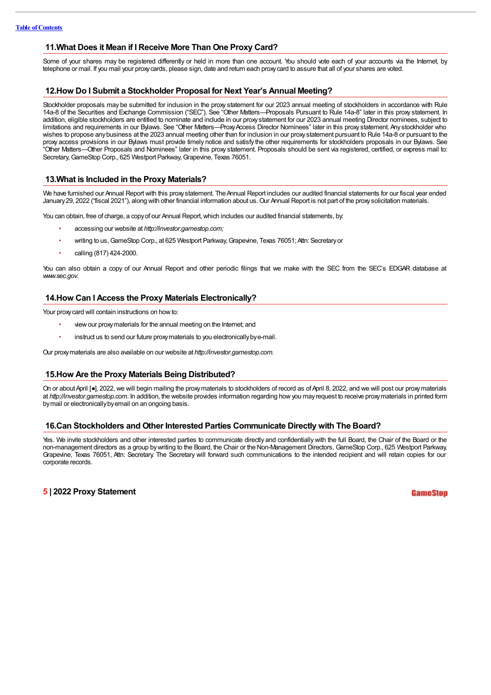#### **11.What Does it Mean if I Receive More Than One Proxy Card?**

Some of your shares may be registered differently or held in more than one account. You should vote each of your accounts via the Internet, by telephone or mail. If you mail your proxycards, please sign, date and return each proxycard to assure that all of your shares are voted.

#### **12.How Do I Submit a Stockholder Proposal for Next Year's Annual Meeting?**

Stockholder proposals may be submitted for inclusion in the proxy statement for our 2023 annual meeting of stockholders in accordance with Rule 14a-8 of the Securities and Exchange Commission ("SEC"). See "Other Matters—Proposals Pursuant to Rule 14a-8" later in this proxy statement. In addition, eligible stockholders are entitled to nominate and include in our proxy statement for our 2023 annual meeting Director nominees, subject to limitations and requirements in our Bylaws. See "Other Matters—Proxy Access Director Nominees" later in this proxy statement. Any stockholder who wishes to propose any business at the 2023 annual meeting other than for inclusion in our proxy statement pursuant to Rule 14a-8 or pursuant to the proxy access provisions in our Bylaws must provide timely notice and satisfy the other requirements for stockholders proposals in our Bylaws. See "Other Matters—Other Proposals and Nominees" later in this proxy statement. Proposals should be sent via registered, certified, or express mail to: Secretary, GameStop Corp., 625 Westport Parkway, Grapevine, Texas 76051.

#### **13.What is Included in the Proxy Materials?**

We have furnished our Annual Report with this proxy statement. The Annual Report includes our audited financial statements for our fiscal year ended January 29, 2022 ("fiscal 2021"), along with other financial information about us. Our Annual Report is not part of the proxy solicitation materials.

You can obtain, free of charge, a copy of our Annual Report, which includes our audited financial statements, by:

- accessing our website at *http:/ investor.gamestop.com;*
	- writing to us, GameStop Corp., at 625 Westport Parkway, Grapevine, Texas 76051; Attn: Secretary or
	- calling (817) 424-2000.

You can also obtain a copy of our Annual Report and other periodic filings that we make with the SEC from the SEC's EDGAR database at *www.sec.gov*.

#### **14.How Can I Access the Proxy Materials Electronically?**

Your proxy card will contain instructions on how to:

- view our proxy materials for the annual meeting on the Internet; and
- instruct us to send our future proxy materials to you electronically by e-mail.

Our proxy materials are also available on our website at *http://investor.gamestop.com.* 

#### **15.How Are the Proxy Materials Being Distributed?**

On or about April [•], 2022, we will begin mailing the proxymaterials to stockholders of record as of April 8, 2022, and we will post our proxymaterials at *http://investor.gamestop.com*. In addition, the website provides information regarding how you may request to receive proxy materials in printed form bymail or electronicallybyemail on an ongoing basis.

#### **16.Can Stockholders and Other Interested Parties Communicate Directly with The Board?**

Yes. We invite stockholders and other interested parties to communicate directly and confidentially with the full Board, the Chair of the Board or the non-management directors as a group bywriting to the Board, the Chair or the Non-Management Directors, GameStop Corp., 625 Westport Parkway, Grapevine, Texas 76051, Attn: Secretary. The Secretary will forward such communications to the intended recipient and will retain copies for our corporate records.

#### **5 | 2022 Proxy Statement**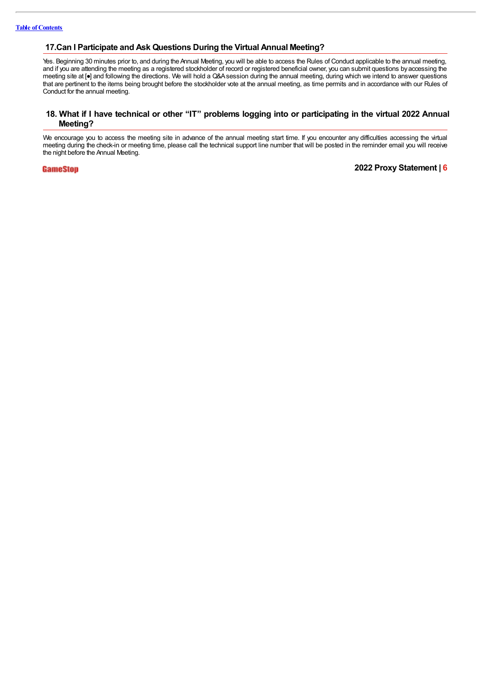#### **17.Can I Participate and Ask Questions During the Virtual Annual Meeting?**

Yes. Beginning 30 minutes prior to, and during the Annual Meeting, you will be able to access the Rules of Conduct applicable to the annual meeting, and if you are attending the meeting as a registered stockholder of record or registered beneficial owner, you can submit questions byaccessing the meeting site at [●] and following the directions. We will hold a Q&Asession during the annual meeting, during which we intend to answer questions that are pertinent to the items being brought before the stockholder vote at the annual meeting, as time permits and in accordance with our Rules of Conduct for the annual meeting.

#### 18. What if I have technical or other "IT" problems logging into or participating in the virtual 2022 Annual **Meeting?**

We encourage you to access the meeting site in advance of the annual meeting start time. If you encounter any difficulties accessing the virtual meeting during the check-in or meeting time, please call the technical support line number that will be posted in the reminder email you will receive the night before the Annual Meeting.

**GameStop**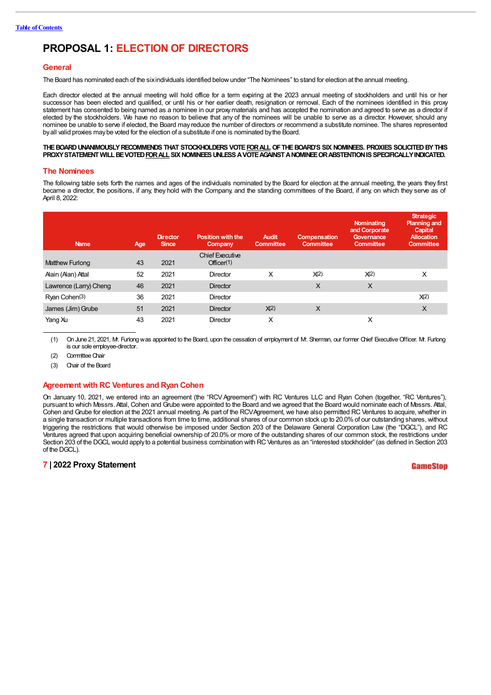# **PROPOSAL 1: ELECTION OF DIRECTORS**

#### **General**

The Board has nominated each of the sixindividuals identified below under "The Nominees" to stand for election at the annual meeting.

Each director elected at the annual meeting will hold office for a term expiring at the 2023 annual meeting of stockholders and until his or her successor has been elected and qualified, or until his or her earlier death, resignation or removal. Each of the nominees identified in this proxy statement has consented to being named as a nominee in our proxymaterials and has accepted the nomination and agreed to serve as a director if elected by the stockholders. We have no reason to believe that any of the nominees will be unable to serve as a director. However, should any nominee be unable to serve if elected, the Board may reduce the number of directors or recommend a substitute nominee. The shares represented byall valid proxies maybe voted for the election of a substitute if one is nominated bythe Board.

#### **THEBOARDUNANIMOUSLYRECOMMENDS THAT STOCKHOLDERS VOTEFORALL OFTHEBOARD'S SIX NOMINEES. PROXIES SOLICITEDBYTHIS** PROXY STATEMENT WILL BE VOTED FOR ALL SIX NOMINEES UNLESS A VOTE AGAINST A NOMINEE OR ABSTENTION IS SPECIFICALLY INDICATED.

#### **The Nominees**

The following table sets forth the names and ages of the individuals nominated by the Board for election at the annual meeting, the years they first became a director, the positions, if any, they hold with the Company, and the standing committees of the Board, if any, on which they serve as of April 8, 2022:

| <b>Name</b>            | Age | <b>Director</b><br><b>Since</b> | <b>Position with the</b><br>Company | <b>Audit</b><br><b>Committee</b> | <b>Compensation</b><br><b>Committee</b> | Nominating<br>and Corporate<br>Governance<br><b>Committee</b> | <b>Strategic</b><br><b>Planning and</b><br><b>Capital</b><br><b>Allocation</b><br><b>Committee</b> |
|------------------------|-----|---------------------------------|-------------------------------------|----------------------------------|-----------------------------------------|---------------------------------------------------------------|----------------------------------------------------------------------------------------------------|
|                        |     |                                 | <b>Chief Executive</b>              |                                  |                                         |                                                               |                                                                                                    |
| Matthew Furlong        | 43  | 2021                            | Officer(1)                          |                                  |                                         |                                                               |                                                                                                    |
| Alain (Alan) Attal     | 52  | 2021                            | Director                            | X                                | X(2)                                    | X(2)                                                          | X                                                                                                  |
| Lawrence (Larry) Cheng | 46  | 2021                            | <b>Director</b>                     |                                  | X                                       | $\times$                                                      |                                                                                                    |
| Ryan Cohen(3)          | 36  | 2021                            | <b>Director</b>                     |                                  |                                         |                                                               | X(2)                                                                                               |
| James (Jim) Grube      | 51  | 2021                            | <b>Director</b>                     | X(2)                             | X                                       |                                                               | $\times$                                                                                           |
| Yang Xu                | 43  | 2021                            | Director                            | X                                |                                         | X                                                             |                                                                                                    |

(1) On June 21, 2021, Mr. Furlong was appointed to the Board, upon the cessation of employment of Mr. Sherman, our former Chief Executive Officer. Mr. Furlong is our sole employee-director.

(2) Committee Chair

(3) Chair of the Board

#### **Agreement with RC Ventures and Ryan Cohen**

On January 10, 2021, we entered into an agreement (the "RCV Agreement") with RC Ventures LLC and Ryan Cohen (together, "RC Ventures"), pursuant to which Messrs.Attal, Cohen and Grube were appointed to the Board and we agreed that the Board would nominate each of Messrs.Attal, Cohen and Grube for election at the 2021 annual meeting. As part of the RCV Agreement, we have also permitted RC Ventures to acquire, whether in a single transaction or multiple transactions from time to time, additional shares of our common stock up to 20.0%of our outstanding shares, without triggering the restrictions that would otherwise be imposed under Section 203 of the Delaware General Corporation Law (the "DGCL"), and RC Ventures agreed that upon acquiring beneficial ownership of 20.0% or more of the outstanding shares of our common stock, the restrictions under Section 203 of the DGCL would applyto a potential business combination with RC Ventures as an "interested stockholder" (as defined in Section 203 of the DGCL).

#### **7 | 2022 Proxy Statement**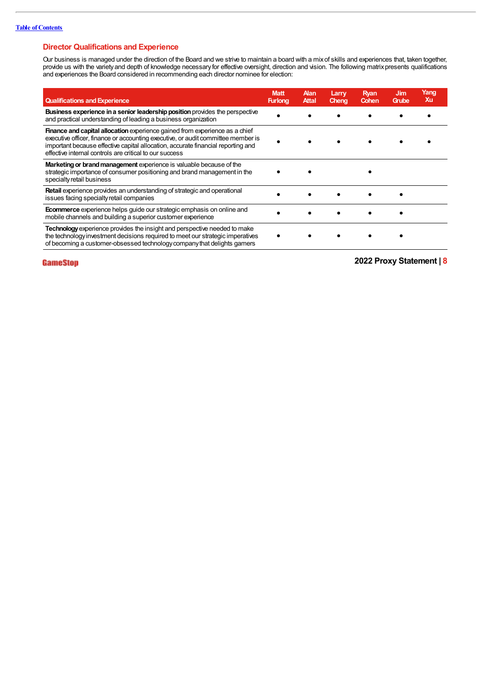#### **Director Qualifications and Experience**

Our business is managed under the direction of the Board and we strive to maintain a board with a mixof skills and experiences that, taken together, provide us with the variety and depth of knowledge necessary for effective oversight, direction and vision. The following matrix presents qualifications and experiences the Board considered in recommending each director nominee for election:

| <b>Qualifications and Experience</b>                                                                                                                                                                                                                                                                           | <b>Matt</b><br><b>Furlong</b> | Alan<br><b>Attal</b> | Larry<br>Cheng | Ryan<br>Cohen | Jim<br>Grube | Yang<br>Xu |
|----------------------------------------------------------------------------------------------------------------------------------------------------------------------------------------------------------------------------------------------------------------------------------------------------------------|-------------------------------|----------------------|----------------|---------------|--------------|------------|
| <b>Business experience in a senior leadership position</b> provides the perspective<br>and practical understanding of leading a business organization                                                                                                                                                          |                               |                      |                |               |              |            |
| Finance and capital allocation experience gained from experience as a chief<br>executive officer, finance or accounting executive, or audit committee member is<br>important because effective capital allocation, accurate financial reporting and<br>effective internal controls are critical to our success |                               |                      |                |               |              |            |
| Marketing or brand management experience is valuable because of the<br>strategic importance of consumer positioning and brand management in the<br>specialty retail business                                                                                                                                   |                               |                      |                |               |              |            |
| <b>Retail</b> experience provides an understanding of strategic and operational<br>issues facing specialty retail companies                                                                                                                                                                                    |                               |                      |                |               |              |            |
| <b>Ecommerce</b> experience helps guide our strategic emphasis on online and<br>mobile channels and building a superior customer experience                                                                                                                                                                    |                               |                      |                |               |              |            |
| Technology experience provides the insight and perspective needed to make<br>the technology investment decisions required to meet our strategic imperatives<br>of becoming a customer-obsessed technology company that delights gamers                                                                         |                               |                      |                |               |              |            |

### **GameStop**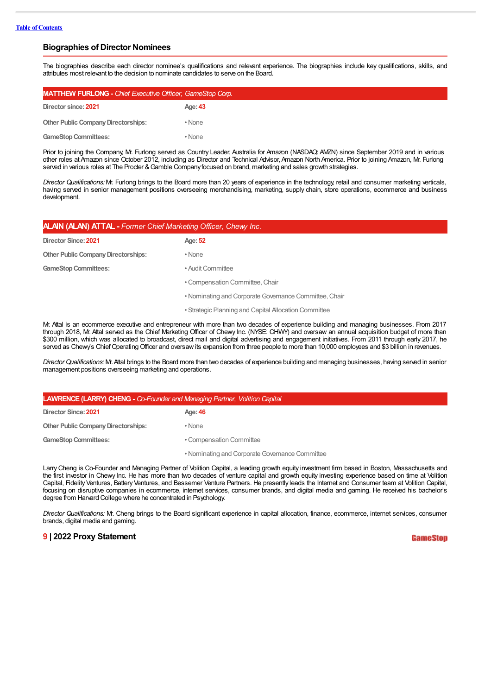#### **Biographies of Director Nominees**

The biographies describe each director nominee's qualifications and relevant experience. The biographies include key qualifications, skills, and attributes most relevant to the decision to nominate candidates to serve on the Board.

| <b>MATTHEW FURLONG - Chief Executive Officer, GameStop Corp.</b> |         |  |
|------------------------------------------------------------------|---------|--|
| Director since: 2021                                             | Age: 43 |  |
| <b>Other Public Company Directorships:</b>                       | • None  |  |
| <b>GameStop Committees:</b>                                      | • None  |  |

Prior to joining the Company, Mr. Furlong served as Country Leader, Australia for Amazon (NASDAQ: AMZN) since September 2019 and in various other roles atAmazon since October 2012, including as Director and Technical Advisor,Amazon North America. Prior to joining Amazon, Mr. Furlong served in various roles at The Procter & Gamble Company focused on brand, marketing and sales growth strategies.

*Director Qualifications:* Mr. Furlong brings to the Board more than 20 years of experience in the technology, retail and consumer marketing verticals, having served in senior management positions overseeing merchandising, marketing, supply chain, store operations, ecommerce and business development.

| <b>ALAIN (ALAN) ATTAL -</b> Former Chief Marketing Officer, Chewy Inc. |                                                        |  |  |
|------------------------------------------------------------------------|--------------------------------------------------------|--|--|
| Director Since: 2021                                                   | Age: 52                                                |  |  |
| <b>Other Public Company Directorships:</b>                             | • None                                                 |  |  |
| <b>GameStop Committees:</b>                                            | • Audit Committee                                      |  |  |
|                                                                        | • Compensation Committee, Chair                        |  |  |
|                                                                        | • Nominating and Corporate Governance Committee, Chair |  |  |
|                                                                        | • Strategic Planning and Capital Allocation Committee  |  |  |

Mr. Attal is an ecommerce executive and entrepreneur with more than two decades of experience building and managing businesses. From 2017 through 2018, Mr. Attal served as the Chief Marketing Officer of Chewy Inc. (NYSE: CHWY) and oversaw an annual acquisition budget of more than \$300 million, which was allocated to broadcast, direct mail and digital advertising and engagement initiatives. From 2011 through early 2017, he served as Chewy's Chief Operating Officer and oversaw its expansion from three people to more than 10,000 employees and \$3 billion in revenues.

*DirectorQualifications:* Mr.Attal brings to the Board more than two decades of experience building and managing businesses, having served in senior management positions overseeing marketing and operations.

| <b>LAWRENCE (LARRY) CHENG - Co-Founder and Managing Partner, Volition Capital</b> |                                                 |  |  |
|-----------------------------------------------------------------------------------|-------------------------------------------------|--|--|
| Director Since: 2021                                                              | Age: 46                                         |  |  |
| <b>Other Public Company Directorships:</b>                                        | • None                                          |  |  |
| <b>GameStop Committees:</b>                                                       | • Compensation Committee                        |  |  |
|                                                                                   | • Nominating and Corporate Governance Committee |  |  |

Larry Cheng is Co-Founder and Managing Partner of Volition Capital, a leading growth equity investment firm based in Boston, Massachusetts and the first investor in Chewy Inc. He has more than two decades of venture capital and growth equity investing experience based on time at Volition Capital, Fidelity Ventures, Battery Ventures, and Bessemer Venture Partners. He presently leads the Internet and Consumer team at Volition Capital, focusing on disruptive companies in ecommerce, internet services, consumer brands, and digital media and gaming. He received his bachelor's degree from Harvard College where he concentrated in Psychology.

*Director Qualifications:* Mr. Cheng brings to the Board significant experience in capital allocation, finance, ecommerce, internet services, consumer brands, digital media and gaming.

#### **9 | 2022 Proxy Statement**

GameSton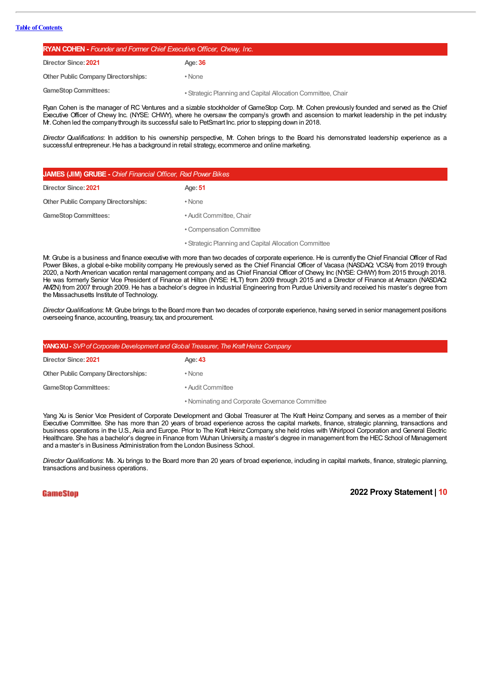| <b>RYAN COHEN - Founder and Former Chief Executive Officer, Chewy, Inc.</b> |                                                              |  |  |
|-----------------------------------------------------------------------------|--------------------------------------------------------------|--|--|
| Director Since: 2021                                                        | Age: 36                                                      |  |  |
| <b>Other Public Company Directorships:</b>                                  | • None                                                       |  |  |
| <b>GameStop Committees:</b>                                                 | • Strategic Planning and Capital Allocation Committee, Chair |  |  |

Ryan Cohen is the manager of RC Ventures and a sizable stockholder of GameStop Corp. Mr. Cohen previously founded and served as the Chief Executive Officer of Chewy Inc. (NYSE: CHWY), where he oversaw the company's growth and ascension to market leadership in the pet industry. Mr.Cohen led the companythrough its successful sale to PetSmart Inc. prior to stepping down in 2018.

*Director Qualifications*: In addition to his ownership perspective, Mr. Cohen brings to the Board his demonstrated leadership experience as a successful entrepreneur. He has a background in retail strategy, ecommerce and online marketing.

| <b>JAMES (JIM) GRUBE - Chief Financial Officer, Rad Power Bikes</b> |                                                       |  |  |
|---------------------------------------------------------------------|-------------------------------------------------------|--|--|
| Director Since: 2021                                                | Age: 51                                               |  |  |
| <b>Other Public Company Directorships:</b>                          | • None                                                |  |  |
| <b>GameStop Committees:</b>                                         | • Audit Committee, Chair                              |  |  |
|                                                                     | • Compensation Committee                              |  |  |
|                                                                     | • Strategic Planning and Capital Allocation Committee |  |  |

Mr. Grube is a business and finance executive with more than two decades of corporate experience. He is currently the Chief Financial Officer of Rad Power Bikes, a global e-bike mobility company. He previously served as the Chief Financial Officer of Vacasa (NASDAQ: VCSA) from 2019 through 2020, a North American vacation rental management company, and as Chief Financial Officer of Chewy, Inc (NYSE: CHWY) from 2015 through 2018. He was formerly Senior Vice President of Finance at Hilton (NYSE: HLT) from 2009 through 2015 and a Director of Finance at Amazon (NASDAQ: AMZN) from 2007 through 2009. He has a bachelor's degree in Industrial Engineering from Purdue Universityand received his master's degree from the Massachusetts Institute of Technology.

*DirectorQualifications*: Mr. Grube brings to the Board more than two decades of corporate experience, having served in senior management positions overseeing finance, accounting, treasury, tax, and procurement.

| <b>YANG XU - SVP of Corporate Development and Global Treasurer. The Kraft Heinz Company</b> |                                                 |  |  |
|---------------------------------------------------------------------------------------------|-------------------------------------------------|--|--|
| Director Since: 2021                                                                        | Age: 43                                         |  |  |
| <b>Other Public Company Directorships:</b>                                                  | • None                                          |  |  |
| <b>GameStop Committees:</b>                                                                 | • Audit Committee                               |  |  |
|                                                                                             | • Nominating and Corporate Governance Committee |  |  |

Yang Xu is Senior Vice President of Corporate Development and Global Treasurer at The Kraft Heinz Company, and serves as a member of their Executive Committee. She has more than 20 years of broad experience across the capital markets, finance, strategic planning, transactions and business operations in the U.S., Asia and Europe. Prior to The Kraft Heinz Company, she held roles with Whirlpool Corporation and General Electric Healthcare. She has a bachelor's degree in Finance from Wuhan University, a master's degree in management from the HEC School of Management and a master's in Business Administration from the London Business School.

*DirectorQualifications*: Ms. Xu brings to the Board more than 20 years of broad experience, including in capital markets, finance, strategic planning, transactions and business operations.

**GameStop**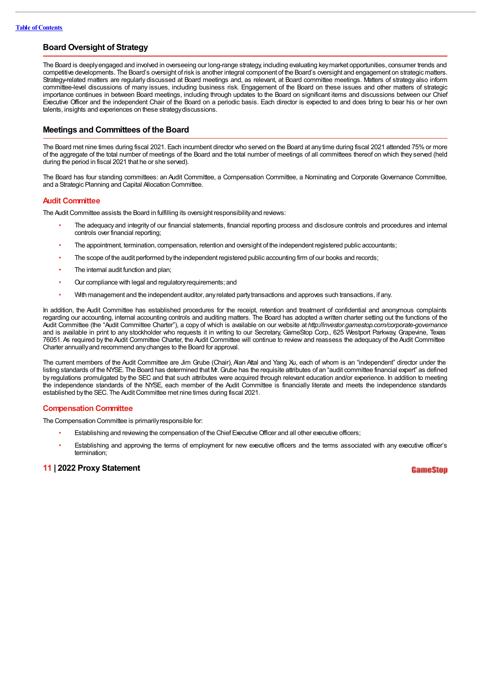#### **Board Oversight of Strategy**

The Board is deeplyengaged and involved in overseeing our long-range strategy, including evaluating keymarket opportunities, consumer trends and competitive developments. The Board's oversight of risk is another integral component of the Board's oversight and engagement on strategic matters. Strategy-related matters are regularly discussed at Board meetings and, as relevant, at Board committee meetings. Matters of strategy also inform committee-level discussions of many issues, including business risk. Engagement of the Board on these issues and other matters of strategic importance continues in between Board meetings, including through updates to the Board on significant items and discussions between our Chief Executive Officer and the independent Chair of the Board on a periodic basis. Each director is expected to and does bring to bear his or her own talents, insights and experiences on these strategydiscussions.

#### **Meetings and Committees of the Board**

The Board met nine times during fiscal 2021. Each incumbent director who served on the Board at anytime during fiscal 2021 attended 75% or more of the aggregate of the total number of meetings of the Board and the total number of meetings of all committees thereof on which they served (held during the period in fiscal 2021 that he or she served).

The Board has four standing committees: an Audit Committee, a Compensation Committee, a Nominating and Corporate Governance Committee, and a Strategic Planning and Capital Allocation Committee.

#### **Audit Committee**

The Audit Committee assists the Board in fulfilling its oversight responsibility and reviews:

- The adequacy and integrity of our financial statements, financial reporting process and disclosure controls and procedures and internal controls over financial reporting;
- The appointment, termination, compensation, retention and oversight of the independent registered public accountants;
- The scope of the audit performed by the independent registered public accounting firm of our books and records;
- The internal audit function and plan;
- Our compliance with legal and regulatoryrequirements; and
- With management and the independent auditor, anyrelated partytransactions and approves such transactions, if any.

In addition, the Audit Committee has established procedures for the receipt, retention and treatment of confidential and anonymous complaints regarding our accounting, internal accounting controls and auditing matters. The Board has adopted a written charter setting out the functions of the Audit Committee (the "Audit Committee Charter"), a copy of which is available on our website at *http:/ investor.gamestop.com/corporate-governance* and is available in print to any stockholder who requests it in writing to our Secretary, GameStop Corp., 625 Westport Parkway, Grapevine, Texas 76051. As required by the Audit Committee Charter, the Audit Committee will continue to review and reassess the adequacy of the Audit Committee Charter annuallyand recommend anychanges to the Board for approval.

The current members of the Audit Committee are Jim Grube (Chair), Alan Attal and Yang Xu, each of whom is an "independent" director under the listing standards of the NYSE. The Board has determined that Mr.Grube has the requisite attributes of an "audit committee financial expert" as defined by regulations promulgated by the SEC and that such attributes were acquired through relevant education and/or experience. In addition to meeting the independence standards of the NYSE, each member of the Audit Committee is financially literate and meets the independence standards established by the SEC. The Audit Committee met nine times during fiscal 2021.

#### **Compensation Committee**

The Compensation Committee is primarilyresponsible for:

- Establishing and reviewing the compensation of the Chief Executive Officer and all other executive officers;
- Establishing and approving the terms of employment for new executive officers and the terms associated with any executive officer's termination;

#### **11 | 2022 Proxy Statement**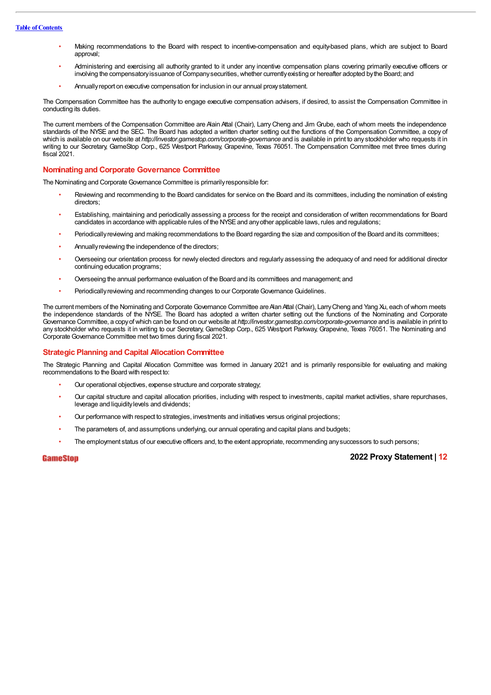#### **Table of Contents**

- Making recommendations to the Board with respect to incentive-compensation and equity-based plans, which are subject to Board annmyal<sup>.</sup>
- Administering and exercising all authority granted to it under any incentive compensation plans covering primarily executive officers or involving the compensatory issuance of Company securities, whether currently existing or hereafter adopted by the Board; and
- Annuallyreport on executive compensation for inclusion in our annual proxystatement.

The Compensation Committee has the authority to engage executive compensation advisers, if desired, to assist the Compensation Committee in conducting its duties.

The current members of the Compensation Committee are Alain Attal (Chair), LarryCheng and Jim Grube, each of whom meets the independence standards of the NYSE and the SEC. The Board has adopted a written charter setting out the functions of the Compensation Committee, a copy of which is available on our website at *http://investor.gamestop.com/corporate-governance* and is available in print to any stockholder who requests it in writing to our Secretary, GameStop Corp., 625 Westport Parkway, Grapevine, Texas 76051. The Compensation Committee met three times during fiscal 2021.

#### **Nominating and Corporate Governance Committee**

The Nominating and Corporate Governance Committee is primarily responsible for:

- Reviewing and recommending to the Board candidates for service on the Board and its committees, including the nomination of existing directors;
- Establishing, maintaining and periodically assessing a process for the receipt and consideration of written recommendations for Board candidates in accordance with applicable rules of the NYSE and any other applicable laws, rules and regulations;
- Periodically reviewing and making recommendations to the Board regarding the size and composition of the Board and its committees;
- Annually reviewing the independence of the directors;
- Overseeing our orientation process for newly elected directors and regularly assessing the adequacy of and need for additional director continuing education programs;
- Overseeing the annual performance evaluation of the Board and its committees and management; and
- Periodically reviewing and recommending changes to our Corporate Governance Guidelines.

The current members of the Nominating and Corporate Governance Committee are Aan Attal (Chair), Larry Cheng and Yang Xu, each of whom meets the independence standards of the NYSE. The Board has adopted a written charter setting out the functions of the Nominating and Corporate Governance Committee, a copyofwhich can be found on our website at *http:/ investor.gamestop.com/corporate-governance* and is available in print to any stockholder who requests it in writing to our Secretary, GameStop Corp., 625 Westport Parkway, Grapevine, Texas 76051. The Nominating and CorporateGovernance Committee met two times during fiscal 2021.

#### **Strategic Planning and Capital Allocation Committee**

The Strategic Planning and Capital Allocation Committee was formed in January 2021 and is primarily responsible for evaluating and making recommendations to the Board with respect to:

- Our operational objectives, expense structure and corporate strategy;
- Our capital structure and capital allocation priorities, including with respect to investments, capital market activities, share repurchases, leverage and liquiditylevels and dividends;
- Our performance with respect to strategies, investments and initiatives versus original projections;
- The parameters of, and assumptions underlying, our annual operating and capital plans and budgets;
- The employment status of our executive officers and, to the extent appropriate, recommending anysuccessors to such persons;

#### **GameStop**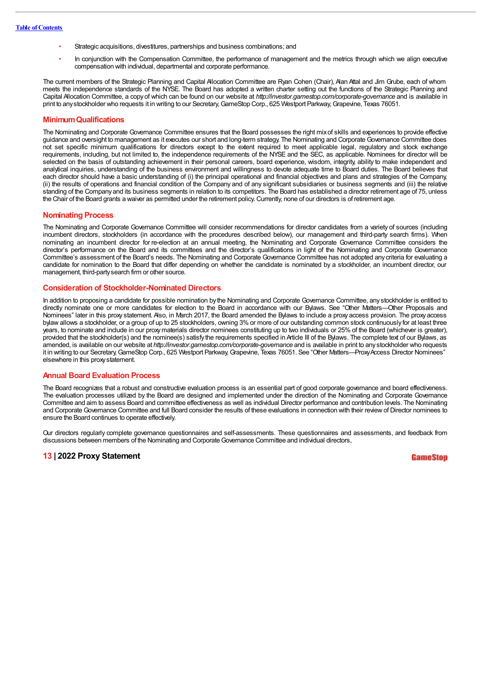- Strategic acquisitions, divestitures, partnerships and business combinations; and
- In conjunction with the Compensation Committee, the performance of management and the metrics through which we align executive compensation with individual, departmental and corporate performance.

The current members of the Strategic Planning and Capital Allocation Committee are Ryan Cohen (Chair), Alan Attal and Jim Grube, each of whom meets the independence standards of the NYSE. The Board has adopted a written charter setting out the functions of the Strategic Planning and Capital Allocation Committee, a copy of which can be found on our website at *http://investor.gamestop.com/corporate-governance* and is available in print to any stockholder who requests it in writing to our Secretary, GameStop Corp., 625 Westport Parkway, Grapevine, Texas 76051.

#### **MinimumQualifications**

The Nominating and Corporate Governance Committee ensures that the Board possesses the right mixof skills and experiences to provide effective guidance and oversight to management as it executes our short and long-term strategy. The Nominating and Corporate Governance Committee does not set specific minimum qualifications for directors except to the extent required to meet applicable legal, regulatory and stock exchange requirements, including, but not limited to, the independence requirements of the NYSE and the SEC, as applicable. Nominees for director will be selected on the basis of outstanding achievement in their personal careers, board experience, wisdom, integrity, ability to make independent and analytical inquiries, understanding of the business environment and willingness to devote adequate time to Board duties. The Board believes that each director should have a basic understanding of (i) the principal operational and financial objectives and plans and strategies of the Company, (ii) the results of operations and financial condition of the Company and of any significant subsidiaries or business segments and (iii) the relative standing of the Companyand its business segments in relation to its competitors. The Board has established a director retirement age of 75, unless the Chair of the Board grants a waiver as permitted under the retirement policy.Currently, none of our directors is of retirement age.

#### **Nominating Process**

The Nominating and Corporate Governance Committee will consider recommendations for director candidates from a variety of sources (including incumbent directors, stockholders (in accordance with the procedures described below), our management and third-party search firms). When nominating an incumbent director for re-election at an annual meeting, the Nominating and Corporate Governance Committee considers the director's performance on the Board and its committees and the director's qualifications in light of the Nominating and Corporate Governance Committee's assessment of the Board's needs. The Nominating and Corporate Governance Committee has not adopted any criteria for evaluating a candidate for nomination to the Board that differ depending on whether the candidate is nominated by a stockholder, an incumbent director, our management, third-partysearch firm or other source.

#### **Consideration of Stockholder-Nominated Directors**

In addition to proposing a candidate for possible nomination by the Nominating and Corporate Governance Committee, any stockholder is entitled to directly nominate one or more candidates for election to the Board in accordance with our Bylaws. See "Other Matters—Other Proposals and Nominees" later in this proxy statement. Also, in March 2017, the Board amended the Bylaws to include a proxy access provision. The proxy access bylaw allows a stockholder, or a group of up to 25 stockholders, owning 3% or more of our outstanding common stock continuously for at least three years, to nominate and include in our proxymaterials director nominees constituting up to two individuals or 25% of the Board (whichever is greater), provided that the stockholder(s) and the nominee(s) satisfy the requirements specified in Article III of the Bylaws. The complete text of our Bylaws, as amended, is available on our website at *http:/ investor.gamestop.com/corporate-governance* and is available in print to any stockholder who requests it in writing to our Secretary, GameStop Corp., 625 Westport Parkway, Grapevine, Texas 76051. See "Other Matters—Proxy Access Director Nominees" elsewhere in this proxystatement.

#### **Annual Board Evaluation Process**

The Board recognizes that a robust and constructive evaluation process is an essential part of good corporate governance and board effectiveness. The evaluation processes utilized by the Board are designed and implemented under the direction of the Nominating and Corporate Governance Committee and aim to assess Board and committee effectiveness as well as individual Director performance and contribution levels. The Nominating and Corporate Governance Committee and full Board consider the results of these evaluations in connection with their review of Director nominees to ensure the Board continues to operate effectively.

Our directors regularly complete governance questionnaires and self-assessments. These questionnaires and assessments, and feedback from discussions between members of the Nominating and CorporateGovernance Committee and individual directors,

#### **13 | 2022 Proxy Statement**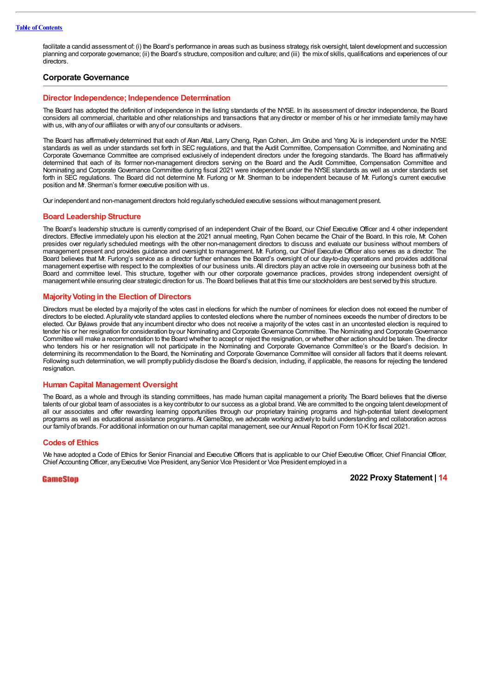facilitate a candid assessment of: (i) the Board's performance in areas such as business strategy, risk oversight, talent development and succession planning and corporate governance; (ii) the Board's structure, composition and culture; and (iii) the mixof skills, qualifications and experiences of our directors.

#### **Corporate Governance**

#### **Director Independence; Independence Determination**

The Board has adopted the definition of independence in the listing standards of the NYSE. In its assessment of director independence, the Board considers all commercial, charitable and other relationships and transactions that any director or member of his or her immediate family may have with us, with any of our affiliates or with any of our consultants or advisers.

The Board has affirmatively determined that each of Alan Attal, Larry Cheng, Ryan Cohen, Jim Grube and Yang Xu is independent under the NYSE standards as well as under standards set forth in SEC regulations, and that the Audit Committee, Compensation Committee, and Nominating and Corporate Governance Committee are comprised exclusively of independent directors under the foregoing standards. The Board has affirmatively determined that each of its former non-management directors serving on the Board and the Audit Committee, Compensation Committee and Nominating and Corporate Governance Committee during fiscal 2021 were independent under the NYSE standards as well as under standards set forth in SEC regulations. The Board did not determine Mr. Furlong or Mr. Sherman to be independent because of Mr. Furlong's current executive position and Mr. Sherman's former executive position with us.

Our independent and non-management directors hold regularlyscheduled executive sessions without management present.

#### **Board Leadership Structure**

The Board's leadership structure is currently comprised of an independent Chair of the Board, our Chief Executive Officer and 4 other independent directors. Effective immediately upon his election at the 2021 annual meeting, Ryan Cohen became the Chair of the Board. In this role, Mr. Cohen presides over regularly scheduled meetings with the other non-management directors to discuss and evaluate our business without members of management present and provides guidance and oversight to management. Mr. Furlong, our Chief Executive Officer also serves as a director. The Board believes that Mr. Furlong's service as a director further enhances the Board's oversight of our day-to-day operations and provides additional management expertise with respect to the complexities of our business units.All directors play an active role in overseeing our business both at the Board and committee level. This structure, together with our other corporate governance practices, provides strong independent oversight of managementwhile ensuring clear strategic direction for us. The Board believes that at this time our stockholders are best served bythis structure.

#### **MajorityVoting in the Election of Directors**

Directors must be elected by a majority of the votes cast in elections for which the number of nominees for election does not exceed the number of directors to be elected.Aplurality vote standard applies to contested elections where the number of nominees exceeds the number of directors to be elected. Our Bylaws provide that any incumbent director who does not receive a majority of the votes cast in an uncontested election is required to tender his or her resignation for consideration byour Nominating and Corporate Governance Committee. The Nominating and Corporate Governance Committee will make a recommendation to the Board whether to accept or reject the resignation, or whether other action should be taken. The director who tenders his or her resignation will not participate in the Nominating and Corporate Governance Committee's or the Board's decision. In determining its recommendation to the Board, the Nominating and Corporate Governance Committee will consider all factors that it deems relevant. Following such determination, we will promptly publicly disclose the Board's decision, including, if applicable, the reasons for rejecting the tendered resignation.

#### **Human Capital Management Oversight**

The Board, as a whole and through its standing committees, has made human capital management a priority. The Board believes that the diverse talents of our global team of associates is a keycontributor to our success as a global brand. We are committed to the ongoing talent development of all our associates and offer rewarding learning opportunities through our proprietary training programs and high-potential talent development programs as well as educational assistance programs.At GameStop, we advocate working actively to build understanding and collaboration across our familyof brands. For additional information on our human capital management, see our Annual Report on Form 10-Kfor fiscal 2021.

#### **Codes of Ethics**

We have adopted a Code of Ethics for Senior Financial and Executive Officers that is applicable to our Chief Executive Officer, Chief Financial Officer, Chief AccountingOfficer, anyExecutive Vice President, anySenior Vice President or Vice President employed in a

#### GameStop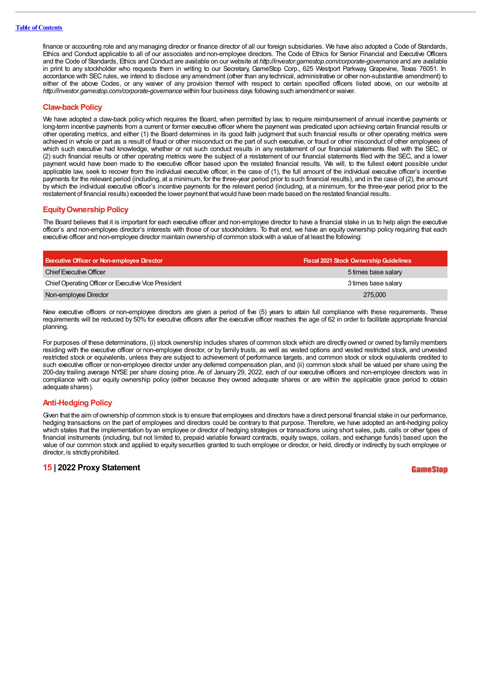finance or accounting role and any managing director or finance director of all our foreign subsidiaries. We have also adopted a Code of Standards, Ethics and Conduct applicable to all of our associates and non-employee directors. The Code of Ethics for Senior Financial and Executive Officers and the Code of Standards, Ethics and Conduct are available on our website at *http://investor.gamestop.com/corporate-governance* and are available in print to any stockholder who requests them in writing to our Secretary, GameStop Corp., 625 Westport Parkway, Grapevine, Texas 76051. In accordance with SEC rules, we intend to disclose any amendment (other than any technical, administrative or other non-substantive amendment) to either of the above Codes, or any waiver of any provision thereof with respect to certain specified officers listed above, on our website at *http:/ investor.gamestop.com/corporate-governance* within four business days following such amendment or waiver.

#### **Claw-back Policy**

We have adopted a claw-back policy which requires the Board, when permitted by law, to require reimbursement of annual incentive payments or long-term incentive payments from a current or former executive officer where the payment was predicated upon achieving certain financial results or other operating metrics, and either (1) the Board determines in its good faith judgment that such financial results or other operating metrics were achieved in whole or part as a result of fraud or other misconduct on the part of such executive, or fraud or other misconduct of other employees of which such executive had knowledge, whether or not such conduct results in any restatement of our financial statements filed with the SEC, or (2) such financial results or other operating metrics were the subject of a restatement of our financial statements filed with the SEC, and a lower payment would have been made to the executive officer based upon the restated financial results. We will, to the fullest extent possible under applicable law, seek to recover from the individual executive officer, in the case of (1), the full amount of the individual executive officer's incentive payments for the relevant period (including, at a minimum, for the three-year period prior to such financial results), and in the case of (2), the amount by which the individual executive officer's incentive payments for the relevant period (including, at a minimum, for the three-year period prior to the restatement of financial results) exceeded the lower payment thatwould have been made based on the restated financial results.

#### **EquityOwnership Policy**

The Board believes that it is important for each executive officer and non-employee director to have a financial stake in us to help align the executive officer's and non-employee director's interests with those of our stockholders. To that end, we have an equity ownership policy requiring that each executive officer and non-employee director maintain ownership of common stockwith a value of at least the following:

| <b>Executive Officer or Non-employee Director</b>   | <b>Fiscal 2021 Stock Ownership Guidelines</b> |
|-----------------------------------------------------|-----------------------------------------------|
| Chief Executive Officer                             | 5 times base salary                           |
| Chief Operating Officer or Executive Vice President | 3 times base salary                           |
| Non-employee Director                               | 275,000                                       |

New executive officers or non-employee directors are given a period of five (5) years to attain full compliance with these requirements. These requirements will be reduced by 50% for executive officers after the executive officer reaches the age of 62 in order to facilitate appropriate financial planning.

For purposes of these determinations, (i) stock ownership includes shares of common stock which are directly owned or owned by familymembers residing with the executive officer or non-employee director, or by family trusts, as well as vested options and vested restricted stock, and unvested restricted stock or equivalents, unless they are subject to achievement of performance targets, and common stock or stock equivalents credited to such executive officer or non-employee director under any deferred compensation plan, and (ii) common stock shall be valued per share using the 200-day trailing average NYSE per share closing price. As of January 29, 2022, each of our executive officers and non-employee directors was in compliance with our equity ownership policy (either because they owned adequate shares or are within the applicable grace period to obtain adequate shares).

#### **Anti-Hedging Policy**

Given that the aim of ownership of common stock is to ensure that employees and directors have a direct personal financial stake in our performance, hedging transactions on the part of employees and directors could be contrary to that purpose. Therefore, we have adopted an anti-hedging policy which states that the implementation by an employee or director of hedging strategies or transactions using short sales, puts, calls or other types of financial instruments (including, but not limited to, prepaid variable forward contracts, equity swaps, collars, and exchange funds) based upon the value of our common stock and applied to equity securities granted to such employee or director, or held, directly or indirectly, by such employee or director, is strictly prohibited.

#### **15 | 2022 Proxy Statement**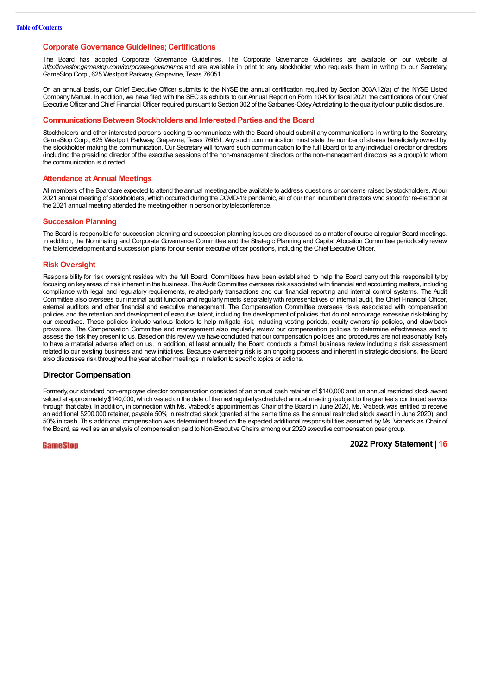#### **Corporate Governance Guidelines; Certifications**

The Board has adopted Corporate Governance Guidelines. The Corporate Governance Guidelines are available on our website at *http:/ investor.gamestop.com/corporate-governance* and are available in print to any stockholder who requests them in writing to our Secretary, GameStop Corp., 625 Westport Parkway,Grapevine, Texas 76051.

On an annual basis, our Chief Executive Officer submits to the NYSE the annual certification required by Section 303A.12(a) of the NYSE Listed CompanyManual. In addition, we have filed with the SEC as exhibits to our Annual Report on Form 10-K for fiscal 2021 the certifications of our Chief Executive Officer and Chief Financial Officer required pursuant to Section 302 of the Sarbanes-Oxley Act relating to the quality of our public disclosure.

#### **Communications Between Stockholders and Interested Parties and the Board**

Stockholders and other interested persons seeking to communicate with the Board should submit any communications in writing to the Secretary, GameStop Corp., 625 Westport Parkway, Grapevine, Texas 76051.Any such communication must state the number of shares beneficially owned by the stockholder making the communication. Our Secretarywill forward such communication to the full Board or to any individual director or directors (including the presiding director of the executive sessions of the non-management directors or the non-management directors as a group) to whom the communication is directed.

#### **Attendance at Annual Meetings**

All members of the Board are expected to attend the annual meeting and be available to address questions or concerns raised bystockholders. At our 2021 annual meeting of stockholders, which occurred during the COVID-19 pandemic, all of our then incumbent directors who stood for re-election at the 2021 annual meeting attended the meeting either in person or byteleconference.

#### **Succession Planning**

The Board is responsible for succession planning and succession planning issues are discussed as a matter of course at regular Board meetings. In addition, the Nominating and Corporate Governance Committee and the Strategic Planning and Capital Allocation Committee periodically review the talent development and succession plans for our senior executive officer positions, including the Chief ExecutiveOfficer.

#### **Risk Oversight**

Responsibility for risk oversight resides with the full Board. Committees have been established to help the Board carry out this responsibility by focusing on key areas of risk inherent in the business. The Audit Committee oversees risk associated with financial and accounting matters, including compliance with legal and regulatory requirements, related-party transactions and our financial reporting and internal control systems. The Audit Committee also oversees our internal audit function and regularlymeets separatelywith representatives of internal audit, the Chief Financial Officer, external auditors and other financial and executive management. The Compensation Committee oversees risks associated with compensation policies and the retention and development of executive talent, including the development of policies that do not encourage excessive risk-taking by our executives. These policies include various factors to help mitigate risk, including vesting periods, equity ownership policies, and claw-back provisions. The Compensation Committee and management also regularly review our compensation policies to determine effectiveness and to assess the risk they present to us. Based on this review, we have concluded that our compensation policies and procedures are not reasonably likely to have a material adverse effect on us. In addition, at least annually, the Board conducts a formal business review including a risk assessment related to our existing business and new initiatives. Because overseeing risk is an ongoing process and inherent in strategic decisions, the Board also discusses risk throughout the year at other meetings in relation to specific topics or actions.

#### **Director Compensation**

Formerly, our standard non-employee director compensation consisted of an annual cash retainer of \$140,000 and an annual restricted stock award valued at approximately \$140,000, which vested on the date of the next regularly scheduled annual meeting (subject to the grantee's continued service through that date). In addition, in connection with Ms. Vrabeck's appointment as Chair of the Board in June 2020, Ms. Vrabeck was entitled to receive an additional \$200,000 retainer, payable 50% in restricted stock (granted at the same time as the annual restricted stock award in June 2020), and 50% in cash. This additional compensation was determined based on the expected additional responsibilities assumed byMs. Vrabeck as Chair of the Board, as well as an analysis of compensation paid to Non-Executive Chairs among our 2020 executive compensation peer group.

#### GameStop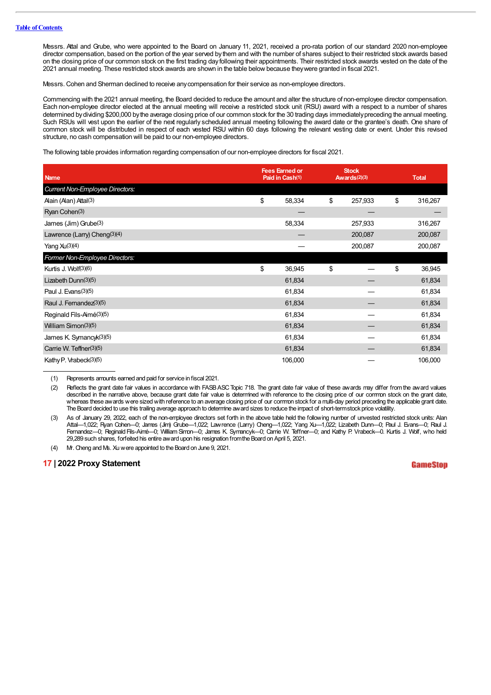Messrs. Attal and Grube, who were appointed to the Board on January 11, 2021, received a pro-rata portion of our standard 2020 non-employee director compensation, based on the portion of the year served by them and with the number of shares subject to their restricted stock awards based on the closing price of our common stock on the first trading day following their appointments. Their restricted stock awards vested on the date of the 2021 annual meeting. These restricted stock awards are shown in the table belowbecause theywere granted in fiscal 2021.

Messrs.Cohen and Sherman declined to receive anycompensation for their service as non-employee directors.

Commencing with the 2021 annual meeting, the Board decided to reduce the amount and alter the structure of non-employee director compensation. Each non-employee director elected at the annual meeting will receive a restricted stock unit (RSU) award with a respect to a number of shares determined bydividing \$200,000 bythe average closing price of our common stock for the 30 trading days immediatelypreceding the annual meeting. Such RSUs will vest upon the earlier of the next regularly scheduled annual meeting following the award date or the grantee's death. One share of common stock will be distributed in respect of each vested RSU within 60 days following the relevant vesting date or event. Under this revised structure, no cash compensation will be paid to our non-employee directors.

The following table provides information regarding compensation of our non-employee directors for fiscal 2021.

| <b>Name</b>                              | <b>Fees Earned or</b><br>Paid in Cash(1) |         | <b>Stock</b><br>Awards $(2)(3)$ |         | <b>Total</b> |         |
|------------------------------------------|------------------------------------------|---------|---------------------------------|---------|--------------|---------|
| Current Non-Employee Directors:          |                                          |         |                                 |         |              |         |
| Alain (Alan) Attal(3)                    | \$                                       | 58,334  | \$                              | 257,933 | \$           | 316,267 |
| Ryan Cohen(3)                            |                                          |         |                                 |         |              |         |
| James (Jim) Grube(3)                     |                                          | 58,334  |                                 | 257,933 |              | 316,267 |
| Lawrence (Larry) Cheng <sup>(3)(4)</sup> |                                          |         |                                 | 200,087 |              | 200,087 |
| Yang $Xu(3)(4)$                          |                                          |         |                                 | 200,087 |              | 200,087 |
| Former Non-Employee Directors:           |                                          |         |                                 |         |              |         |
| Kurtis J. Wolf(3)(6)                     | \$                                       | 36,945  | \$                              |         | \$           | 36,945  |
| Lizabeth Dunn(3)(5)                      |                                          | 61,834  |                                 |         |              | 61,834  |
| Paul J. Evans(3)(5)                      |                                          | 61,834  |                                 |         |              | 61,834  |
| Raul J. Fernandez <sup>(3)(5)</sup>      |                                          | 61,834  |                                 |         |              | 61,834  |
| Reginald Fils-Aimé(3)(5)                 |                                          | 61,834  |                                 |         |              | 61,834  |
| William Simon(3)(5)                      |                                          | 61,834  |                                 |         |              | 61,834  |
| James K. Symancyk(3)(5)                  |                                          | 61,834  |                                 |         |              | 61,834  |
| Carrie W. Teffner(3)(5)                  |                                          | 61,834  |                                 |         |              | 61,834  |
| Kathy P. Vrabeck(3)(5)                   |                                          | 106,000 |                                 |         |              | 106,000 |

(1) Represents amounts earned and paid for service in fiscal 2021.

(2) Reflects the grant date fair values in accordance with FASBASCTopic 718. The grant date fair value of these awards may differ fromthe award values described in the narrative above, because grant date fair value is determined with reference to the closing price of our common stock on the grant date, whereas these awards were sizedwith reference to an average closing price of our common stock for a multi-day period preceding the applicable grant date. The Board decided to use this trailing average approach to determine award sizes to reduce the impact of short-termstock price volatility.

(3) As of January 29, 2022, each of the non-employee directors set forth in the above table held the following number of unvested restricted stock units: Alan Attal—1,022; Ryan Cohen—0; James (Jim) Grube—1,022; Lawrence (Larry) Cheng—1,022; Yang Xu—1,022; Lizabeth Dunn—0; Paul J. Evans—0; Raul J. Fernandez—0; Reginald Fils-Aimé—0; William Simon—0; James K. Symancyk—0; Carrie W. Teffner—0; and Kathy P. Vrabeck—0. Kurtis J. Wolf, who held 29,289 such shares, forfeited his entire award upon his resignation fromthe Board on April 5, 2021.

(4) Mr. Cheng and Ms. Xuwere appointed to the Board on June 9, 2021.

#### **17 | 2022 Proxy Statement**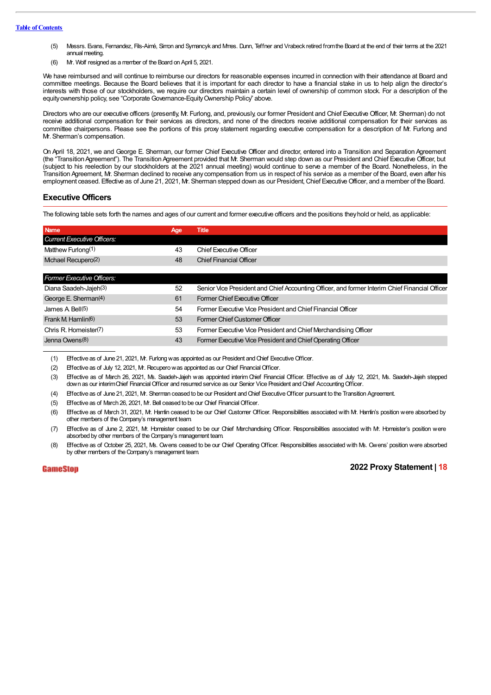- (5) Messrs. Evans, Fernandez, Fils-Aimé, Simon and Symancyk and Mmes. Dunn, Teffner and Vrabeck retired fromthe Board at the end of their terms at the 2021 annual meeting.
- (6) Mr. Wolf resigned as a member of the Board on April 5, 2021.

We have reimbursed and will continue to reimburse our directors for reasonable expenses incurred in connection with their attendance at Board and committee meetings. Because the Board believes that it is important for each director to have a financial stake in us to help align the director's interests with those of our stockholders, we require our directors maintain a certain level of ownership of common stock. For a description of the equity ownership policy, see "Corporate Governance-Equity Ownership Policy" above.

Directors who are our executive officers (presently, Mr. Furlong, and, previously, our former President and Chief Executive Officer, Mr. Sherman) do not receive additional compensation for their services as directors, and none of the directors receive additional compensation for their services as committee chairpersons. Please see the portions of this proxy statement regarding executive compensation for a description of Mr. Furlong and Mr. Sherman's compensation.

On April 18, 2021, we and George E. Sherman, our former Chief Executive Officer and director, entered into a Transition and Separation Agreement (the "Transition Agreement"). The Transition Agreement provided that Mr. Sherman would step down as our President and Chief Executive Officer, but (subject to his reelection by our stockholders at the 2021 annual meeting) would continue to serve a member of the Board. Nonetheless, in the Transition Agreement, Mr. Sherman declined to receive any compensation from us in respect of his service as a member of the Board, even after his employment ceased. Effective as of June 21, 2021, M. Sherman stepped down as our President, Chief Executive Officer, and a member of the Board.

#### **Executive Officers**

The following table sets forth the names and ages of our current and former executive officers and the positions theyhold or held, as applicable:

| <b>Name</b>                        | Age | Title                                                                                          |
|------------------------------------|-----|------------------------------------------------------------------------------------------------|
| <b>Current Executive Officers:</b> |     |                                                                                                |
| Matthew Furlong(1)                 | 43  | Chief Executive Officer                                                                        |
| Mchael Recupero(2)                 | 48  | <b>Chief Financial Officer</b>                                                                 |
|                                    |     |                                                                                                |
| <b>Former Executive Officers:</b>  |     |                                                                                                |
| Diana Saadeh-Jajeh <sup>(3)</sup>  | 52  | Senior Vice President and Chief Accounting Officer, and former Interim Chief Financial Officer |
| George E. Sherman(4)               | 61  | Former Chief Executive Officer                                                                 |
| James A Bell(5)                    | 54  | Former Executive Vice President and Chief Financial Officer                                    |
| Frank M Hamlin(6)                  | 53  | Former Chief Customer Officer                                                                  |
| Chris R. Homeister(7)              | 53  | Former Executive Vice President and Chief Merchandising Officer                                |
| Jenna Owens <sup>(8)</sup>         | 43  | Former Executive Vice President and Chief Operating Officer                                    |

(1) Effective as of June 21, 2021, M. Furlong was appointed as our President and Chief Executive Officer.

(2) Effective as of July 12, 2021, Mr. Recuperowas appointed as our Chief FinancialOfficer.

(3) Effective as of March 26, 2021, Ms. Saadeh-Jajeh was appointed interim Chief Financial Officer. Effective as of July 12, 2021, Ms. Saadeh-Jajeh stepped down as our interim Chief Financial Officer and resumed service as our Senior Vice President and Chief Accounting Officer.

(4) Effective as of June 21, 2021, Mr. Sherman ceased to be our President and Chief Executive Officer pursuant to the Transition Agreement.

(5) Effective as of March 26, 2021, Mr. Bell ceased to be our Chief FinancialOfficer.

(6) Effective as of March 31, 2021, Mr. Hamlin ceased to be our Chief Customer Officer. Responsibilities associated with Mr. Hamlin's position were absorbed by other members of the Company's management team.

(7) Effective as of June 2, 2021, Mr. Homeister ceased to be our Chief Merchandising Officer. Responsibilities associated with Mr. Homeister's position were absorbed by other members of the Company's management team.

(8) Effective as of October 25, 2021, Ms. Owens ceased to be our Chief Operating Officer. Responsibilities associated with Ms. Owens' position were absorbed by other members of the Company's management team.

**GameStop**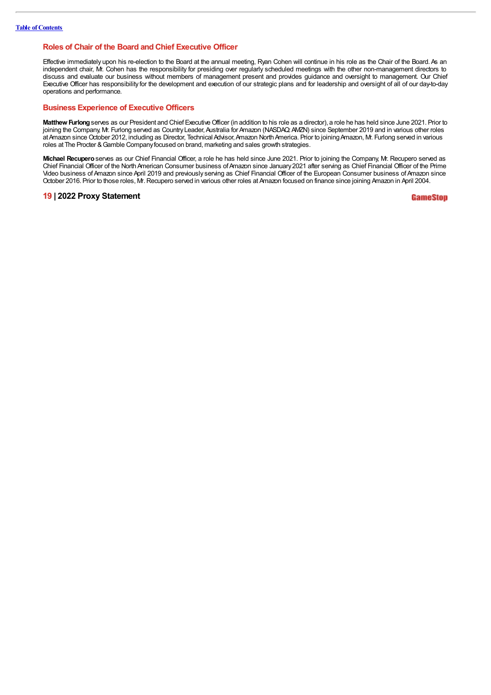#### **Roles of Chair of the Board and Chief Executive Officer**

Effective immediately upon his re-election to the Board at the annual meeting, Ryan Cohen will continue in his role as the Chair of the Board. As an independent chair, Mr. Cohen has the responsibility for presiding over regularly scheduled meetings with the other non-management directors to discuss and evaluate our business without members of management present and provides guidance and oversight to management. Our Chief Executive Officer has responsibility for the development and execution of our strategic plans and for leadership and oversight of all of our day-to-day operations and performance.

#### **Business Experience of Executive Officers**

Matthew Furlong serves as our President and Chief Executive Officer (in addition to his role as a director), a role he has held since June 2021. Prior to joining the Company, Mr. Furlong served as Country Leader, Australia for Amazon (NASDAQ: AWZN) since September 2019 and in various other roles at Amazon since October 2012, including as Director, Technical Advisor, Amazon North America. Prior to joining Amazon, Mr. Furlong served in various roles at The Procter & Gamble Company focused on brand, marketing and sales growth strategies.

**Michael Recupero**serves as our Chief Financial Officer, a role he has held since June 2021. Prior to joining the Company, Mr. Recupero served as Chief Financial Officer of the North American Consumer business of Amazon since January 2021 after serving as Chief Financial Officer of the Prime Video business ofAmazon since April 2019 and previously serving as Chief Financial Officer of the European Consumer business ofAmazon since October 2016. Prior to those roles, Mr.Recupero served in various other roles at Amazon focused on finance since joining Amazon in April 2004.

#### **19 | 2022 Proxy Statement**

GameSton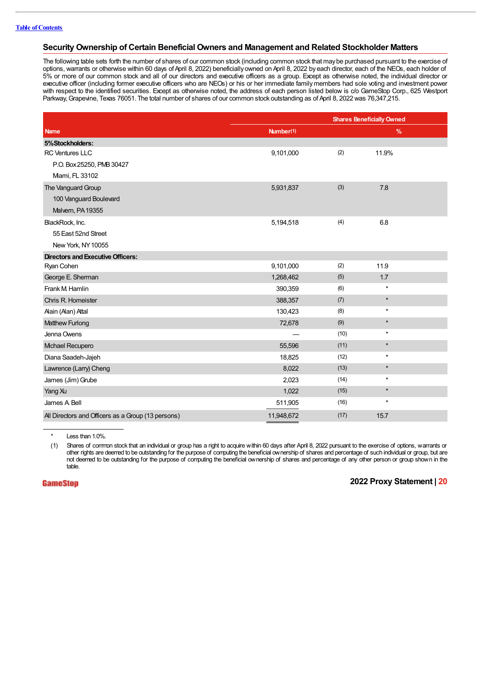#### **Security Ownership of Certain Beneficial Owners and Management and Related Stockholder Matters**

The following table sets forth the number of shares of our common stock (including common stock that maybe purchased pursuant to the exercise of options, warrants or otherwise within 60 days of April 8, 2022) beneficially owned on April 8, 2022 by each director, each of the NEOs, each holder of 5% or more of our common stock and all of our directors and executive officers as a group. Except as otherwise noted, the individual director or executive officer (including former executive officers who are NEOs) or his or her immediate familymembers had sole voting and investment power with respect to the identified securities. Except as otherwise noted, the address of each person listed below is c/o GameStop Corp., 625 Westport Parkway, Grapevine, Texas 76051. The total number of shares of our common stock outstanding as of April 8, 2022 was 76,347,215.

|                                                    |            | <b>Shares Beneficially Owned</b> |         |  |
|----------------------------------------------------|------------|----------------------------------|---------|--|
| <b>Name</b>                                        | Number(1)  |                                  | $\%$    |  |
| 5%Stockholders:                                    |            |                                  |         |  |
| <b>RC Ventures LLC</b>                             | 9,101,000  | (2)                              | 11.9%   |  |
| P.O. Box 25250, PMB 30427                          |            |                                  |         |  |
| Mami, FL 33102                                     |            |                                  |         |  |
| The Vanguard Group                                 | 5,931,837  | (3)                              | 7.8     |  |
| 100 Vanguard Boulevard                             |            |                                  |         |  |
| Malvern, PA 19355                                  |            |                                  |         |  |
| BlackRock, Inc.                                    | 5,194,518  | (4)                              | 6.8     |  |
| 55 East 52nd Street                                |            |                                  |         |  |
| New York, NY 10055                                 |            |                                  |         |  |
| <b>Directors and Executive Officers:</b>           |            |                                  |         |  |
| Ryan Cohen                                         | 9,101,000  | (2)                              | 11.9    |  |
| George E. Sherman                                  | 1,268,462  | (5)                              | 1.7     |  |
| Frank M. Hamlin                                    | 390,359    | (6)                              | $\star$ |  |
| Chris R. Homeister                                 | 388,357    | (7)                              | $\star$ |  |
| Alain (Alan) Attal                                 | 130,423    | (8)                              | $\star$ |  |
| Matthew Furlong                                    | 72,678     | (9)                              | $\star$ |  |
| Jenna Owens                                        |            | (10)                             | $\star$ |  |
| Mchael Recupero                                    | 55,596     | (11)                             | $\star$ |  |
| Diana Saadeh-Jajeh                                 | 18,825     | (12)                             | $\star$ |  |
| Lawrence (Larry) Cheng                             | 8,022      | (13)                             | $\star$ |  |
| James (Jim) Grube                                  | 2,023      | (14)                             | $\star$ |  |
| Yang Xu                                            | 1,022      | (15)                             | $\star$ |  |
| James A Bell                                       | 511,905    | (16)                             | $\star$ |  |
| All Directors and Officers as a Group (13 persons) | 11,948,672 | (17)                             | 15.7    |  |

\* Less than 1.0%.

(1) Shares of common stock that an individual or group has a right to acquire within 60 days after April 8, 2022 pursuant to the exercise of options, warrants or other rights are deemed to be outstanding for the purpose of computing the beneficial ownership of shares and percentage of such individual or group, but are not deemed to be outstanding for the purpose of computing the beneficial ownership of shares and percentage of any other person or group shown in the table.

**GameStop**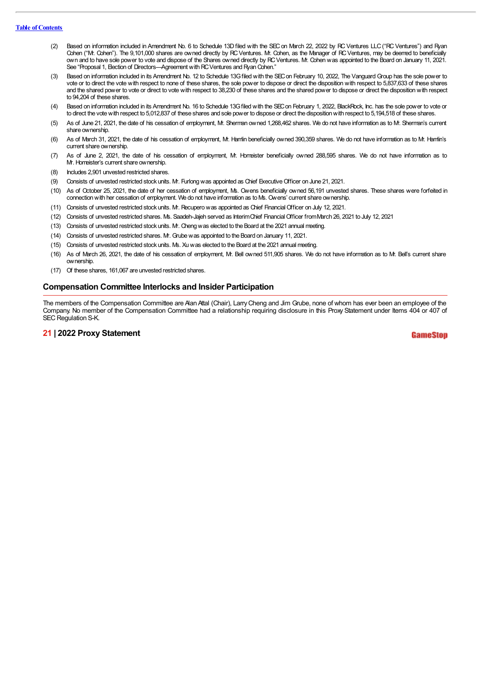#### **Table of Contents**

- (2) Based on information included in Amendment No. 6 to Schedule 13D filed with the SEC on March 22, 2022 by RC Ventures LLC ("RC Ventures") and Ryan Cohen ("Mr. Cohen"). The 9,101,000 shares are owned directly by RCVentures. Mr. Cohen, as the Manager of RCVentures, may be deemed to beneficially own and to have sole power to vote and dispose of the Shares owned directly by RCVentures. Mr. Cohen was appointed to the Board on January 11, 2021. See "Proposal 1, Election of Directors—Agreement with RC Ventures and Ryan Cohen."
- (3) Based on information included in its Amendment No. 12 to Schedule 13Gfiled with the SECon February 10, 2022, The Vanguard Group has the sole power to vote or to direct the vote with respect to none of these shares, the sole power to dispose or direct the disposition with respect to 5,837,633 of these shares and the shared power to vote or direct to vote with respect to 38,230 of these shares and the shared power to dispose or direct the disposition with respect to 94,204 of these shares.
- (4) Based on information included in its Amendment No. 16 to Schedule 13Gfiled with the SECon February 1, 2022, BlackRock, Inc. has the sole power to vote or to direct the votewith respect to 5,012,837 of these shares and sole power to dispose or direct the dispositionwith respect to 5,194,518 of these shares.
- (5) As of June 21, 2021, the date of his cessation of employment, Mr. Sherman owned 1,268,462 shares. We do not have information as to Mr. Sherman's current share ownership.
- (6) As of March 31, 2021, the date of his cessation of employment, Mr. Hamlin beneficially owned 390,359 shares. We do not have information as to Mr. Hamlin's current share ownership.
- (7) As of June 2, 2021, the date of his cessation of employment, Mr. Homeister beneficially owned 288,595 shares. We do not have information as to Mr. Homeister's current share ownership.
- (8) Includes 2,901 unvested restricted shares.
- (9) Consists of unvested restricted stock units. Mr. Furlong was appointed as Chief Executive Officer on June 21, 2021.
- (10) As of October 25, 2021, the date of her cessation of employment, Ms. Owens beneficially owned 56,191 unvested shares. These shares were forfeited in connectionwith her cessation of employment. We do not have information as to Ms. Owens' current share ownership.
- (11) Consists of unvested restricted stock units. Mr. Recuperowas appointed as Chief FinancialOfficer on July 12, 2021.
- (12) Consists of unvested restricted shares. Ms. Saadeh-Jajeh served as InterimChief FinancialOfficer fromMarch 26, 2021 to July 12, 2021
- (13) Consists of unvested restricted stock units. Mr. Chengwas elected to the Board at the 2021 annual meeting.
- (14) Consists of unvested restricted shares. Mr. Grubewas appointed to the Board on January 11, 2021.
- (15) Consists of unvested restricted stock units. Ms. Xuwas elected to the Board at the 2021 annual meeting.
- (16) As of March 26, 2021, the date of his cessation of employment, Mr. Bell owned 511,905 shares. We do not have information as to Mr. Bell's current share ownership.
- (17) Of these shares, 161,067 are unvested restricted shares.

#### **Compensation Committee Interlocks and Insider Participation**

The members of the Compensation Committee are Alan Attal (Chair), LarryCheng and Jim Grube, none of whom has ever been an employee of the Company. No member of the Compensation Committee had a relationship requiring disclosure in this Proxy Statement under Items 404 or 407 of SEC Regulation S-K.

#### **21 | 2022 Proxy Statement**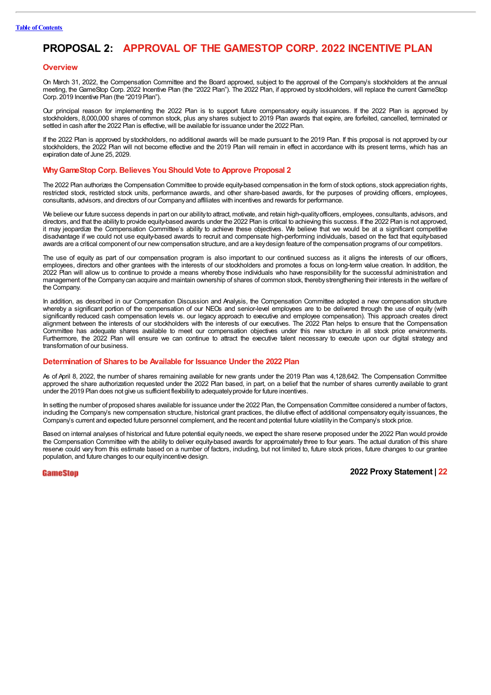# **PROPOSAL 2: APPROVAL OF THE GAMESTOP CORP. 2022 INCENTIVE PLAN**

#### **Overview**

On March 31, 2022, the Compensation Committee and the Board approved, subject to the approval of the Company's stockholders at the annual meeting, the GameStop Corp. 2022 Incentive Plan (the "2022 Plan"). The 2022 Plan, if approved by stockholders, will replace the current GameStop Corp. 2019 Incentive Plan (the "2019 Plan").

Our principal reason for implementing the 2022 Plan is to support future compensatory equity issuances. If the 2022 Plan is approved by stockholders, 8,000,000 shares of common stock, plus any shares subject to 2019 Plan awards that expire, are forfeited, cancelled, terminated or settled in cash after the 2022 Plan is effective, will be available for issuance under the 2022 Plan.

If the 2022 Plan is approved by stockholders, no additional awards will be made pursuant to the 2019 Plan. If this proposal is not approved by our stockholders, the 2022 Plan will not become effective and the 2019 Plan will remain in effect in accordance with its present terms, which has an expiration date of June 25, 2029.

#### **WhyGameStop Corp. Believes You Should Vote to Approve Proposal 2**

The 2022 Plan authorizes the Compensation Committee to provide equity-based compensation in the form of stock options, stock appreciation rights, restricted stock, restricted stock units, performance awards, and other share-based awards, for the purposes of providing officers, employees, consultants, advisors, and directors of our Companyand affiliates with incentives and rewards for performance.

We believe our future success depends in part on our abilityto attract, motivate, and retain high-qualityofficers, employees, consultants, advisors, and directors, and that the abilityto provide equity-based awards under the 2022 Plan is critical to achieving this success. If the 2022 Plan is not approved, it may jeopardize the Compensation Committee's ability to achieve these objectives. We believe that we would be at a significant competitive disadvantage if we could not use equity-based awards to recruit and compensate high-performing individuals, based on the fact that equity-based awards are a critical component of our new compensation structure, and are a key design feature of the compensation programs of our competitors.

The use of equity as part of our compensation program is also important to our continued success as it aligns the interests of our officers, employees, directors and other grantees with the interests of our stockholders and promotes a focus on long-term value creation. In addition, the 2022 Plan will allow us to continue to provide a means whereby those individuals who have responsibility for the successful administration and management of the Companycan acquire and maintain ownership of shares of common stock, therebystrengthening their interests in the welfare of the Company.

In addition, as described in our Compensation Discussion and Analysis, the Compensation Committee adopted a new compensation structure whereby a significant portion of the compensation of our NEOs and senior-level employees are to be delivered through the use of equity (with significantly reduced cash compensation levels vs. our legacy approach to executive and employee compensation). This approach creates direct alignment between the interests of our stockholders with the interests of our executives. The 2022 Plan helps to ensure that the Compensation Committee has adequate shares available to meet our compensation objectives under this new structure in all stock price environments. Furthermore, the 2022 Plan will ensure we can continue to attract the executive talent necessary to execute upon our digital strategy and transformation of our business.

#### **Determination of Shares to be Available for Issuance Under the 2022 Plan**

As of April 8, 2022, the number of shares remaining available for new grants under the 2019 Plan was 4,128,642. The Compensation Committee approved the share authorization requested under the 2022 Plan based, in part, on a belief that the number of shares currently available to grant under the 2019 Plan does not give us sufficient flexibilityto adequatelyprovide for future incentives.

In setting the number of proposed shares available for issuance under the 2022 Plan, the Compensation Committee considered a number of factors, including the Company's new compensation structure, historical grant practices, the dilutive effect of additional compensatory equity issuances, the Company's current and expected future personnel complement, and the recent and potential future volatilityin the Company's stock price.

Based on internal analyses of historical and future potential equityneeds, we expect the share reserve proposed under the 2022 Plan would provide the Compensation Committee with the ability to deliver equity-based awards for approximately three to four years. The actual duration of this share reserve could vary from this estimate based on a number of factors, including, but not limited to, future stock prices, future changes to our grantee population, and future changes to our equityincentive design.

#### **GameStop**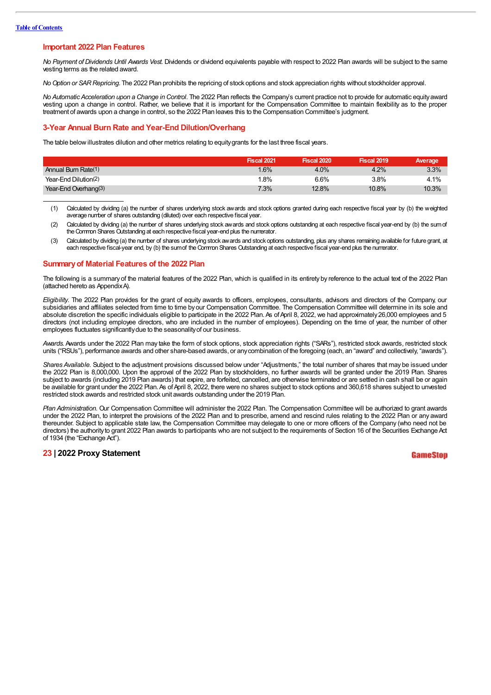#### **Important 2022 Plan Features**

*No Payment of Dividends Until Awards Vest.* Dividends or dividend equivalents payable with respect to 2022 Plan awards will be subject to the same vesting terms as the related award.

*NoOption or SARRepricing*. The 2022 Plan prohibits the repricing of stock options and stock appreciation rights without stockholder approval.

*No Automatic Acceleration upon a Change in Control*. The 2022 Plan reflects the Company's current practice not to provide for automatic equityaward vesting upon a change in control. Rather, we believe that it is important for the Compensation Committee to maintain flexibility as to the proper treatment of awards upon a change in control, so the 2022 Plan leaves this to the Compensation Committee's judgment.

#### **3-Year Annual Burn Rate and Year-End Dilution/Overhang**

The table below illustrates dilution and other metrics relating to equity grants for the last three fiscal years.

|                         | <b>Fiscal 2021</b> | <b>Fiscal 2020</b> | <b>Fiscal 2019</b> | Average |
|-------------------------|--------------------|--------------------|--------------------|---------|
| Annual Burn Rate(1)     | $1.6\%$            | 4.0%               | 4.2%               | 3.3%    |
| Year-End Dilution(2)    | $.8\%$             | 6.6%               | 3.8%               | 4.1%    |
| Year-End Overhang $(3)$ | 7.3%               | 12.8%              | 10.8%              | 10.3%   |

(1) Calculated by dividing (a) the number of shares underlying stock awards and stock options granted during each respective fiscal year by (b) the weighted average number of shares outstanding (diluted) over each respective fiscal year.

- (2) Calculated by dividing (a) the number of shares underlying stock awards and stock options outstanding at each respective fiscal year-end by (b) the sumof the Common Shares Outstanding at each respective fiscal year-end plus the numerator.
- (3) Calculated by dividing (a) the number of shares underlying stock awards and stock options outstanding, plus any shares remaining available for future grant, at each respective fiscal-year end, by (b) the sumof the Common Shares Outstanding at each respective fiscal year-end plus the numerator.

#### **Summaryof Material Features of the 2022 Plan**

The following is a summary of the material features of the 2022 Plan, which is qualified in its entirety by reference to the actual text of the 2022 Plan (attached hereto as AppendixA).

*Eligibility.* The 2022 Plan provides for the grant of equity awards to officers, employees, consultants, advisors and directors of the Company, our subsidiaries and affiliates selected from time to time byour Compensation Committee. The Compensation Committee will determine in its sole and absolute discretion the specific individuals eligible to participate in the 2022 Plan. As of April 8, 2022, we had approximately 26,000 employees and 5 directors (not including employee directors, who are included in the number of employees). Depending on the time of year, the number of other employees fluctuates significantlydue to the seasonalityof our business.

*Awards.*Awards under the 2022 Plan may take the form of stock options, stock appreciation rights ("SARs"), restricted stock awards, restricted stock units ("RSUs"), performance awards and other share-based awards, or anycombination of the foregoing (each, an "award" and collectively, "awards").

*Shares Available.* Subject to the adjustment provisions discussed below under "Adjustments," the total number of shares that may be issued under the 2022 Plan is 8,000,000. Upon the approval of the 2022 Plan by stockholders, no further awards will be granted under the 2019 Plan. Shares subject to awards (including 2019 Plan awards) that expire, are forfeited, cancelled, are otherwise terminated or are settled in cash shall be or again be available for grant under the 2022 Plan. As of April 8, 2022, there were no shares subject to stock options and 360,618 shares subject to unvested restricted stock awards and restricted stock unit awards outstanding under the 2019 Plan.

*Plan Administration.* Our Compensation Committee will administer the 2022 Plan. The Compensation Committee will be authorized to grant awards under the 2022 Plan, to interpret the provisions of the 2022 Plan and to prescribe, amend and rescind rules relating to the 2022 Plan or any award thereunder. Subject to applicable state law, the Compensation Committee may delegate to one or more officers of the Company (who need not be directors) the authority to grant 2022 Plan awards to participants who are not subject to the requirements of Section 16 of the Securities Exchange Act of 1934 (the "Exchange Act").

#### **23 | 2022 Proxy Statement**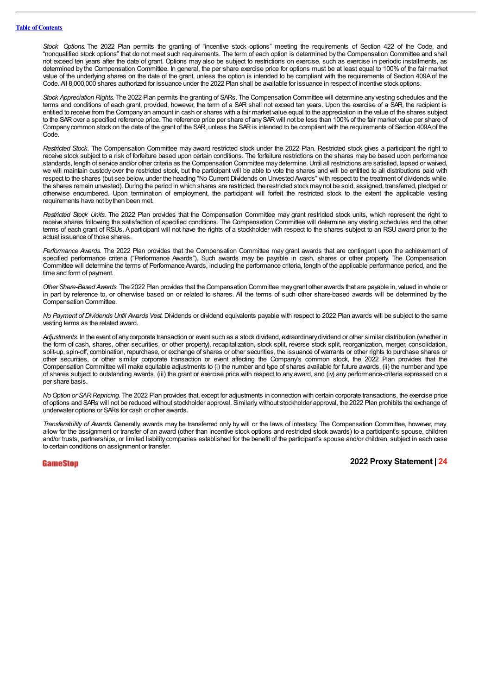*Stock Options.* The 2022 Plan permits the granting of "incentive stock options" meeting the requirements of Section 422 of the Code, and "nonqualified stock options" that do not meet such requirements. The term of each option is determined by the Compensation Committee and shall not exceed ten years after the date of grant. Options may also be subject to restrictions on exercise, such as exercise in periodic installments, as determined by the Compensation Committee. In general, the per share exercise price for options must be at least equal to 100% of the fair market value of the underlying shares on the date of the grant, unless the option is intended to be compliant with the requirements of Section 409Aof the Code. All 8,000,000 shares authorized for issuance under the 2022 Plan shall be available for issuance in respect of incentive stock options.

*Stock Appreciation Rights.* The 2022 Plan permits the granting of SARs. The Compensation Committee will determine anyvesting schedules and the terms and conditions of each grant, provided, however, the term of a SAR shall not exceed ten years. Upon the exercise of a SAR, the recipient is entitled to receive from the Companyan amount in cash or shares with a fair market value equal to the appreciation in the value of the shares subject to the SAR over a specified reference price. The reference price per share of any SAR will not be less than 100% of the fair market value per share of Companycommon stock on the date of the grant of the SAR, unless the SARis intended to be compliant with the requirements of Section 409Aof the Code.

*Restricted Stock.* The Compensation Committee may award restricted stock under the 2022 Plan. Restricted stock gives a participant the right to receive stock subject to a risk of forfeiture based upon certain conditions. The forfeiture restrictions on the shares may be based upon performance standards, length of service and/or other criteria as the Compensation Committee maydetermine. Until all restrictions are satisfied, lapsed or waived, we will maintain custody over the restricted stock, but the participant will be able to vote the shares and will be entitled to all distributions paid with respect to the shares (but see below, under the heading "No Current Dividends on Unvested Awards" with respect to the treatment of dividends while the shares remain unvested). During the period in which shares are restricted, the restricted stock maynot be sold, assigned, transferred, pledged or otherwise encumbered. Upon termination of employment, the participant will forfeit the restricted stock to the extent the applicable vesting requirements have not bythen been met.

*Restricted Stock Units.* The 2022 Plan provides that the Compensation Committee may grant restricted stock units, which represent the right to receive shares following the satisfaction of specified conditions. The Compensation Committee will determine any vesting schedules and the other terms of each grant of RSUs. Aparticipant will not have the rights of a stockholder with respect to the shares subject to an RSU award prior to the actual issuance of those shares.

*Performance Awards.* The 2022 Plan provides that the Compensation Committee may grant awards that are contingent upon the achievement of specified performance criteria ("Performance Awards"). Such awards may be payable in cash, shares or other property. The Compensation Committee will determine the terms of Performance Awards, including the performance criteria, length of the applicable performance period, and the time and form of payment.

*Other Share-Based Awards.* The 2022 Plan provides that the Compensation Committee maygrant other awards that are payable in, valued in whole or in part by reference to, or otherwise based on or related to shares. All the terms of such other share-based awards will be determined by the Compensation Committee.

*No Payment of Dividends Until Awards Vest.* Dividends or dividend equivalents payable with respect to 2022 Plan awards will be subject to the same vesting terms as the related award.

Adjustments. In the event of any corporate transaction or event such as a stock dividend, extraordinary dividend or other similar distribution (whether in the form of cash, shares, other securities, or other property), recapitalization, stock split, reverse stock split, reorganization, merger, consolidation, split-up, spin-off, combination, repurchase, or exchange of shares or other securities, the issuance of warrants or other rights to purchase shares or other securities, or other similar corporate transaction or event affecting the Company's common stock, the 2022 Plan provides that the Compensation Committee will make equitable adjustments to (i) the number and type of shares available for future awards, (ii) the number and type of shares subject to outstanding awards, (iii) the grant or exercise price with respect to any award, and (iv) any performance-criteria expressed on a per share basis.

*NoOption or SARRepricing.* The 2022 Plan provides that, except for adjustments in connection with certain corporate transactions, the exercise price of options and SARs will not be reduced without stockholder approval. Similarly,without stockholder approval, the 2022 Plan prohibits the exchange of underwater options or SARs for cash or other awards.

*Transferability of Awards.*Generally, awards may be transferred only by will or the laws of intestacy. The Compensation Committee, however, may allow for the assignment or transfer of an award (other than incentive stock options and restricted stock awards) to a participant's spouse, children and/or trusts, partnerships, or limited liability companies established for the benefit of the participant's spouse and/or children, subject in each case to certain conditions on assignment or transfer.

#### GameStop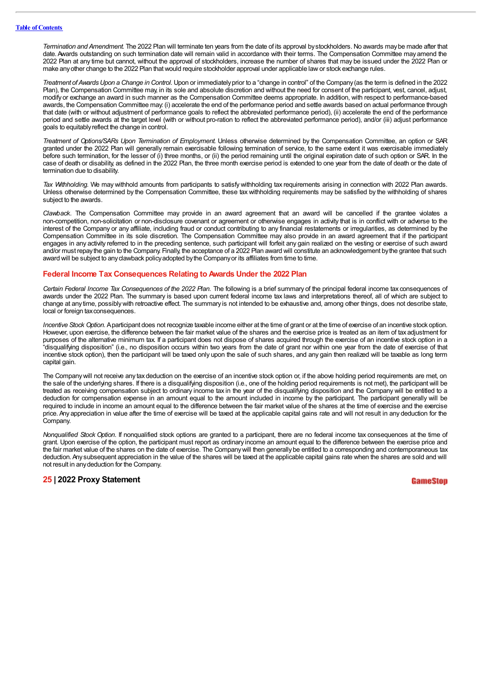*Termination and Amendment.* The 2022 Plan will terminate ten years from the date of its approval bystockholders. No awards maybe made after that date. Awards outstanding on such termination date will remain valid in accordance with their terms. The Compensation Committee may amend the 2022 Plan at any time but cannot, without the approval of stockholders, increase the number of shares that may be issued under the 2022 Plan or make anyother change to the 2022 Plan thatwould require stockholder approval under applicable lawor stock exchange rules.

*Treatment of AwardsUpon a Change in Control.* Upon or immediatelyprior to a "change in control" of the Company(as the term is defined in the 2022 Plan), the Compensation Committee may, in its sole and absolute discretion and without the need for consent of the participant, vest, cancel, adjust, modify or exchange an award in such manner as the Compensation Committee deems appropriate. In addition, with respect to performance-based awards, the Compensation Committee may: (i) accelerate the end of the performance period and settle awards based on actual performance through that date (with or without adjustment of performance goals to reflect the abbreviated performance period), (ii) accelerate the end of the performance period and settle awards at the target level (with or without pro-ration to reflect the abbreviated performance period), and/or (iii) adjust performance goals to equitablyreflect the change in control.

*Treatment of Options/SARs Upon Termination of Employment.* Unless otherwise determined by the Compensation Committee, an option or SAR granted under the 2022 Plan will generally remain exercisable following termination of service, to the same extent it was exercisable immediately before such termination, for the lesser of (i) three months, or (ii) the period remaining until the original expiration date of such option or SAR. In the case of death or disability, as defined in the 2022 Plan, the three month exercise period is extended to one year from the date of death or the date of termination due to disability.

*Tax Withholding.* We may withhold amounts from participants to satisfy withholding tax requirements arising in connection with 2022 Plan awards. Unless otherwise determined by the Compensation Committee, these tax withholding requirements may be satisfied by the withholding of shares subject to the awards.

*Clawback.* The Compensation Committee may provide in an award agreement that an award will be cancelled if the grantee violates a non-competition, non-solicitation or non-disclosure covenant or agreement or otherwise engages in activity that is in conflict with or adverse to the interest of the Company or any affiliate, including fraud or conduct contributing to any financial restatements or irregularities, as determined by the Compensation Committee in its sole discretion. The Compensation Committee may also provide in an award agreement that if the participant engages in any activity referred to in the preceding sentence, such participant will forfeit any gain realized on the vesting or exercise of such award and/or must repaythe gain to the Company. Finally, the acceptance of a 2022 Plan award will constitute an acknowledgement bythe grantee that such award will be subject to any clawback policy adopted by the Company or its affiliates from time to time.

#### **Federal Income Tax Consequences Relating to Awards Under the 2022 Plan**

*Certain Federal Income Tax Consequences of the 2022 Plan.* The following is a brief summary of the principal federal income tax consequences of awards under the 2022 Plan. The summary is based upon current federal income tax laws and interpretations thereof, all of which are subject to change at any time, possiblywith retroactive effect. The summary is not intended to be exhaustive and, among other things, does not describe state, local or foreign tax consequences.

*Incentive Stock Option.* Aparticipant does not recognize taxable income either at the time of grant or at the time of exercise of an incentive stock option. However, upon exercise, the difference between the fair market value of the shares and the exercise price is treated as an item of tax adjustment for purposes of the alternative minimum tax. If a participant does not dispose of shares acquired through the exercise of an incentive stock option in a "disqualifying disposition" (i.e., no disposition occurs within two years from the date of grant nor within one year from the date of exercise of that incentive stock option), then the participant will be taxed only upon the sale of such shares, and any gain then realized will be taxable as long term capital gain.

The Companywill not receive any tax deduction on the exercise of an incentive stock option or, if the above holding period requirements are met, on the sale of the underlying shares. If there is a disqualifying disposition (i.e., one of the holding period requirements is not met), the participant will be treated as receiving compensation subject to ordinary income tax in the year of the disqualifying disposition and the Company will be entitled to a deduction for compensation expense in an amount equal to the amount included in income by the participant. The participant generally will be required to include in income an amount equal to the difference between the fair market value of the shares at the time of exercise and the exercise price. Any appreciation in value after the time of exercise will be taxed at the applicable capital gains rate and will not result in any deduction for the Company.

*Nonqualified Stock Option*. If nonqualified stock options are granted to a participant, there are no federal income tax consequences at the time of grant. Upon exercise of the option, the participant must report as ordinary income an amount equal to the difference between the exercise price and the fair market value of the shares on the date of exercise. The Companywill then generallybe entitled to a corresponding and contemporaneous tax deduction.Any subsequent appreciation in the value of the shares will be taxed at the applicable capital gains rate when the shares are sold and will not result in anydeduction for the Company.

#### **25 | 2022 Proxy Statement**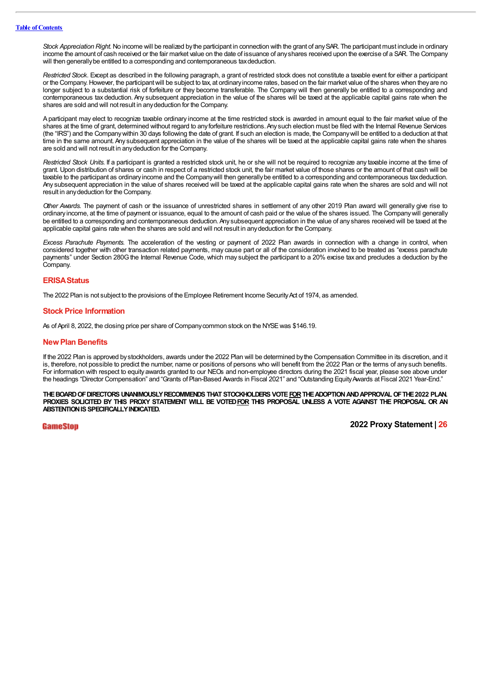*Stock Appreciation Right.* No income will be realized bythe participant in connection with the grant of anySAR. The participant must include in ordinary income the amount of cash received or the fair market value on the date of issuance of anyshares received upon the exercise of a SAR. The Company will then generally be entitled to a corresponding and contemporaneous tax deduction.

*Restricted Stock.* Except as described in the following paragraph, a grant of restricted stock does not constitute a taxable event for either a participant or the Company.However, the participantwill be subject to tax, at ordinaryincome rates, based on the fair market value of the shares when theyare no longer subject to a substantial risk of forfeiture or they become transferable. The Company will then generally be entitled to a corresponding and contemporaneous tax deduction. Any subsequent appreciation in the value of the shares will be taxed at the applicable capital gains rate when the shares are sold and will not result in anydeduction for the Company.

Aparticipant may elect to recognize taxable ordinary income at the time restricted stock is awarded in amount equal to the fair market value of the shares at the time of grant, determined without regard to any forfeiture restrictions. Any such election must be filed with the Internal Revenue Services (the "IRS") and the Companywithin 30 days following the date of grant. If such an election is made, the Companywill be entitled to a deduction at that time in the same amount. Any subsequent appreciation in the value of the shares will be taxed at the applicable capital gains rate when the shares are sold and will not result in anydeduction for the Company.

*Restricted Stock Units.* If a participant is granted a restricted stock unit, he or she will not be required to recognize any taxable income at the time of grant. Upon distribution of shares or cash in respect of a restricted stock unit, the fair market value of those shares or the amount of that cash will be taxable to the participant as ordinaryincome and the Companywill then generallybe entitled to a corresponding and contemporaneous taxdeduction. Any subsequent appreciation in the value of shares received will be taxed at the applicable capital gains rate when the shares are sold and will not result in anydeduction for the Company.

*Other Awards.* The payment of cash or the issuance of unrestricted shares in settlement of any other 2019 Plan award will generally give rise to ordinary income, at the time of payment or issuance, equal to the amount of cash paid or the value of the shares issued. The Companywill generally be entitled to a corresponding and contemporaneous deduction. Any subsequent appreciation in the value of any shares received will be taxed at the applicable capital gains rate when the shares are sold and will not result in anydeduction for the Company.

*Excess Parachute Payments.* The acceleration of the vesting or payment of 2022 Plan awards in connection with a change in control, when considered together with other transaction related payments, may cause part or all of the consideration involved to be treated as "excess parachute payments" under Section 280G the Internal Revenue Code, which may subject the participant to a 20% excise tax and precludes a deduction by the Company.

#### **ERISAStatus**

The 2022 Plan is not subject to the provisions of the Employee Retirement Income Security Act of 1974, as amended.

#### **Stock Price Information**

As of April 8, 2022, the closing price per share of Company common stock on the NYSE was \$146.19.

#### **NewPlan Benefits**

If the 2022 Plan is approved by stockholders, awards under the 2022 Plan will be determined by the Compensation Committee in its discretion, and it is, therefore, not possible to predict the number, name or positions of persons who will benefit from the 2022 Plan or the terms of any such benefits. For information with respect to equity awards granted to our NEOs and non-employee directors during the 2021 fiscal year, please see above under the headings "Director Compensation" and "Grants of Plan-Based Awards in Fiscal 2021" and "Outstanding EquityAwards at Fiscal 2021 Year-End."

**THEBOARDOFDIRECTORS UNANIMOUSLYRECOMMENDS THAT STOCKHOLDERS VOTEFORTHEADOPTIONANDAPPROVALOFTHE2022 PLAN.** PROXIES SOLICITED BY THIS PROXY STATEMENT WILL BE VOTED FOR THIS PROPOSAL UNLESS A VOTE AGAINST THE PROPOSAL OR AN **ABSTENTION IS SPECIFICALLY INDICATED.** 

#### GameStop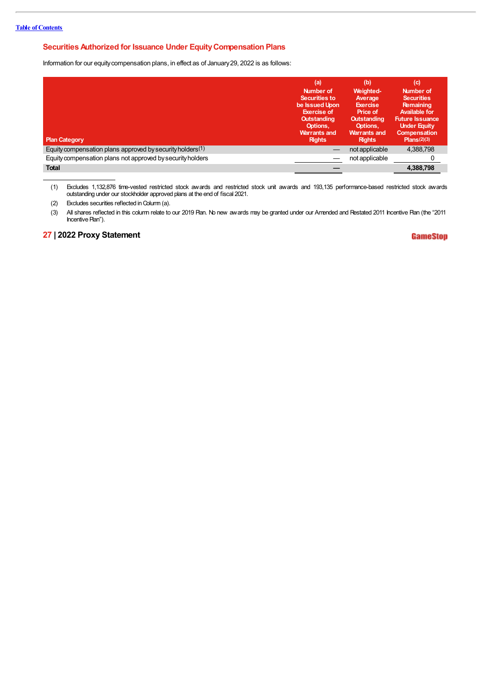### **Securities Authorized for Issuance Under EquityCompensation Plans**

Information for our equity compensation plans, in effect as of January 29, 2022 is as follows:

| <b>Plan Category</b>                                         | (a)<br>Number of<br>Securities to<br>be Issued Upon<br><b>Exercise of</b><br><b>Outstanding</b><br>Options,<br><b>Warrants and</b><br><b>Rights</b> | (b)<br>Weighted-<br>Average<br><b>Exercise</b><br>Price of<br><b>Outstanding</b><br>Options,<br><b>Warrants and</b><br><b>Rights</b> | (c)<br>Number of<br><b>Securities</b><br>Remaining<br><b>Available for</b><br><b>Future Issuance</b><br><b>Under Equity</b><br><b>Compensation</b><br>Plans(2)(3) |
|--------------------------------------------------------------|-----------------------------------------------------------------------------------------------------------------------------------------------------|--------------------------------------------------------------------------------------------------------------------------------------|-------------------------------------------------------------------------------------------------------------------------------------------------------------------|
| Equity compensation plans approved by security holders $(1)$ |                                                                                                                                                     | not applicable                                                                                                                       | 4,388,798                                                                                                                                                         |
| Equity compensation plans not approved by security holders   |                                                                                                                                                     | not applicable                                                                                                                       |                                                                                                                                                                   |
| <b>Total</b>                                                 |                                                                                                                                                     |                                                                                                                                      | 4,388,798                                                                                                                                                         |

(1) Excludes 1,132,876 time-vested restricted stock awards and restricted stock unit awards and 193,135 performance-based restricted stock awards outstanding under our stockholder approved plans at the end of fiscal 2021.

(2) Excludes securities reflected in Column (a).

(3) All shares reflected in this column relate to our 2019 Plan. No new awards may be granted under our Amended and Restated 2011 Incentive Plan (the "2011 Incentive Plan").

### **27 | 2022 Proxy Statement**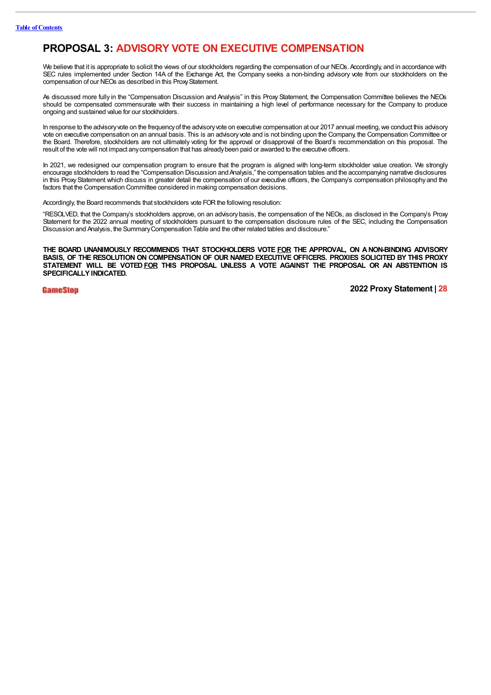# **PROPOSAL 3: ADVISORY VOTE ON EXECUTIVE COMPENSATION**

We believe that it is appropriate to solicit the views of our stockholders regarding the compensation of our NEOs. Accordingly, and in accordance with SEC rules implemented under Section 14A of the Exchange Act, the Company seeks a non-binding advisory vote from our stockholders on the compensation of our NEOs as described in this Proxy Statement.

As discussed more fully in the "Compensation Discussion and Analysis" in this Proxy Statement, the Compensation Committee believes the NEOs should be compensated commensurate with their success in maintaining a high level of performance necessary for the Company to produce ongoing and sustained value for our stockholders.

In response to the advisory vote on the frequency of the advisory vote on executive compensation at our 2017 annual meeting, we conduct this advisory vote on executive compensation on an annual basis. This is an advisoryvote and is not binding upon the Company, the Compensation Committee or the Board. Therefore, stockholders are not ultimately voting for the approval or disapproval of the Board's recommendation on this proposal. The result of the vote will not impact anycompensation that has alreadybeen paid or awarded to the executive officers.

In 2021, we redesigned our compensation program to ensure that the program is aligned with long-term stockholder value creation. We strongly encourage stockholders to read the "Compensation Discussion and Analysis," the compensation tables and the accompanying narrative disclosures in this ProxyStatement which discuss in greater detail the compensation of our executive officers, the Company's compensation philosophy and the factors that the Compensation Committee considered in making compensation decisions.

Accordingly, the Board recommends that stockholders vote FOR the following resolution:

"RESOLVED, that the Company's stockholders approve, on an advisory basis, the compensation of the NEOs, as disclosed in the Company's Proxy Statement for the 2022 annual meeting of stockholders pursuant to the compensation disclosure rules of the SEC, including the Compensation Discussion and Analysis, the SummaryCompensation Table and the other related tables and disclosure."

**THE BOARD UNANIMOUSLY RECOMMENDS THAT STOCKHOLDERS VOTE FOR THE APPROVAL, ON ANON-BINDING ADVISORY BASIS, OF THE RESOLUTION ON COMPENSATION OF OUR NAMED EXECUTIVE OFFICERS. PROXIES SOLICITED BY THIS PROXY STATEMENT WILL BE VOTEDFOR THIS PROPOSAL UNLESS A VOTE AGAINST THE PROPOSAL OR AN ABSTENTION IS SPECIFICALLY INDICATED.**

**GameStop**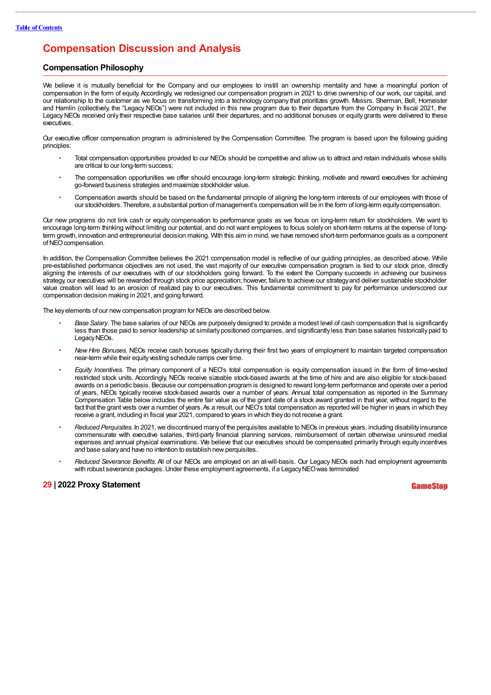### **Compensation Discussion and Analysis**

#### **Compensation Philosophy**

We believe it is mutually beneficial for the Company and our employees to instill an ownership mentality and have a meaningful portion of compensation in the form of equity. Accordingly, we redesigned our compensation program in 2021 to drive ownership of our work, our capital, and our relationship to the customer as we focus on transforming into a technology company that prioritizes growth. Messrs. Sherman, Bell, Homeister and Hamlin (collectively, the "Legacy NEOs") were not included in this new program due to their departure from the Company. In fiscal 2021, the Legacy NEOs received only their respective base salaries until their departures, and no additional bonuses or equity grants were delivered to these executives.

Our executive officer compensation program is administered by the Compensation Committee. The program is based upon the following guiding principles:

- Total compensation opportunities provided to our NEOs should be competitive and allow us to attract and retain individuals whose skills are critical to our long-term success;
- The compensation opportunities we offer should encourage long-term strategic thinking, motivate and reward executives for achieving go-forward business strategies and maximize stockholder value.
- Compensation awards should be based on the fundamental principle of aligning the long-term interests of our employees with those of our stockholders. Therefore, a substantial portion of management's compensation will be in the form of long-term equitycompensation.

Our new programs do not link cash or equity compensation to performance goals as we focus on long-term return for stockholders. We want to encourage long-term thinking without limiting our potential, and do not want employees to focus solely on short-term returns at the expense of longterm growth, innovation and entrepreneurial decision making. With this aim in mind, we have removed short-term performance goals as a component of NEO compensation.

In addition, the Compensation Committee believes the 2021 compensation model is reflective of our guiding principles, as described above. While pre-established performance objectives are not used, the vast majority of our executive compensation program is tied to our stock price, directly aligning the interests of our executives with of our stockholders going forward. To the extent the Company succeeds in achieving our business strategy, our executives will be rewarded through stock price appreciation; however, failure to achieve our strategyand deliver sustainable stockholder value creation will lead to an erosion of realized pay to our executives. This fundamental commitment to pay for performance underscored our compensation decision making in 2021, and going forward.

The key elements of our new compensation program for NEOs are described below.

- *Base Salary*. The base salaries of our NEOs are purposelydesigned to provide a modest level of cash compensation that is significantly less than those paid to senior leadership at similarly positioned companies, and significantly less than base salaries historically paid to Legacy NEOs.
- *New Hire Bonuses*. NEOs receive cash bonuses typically during their first two years of employment to maintain targeted compensation near-term while their equity vesting schedule ramps over time.
- *Equity Incentives*. The primary component of a NEO's total compensation is equity compensation issued in the form of time-vested restricted stock units. Accordingly, NEOs receive sizeable stock-based awards at the time of hire and are also eligible for stock-based awards on a periodic basis. Because our compensation program is designed to reward long-term performance and operate over a period of years, NEOs typically receive stock-based awards over a number of years. Annual total compensation as reported in the Summary Compensation Table below includes the entire fair value as of the grant date of a stock award granted in that year, without regard to the fact that the grant vests over a number of years. As a result, our NEO's total compensation as reported will be higher in years in which they receive a grant, including in fiscal year 2021, compared to years in which theydo not receive a grant.
- *Reduced Perquisites.* In 2021, we discontinued manyof the perquisites available to NEOs in previous years, including disabilityinsurance commensurate with executive salaries, third-party financial planning services, reimbursement of certain otherwise uninsured medial expenses and annual physical examinations. We believe that our executives should be compensated primarily through equity incentives and base salary and have no intention to establish new perquisites.
- *Reduced Severance Benefits*. All of our NEOs are employed on an at-will-basis. Our Legacy NEOs each had employment agreements with robust severance packages. Under these employment agreements, if a Legacy NEO was terminated

#### **29 | 2022 Proxy Statement**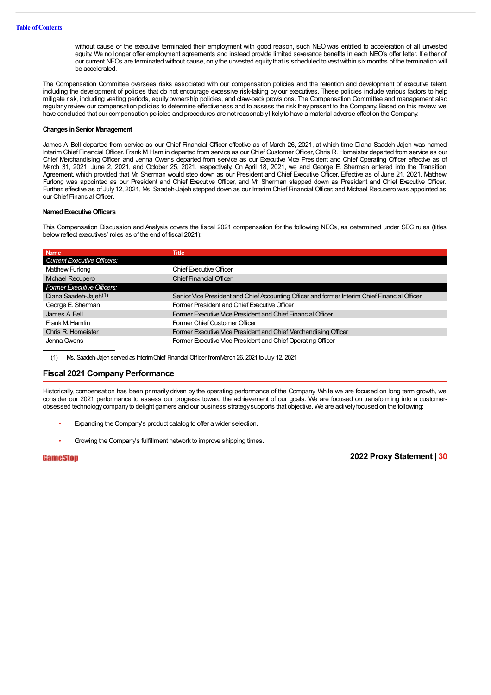without cause or the executive terminated their employment with good reason, such NEO was entitled to acceleration of all unvested equity. We no longer offer employment agreements and instead provide limited severance benefits in each NEO's offer letter. If either of our current NEOs are terminated without cause, onlythe unvested equitythat is scheduled to vest within sixmonths of the termination will be accelerated.

The Compensation Committee oversees risks associated with our compensation policies and the retention and development of executive talent, including the development of policies that do not encourage excessive risk-taking by our executives. These policies include various factors to help mitigate risk, including vesting periods, equity ownership policies, and claw-back provisions. The Compensation Committee and management also regularly review our compensation policies to determine effectiveness and to assess the risk theypresent to the Company. Based on this review, we have concluded that our compensation policies and procedures are not reasonablylikelyto have a material adverse effect on the Company.

#### **Changes inSenior Management**

James A. Bell departed from service as our Chief Financial Officer effective as of March 26, 2021, at which time Diana Saadeh-Jajeh was named Interim Chief Financial Officer. Frank M. Hamlin departed from service as our Chief Customer Officer, Chris R. Homeister departed from service as our Chief Merchandising Officer, and Jenna Owens departed from service as our Executive Vice President and Chief Operating Officer effective as of March 31, 2021, June 2, 2021, and October 25, 2021, respectively. On April 18, 2021, we and George E. Sherman entered into the Transition Agreement, which provided that Mr. Sherman would step down as our President and Chief Executive Officer. Effective as of June 21, 2021, Matthew Furlong was appointed as our President and Chief Executive Officer, and Mr. Sherman stepped down as President and Chief Executive Officer. Further, effective as of July 12, 2021, Ms. Saadeh-Jajeh stepped down as our Interim Chief Financial Officer, and Mchael Recupero was appointed as our Chief Financial Officer.

#### **NamedExecutiveOfficers**

This Compensation Discussion and Analysis covers the fiscal 2021 compensation for the following NEOs, as determined under SEC rules (titles belowreflect executives' roles as of the end of fiscal 2021):

| <b>Name</b>                        | Title                                                                                         |
|------------------------------------|-----------------------------------------------------------------------------------------------|
| <b>Current Executive Officers:</b> |                                                                                               |
| Matthew Furlong                    | <b>Chief Executive Officer</b>                                                                |
| <b>Mchael Recupero</b>             | <b>Chief Financial Officer</b>                                                                |
| Former Executive Officers:         |                                                                                               |
| Diana Saadeh-Jajeh <sup>(1)</sup>  | Senior Vice President and Chief Accounting Officer and former Interim Chief Financial Officer |
| George E. Sherman                  | Former President and Chief Executive Officer                                                  |
| James A Bell                       | Former Executive Vice President and Chief Financial Officer                                   |
| Frank M. Hamlin                    | Former Chief Customer Officer                                                                 |
| Chris R. Homeister                 | Former Executive Vice President and Chief Merchandising Officer                               |
| Jenna Owens                        | Former Executive Vice President and Chief Operating Officer                                   |

(1) Ms. Saadeh-Jajeh served as InterimChief FinancialOfficer fromMarch 26, 2021 to July 12, 2021

#### **Fiscal 2021 Company Performance**

Historically, compensation has been primarily driven by the operating performance of the Company. While we are focused on long term growth, we consider our 2021 performance to assess our progress toward the achievement of our goals. We are focused on transforming into a customerobsessed technologycompanyto delight gamers and our business strategysupports that objective. We are activelyfocused on the following:

- Expanding the Company's product catalog to offer a wider selection.
- Growing the Company's fulfillment network to improve shipping times.

#### GameStop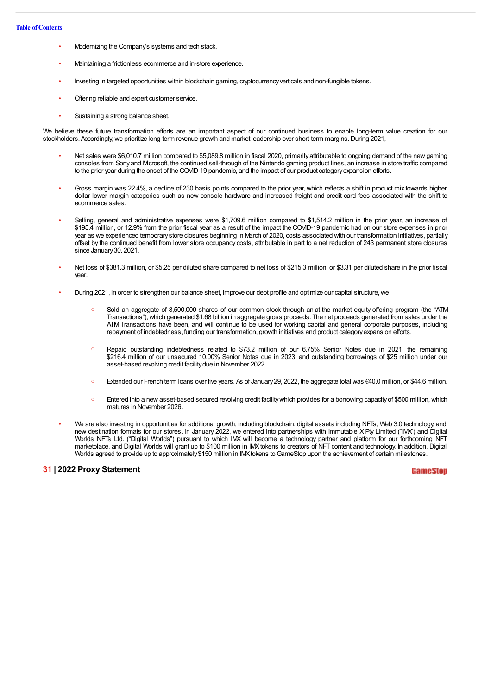- Modernizing the Company's systems and tech stack.
- Maintaining a frictionless ecommerce and in-store experience.
- Investing in targeted opportunities within blockchain gaming, cryptocurrencyverticals and non-fungible tokens.
- Offering reliable and expert customer service.
- Sustaining a strong balance sheet.

We believe these future transformation efforts are an important aspect of our continued business to enable long-term value creation for our stockholders. Accordingly, we prioritize long-term revenue growth and market leadership over short-term margins. During 2021,

- Net sales were \$6,010.7 million compared to \$5,089.8 million in fiscal 2020, primarily attributable to ongoing demand of the new gaming consoles from Sonyand Microsoft, the continued sell-through of the Nintendo gaming product lines, an increase in store traffic compared to the prior year during the onset of the COVID-19 pandemic, and the impact of our product categoryexpansion efforts.
- Gross margin was 22.4%, a decline of 230 basis points compared to the prior year, which reflects a shift in product mix towards higher dollar lower margin categories such as new console hardware and increased freight and credit card fees associated with the shift to ecommerce sales.
- Selling, general and administrative expenses were \$1,709.6 million compared to \$1,514.2 million in the prior year, an increase of \$195.4 million, or 12.9% from the prior fiscal year as a result of the impact the COVID-19 pandemic had on our store expenses in prior year as we experienced temporarystore closures beginning in March of 2020, costs associated with our transformation initiatives, partially offset by the continued benefit from lower store occupancy costs, attributable in part to a net reduction of 243 permanent store closures since January 30, 2021.
- Net loss of \$381.3 million, or \$5.25 per diluted share compared to net loss of \$215.3 million, or \$3.31 per diluted share in the prior fiscal year.
- During 2021, in order to strengthen our balance sheet, improve our debt profile and optimize our capital structure, we
	- Sold an aggregate of 8,500,000 shares of our common stock through an at-the market equity offering program (the "ATM Transactions"), which generated \$1.68 billion in aggregate gross proceeds. The net proceeds generated from sales under the ATM Transactions have been, and will continue to be used for working capital and general corporate purposes, including repayment of indebtedness, funding our transformation, growth initiatives and product categoryexpansion efforts.
	- Repaid outstanding indebtedness related to \$73.2 million of our 6.75% Senior Notes due in 2021, the remaining \$216.4 million of our unsecured 10.00% Senior Notes due in 2023, and outstanding borrowings of \$25 million under our asset-based revolving credit facilitydue in November 2022.
	- Extended our French term loans over five years. As of January29, 2022, the aggregate total was €40.0 million, or \$44.6 million.
	- Entered into a new asset-based secured revolving credit facilitywhich provides for a borrowing capacityof \$500 million, which matures in November 2026.
- We are also investing in opportunities for additional growth, including blockchain, digital assets including NFTs, Web 3.0 technology, and new destination formats for our stores. In January 2022, we entered into partnerships with Immutable X Pty Limited ("IMX") and Digital Worlds NFTs Ltd. ("Digital Worlds") pursuant to which IMX will become a technology partner and platform for our forthcoming NFT marketplace, and Digital Worlds will grant up to \$100 million in IMXtokens to creators of NFT content and technology. In addition, Digital Worlds agreed to provide up to approximately \$150 million in IMX tokens to GameStop upon the achievement of certain milestones.

#### **31 | 2022 Proxy Statement**

**GameSton**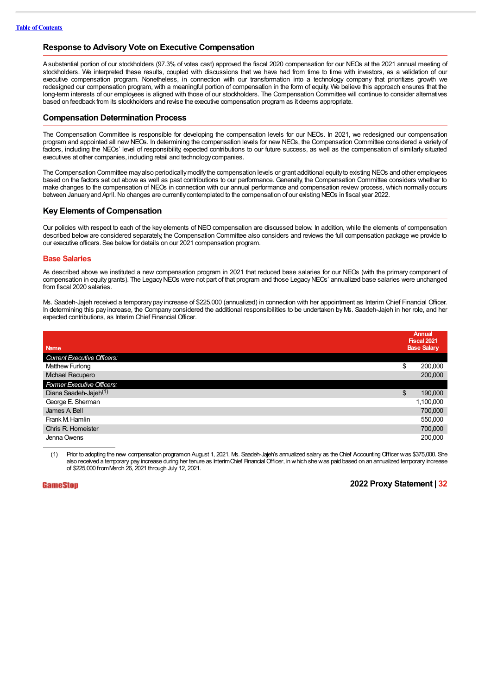# **Response to Advisory Vote on Executive Compensation**

Asubstantial portion of our stockholders (97.3% of votes cast) approved the fiscal 2020 compensation for our NEOs at the 2021 annual meeting of stockholders. We interpreted these results, coupled with discussions that we have had from time to time with investors, as a validation of our executive compensation program. Nonetheless, in connection with our transformation into a technology company that prioritizes growth we redesigned our compensation program, with a meaningful portion of compensation in the form of equity. We believe this approach ensures that the long-term interests of our employees is aligned with those of our stockholders. The Compensation Committee will continue to consider alternatives based on feedback from its stockholders and revise the executive compensation program as it deems appropriate.

## **Compensation Determination Process**

The Compensation Committee is responsible for developing the compensation levels for our NEOs. In 2021, we redesigned our compensation program and appointed all new NEOs. In determining the compensation levels for new NEOs, the Compensation Committee considered a variety of factors, including the NEOs' level of responsibility, expected contributions to our future success, as well as the compensation of similarly situated executives at other companies, including retail and technologycompanies.

The Compensation Committee mayalso periodically modify the compensation levels or grant additional equity to existing NEOs and other employees based on the factors set out above as well as past contributions to our performance. Generally, the Compensation Committee considers whether to make changes to the compensation of NEOs in connection with our annual performance and compensation review process, which normally occurs between January and April. No changes are currently contemplated to the compensation of our existing NEOs in fiscal year 2022.

## **Key Elements of Compensation**

Our policies with respect to each of the key elements of NEOcompensation are discussed below. In addition, while the elements of compensation described below are considered separately, the Compensation Committee also considers and reviews the full compensation package we provide to our executive officers. See belowfor details on our 2021 compensation program.

#### **Base Salaries**

As described above we instituted a new compensation program in 2021 that reduced base salaries for our NEOs (with the primary component of compensation in equity grants). The Legacy NEOs were not part of that program and those Legacy NEOs' annualized base salaries were unchanged from fiscal 2020 salaries.

Ms. Saadeh-Jajeh received a temporary pay increase of \$225,000 (annualized) in connection with her appointment as Interim Chief Financial Officer. In determining this pay increase, the Company considered the additional responsibilities to be undertaken byMs. Saadeh-Jajeh in her role, and her expected contributions, as Interim Chief Financial Officer.

|                                    | Annual<br><b>Fiscal 2021</b> |
|------------------------------------|------------------------------|
| <b>Name</b>                        | <b>Base Salary</b>           |
| <b>Current Executive Officers:</b> |                              |
| Matthew Furlong                    | \$<br>200,000                |
| Michael Recupero                   | 200,000                      |
| Former Executive Officers:         |                              |
| Diana Saadeh-Jajeh <sup>(1)</sup>  | \$<br>190,000                |
| George E. Sherman                  | 1,100,000                    |
| James A Bell                       | 700,000                      |
| Frank M. Hamlin                    | 550,000                      |
| Chris R. Homeister                 | 700,000                      |
| Jenna Owens                        | 200,000                      |

(1) Prior to adopting the new compensation programon August 1, 2021, Ms. Saadeh-Jajeh's annualized salary as theChief AccountingOfficer was \$375,000. She also received a temporary pay increase during her tenure as InterimChief FinancialOfficer, inwhich shewas paid based on an annualized temporary increase of \$225,000 fromMarch 26, 2021 through July 12, 2021.

# **GameStop**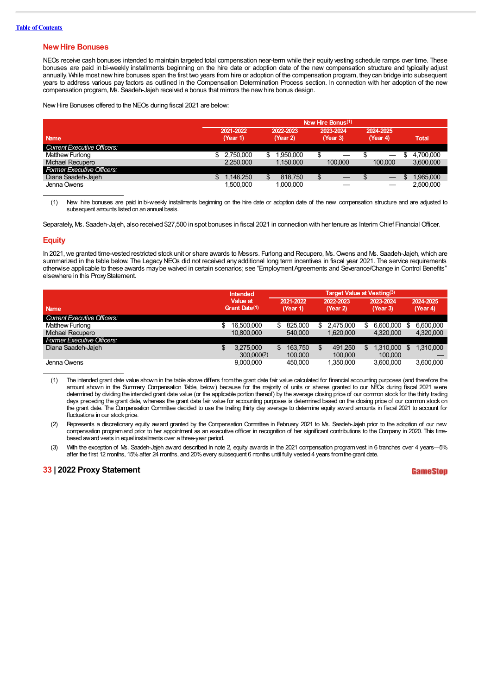### **NewHire Bonuses**

NEOs receive cash bonuses intended to maintain targeted total compensation near-term while their equity vesting schedule ramps over time. These bonuses are paid in bi-weekly installments beginning on the hire date or adoption date of the new compensation structure and typically adjust annually. While most new hire bonuses span the first two years from hire or adoption of the compensation program, they can bridge into subsequent years to address various pay factors as outlined in the Compensation Determination Process section. In connection with her adoption of the new compensation program, Ms. Saadeh-Jajeh received a bonus that mirrors the newhire bonus design.

NewHire Bonuses offered to the NEOs during fiscal 2021 are below:

|                                    | New Hire Bonus(1)     |                       |                       |                       |                 |  |  |  |  |  |
|------------------------------------|-----------------------|-----------------------|-----------------------|-----------------------|-----------------|--|--|--|--|--|
| <b>Name</b>                        | 2021-2022<br>(Year 1) | 2022-2023<br>(Year 2) | 2023-2024<br>(Year 3) | 2024-2025<br>(Year 4) | <b>Total</b>    |  |  |  |  |  |
| <b>Current Executive Officers:</b> |                       |                       |                       |                       |                 |  |  |  |  |  |
| Matthew Furlong                    | 2.750.000             | .950.000              |                       |                       | 4.700.000<br>ъ  |  |  |  |  |  |
| Michael Recupero                   | 2.250.000             | 1.150.000             | 100,000               | 100,000               | 3.600.000       |  |  |  |  |  |
| <b>Former Executive Officers:</b>  |                       |                       |                       |                       |                 |  |  |  |  |  |
| Diana Saadeh-Jajeh                 | 1.146.250             | 818,750               | ง                     |                       | 1.965.000<br>S. |  |  |  |  |  |
| Jenna Owens                        | 1.500.000             | 1.000.000             |                       |                       | 2.500.000       |  |  |  |  |  |

(1) New hire bonuses are paid in bi-weekly installments beginning on the hire date or adoption date of the new compensation structure and are adjusted to subsequent amounts listed on an annual basis.

Separately, Ms. Saadeh-Jajeh, also received \$27,500 in spot bonuses in fiscal 2021 in connection with her tenure as Interim Chief Financial Officer.

#### **Equity**

In 2021, we granted time-vested restricted stock unit or share awards to Messrs. Furlong and Recupero, Ms. Owens and Ms. Saadeh-Jajeh, which are summarized in the table below. The Legacy NEOs did not received any additional long term incentives in fiscal year 2021. The service requirements otherwise applicable to these awards may be waived in certain scenarios; see "Employment Agreements and Severance/Change in Control Benefits" elsewhere in this ProxyStatement.

|                                    | <b>Intended</b> |               |           | <b>Target Value at Vesting(3)</b> |    |           |     |           |     |           |  |
|------------------------------------|-----------------|---------------|-----------|-----------------------------------|----|-----------|-----|-----------|-----|-----------|--|
|                                    | Value at        |               | 2021-2022 |                                   |    | 2022-2023 |     | 2023-2024 |     | 2024-2025 |  |
| <b>Name</b>                        |                 | Grant Date(1) |           | (Year 1)                          |    | (Year 2)  |     | (Year 3)  |     | (Year 4)  |  |
| <b>Current Executive Officers:</b> |                 |               |           |                                   |    |           |     |           |     |           |  |
| Matthew Furlong                    | S               | 16.500.000    | S         | 825.000                           | S. | 2,475,000 | S   | 6.600.000 | S   | 6.600.000 |  |
| <b>Mchael Recupero</b>             |                 | 10.800.000    |           | 540,000                           |    | 1.620.000 |     | 4.320.000 |     | 4,320,000 |  |
| <b>Former Executive Officers:</b>  |                 |               |           |                                   |    |           |     |           |     |           |  |
| Diana Saadeh-Jajeh                 | \$              | 3.275.000     | S         | 163.750                           | S  | 491.250   | \$. | 1.310.000 | \$. | 1.310.000 |  |
|                                    |                 | 300.000(2)    |           | 100.000                           |    | 100,000   |     | 100,000   |     |           |  |
| Jenna Owens                        |                 | 9.000.000     |           | 450.000                           |    | 1.350.000 |     | 3.600.000 |     | 3.600.000 |  |

- (1) The intended grant date value shown in the table above differs fromthe grant date fair value calculated for financial accounting purposes (and therefore the amount shown in the Summary Compensation Table, below) because for the majority of units or shares granted to our NEOs during fiscal 2021 were determined by dividing the intended grant date value (or the applicable portion thereof) by the average closing price of our common stock for the thirty trading days preceding the grant date, whereas the grant date fair value for accounting purposes is determined based on the closing price of our common stock on the grant date. The Compensation Committee decided to use the trailing thirty day average to determine equity award amounts in fiscal 2021 to account for fluctuations in our stock price.
- (2) Represents a discretionary equity award granted by the Compensation Committee in February 2021 to Ms. Saadeh-Jajeh prior to the adoption of our new compensation programand prior to her appointment as an executive officer in recognition of her significant contributions to the Company in 2020. This timebased award vests in equal installments over a three-year period.
- (3) With the exception of Ms. Saadeh-Jajeh award described in note 2, equity awards in the 2021 compensation programvest in 6 tranches over 4 years—5% after the first 12 months, 15%after 24 months, and 20%every subsequent 6 months until fully vested 4 years fromthe grant date.

#### **33 | 2022 Proxy Statement**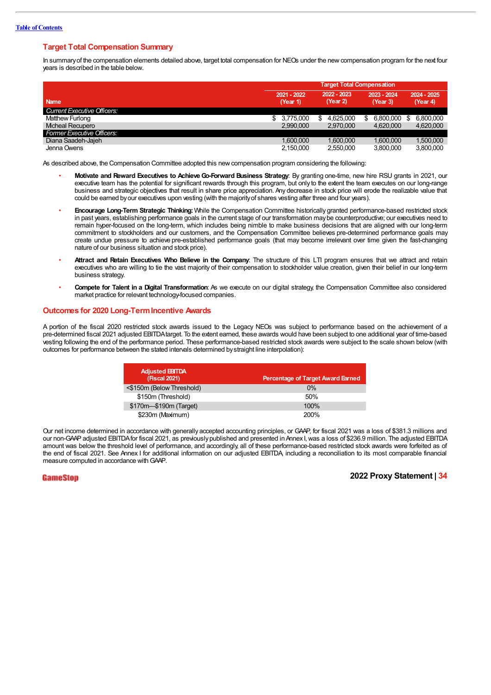# **Target Total Compensation Summary**

In summaryof the compensation elements detailed above, target total compensation for NEOs under the new compensation program for the next four years is described in the table below.

|                                    | <b>Target Total Compensation</b> |                         |                         |                         |  |  |  |  |
|------------------------------------|----------------------------------|-------------------------|-------------------------|-------------------------|--|--|--|--|
| <b>Name</b>                        | 2021 - 2022<br>(Year 1)          | 2022 - 2023<br>(Year 2) | 2023 - 2024<br>(Year 3) | 2024 - 2025<br>(Year 4) |  |  |  |  |
| <b>Current Executive Officers:</b> |                                  |                         |                         |                         |  |  |  |  |
| Matthew Furlong                    | 3.775.000                        | 4.625.000<br>S          | 6.800.000<br>S          | 6.800.000               |  |  |  |  |
| <b>Micheal Recupero</b>            | 2.990.000                        | 2,970,000               | 4.620.000               | 4,620,000               |  |  |  |  |
| <b>Former Executive Officers:</b>  |                                  |                         |                         |                         |  |  |  |  |
| Diana Saadeh-Jajeh                 | 1.600.000                        | 1.600.000               | 1.600.000               | 1.500.000               |  |  |  |  |
| Jenna Owens                        | 2,150,000                        | 2,550,000               | 3.800.000               | 3,800,000               |  |  |  |  |

As described above, the Compensation Committee adopted this new compensation program considering the following:

- **Motivate and Reward Executives to AchieveGo-Forward Business Strategy**: By granting one-time, new hire RSU grants in 2021, our executive team has the potential for significant rewards through this program, but only to the extent the team executes on our long-range business and strategic objectives that result in share price appreciation. Any decrease in stock price will erode the realizable value that could be earned byour executives upon vesting (with the majorityof shares vesting after three and four years).
- **Encourage Long-Term Strategic Thinking:**While the Compensation Committee historically granted performance-based restricted stock in past years, establishing performance goals in the current stage of our transformation maybe counterproductive; our executives need to remain hyper-focused on the long-term, which includes being nimble to make business decisions that are aligned with our long-term commitment to stockholders and our customers, and the Compensation Committee believes pre-determined performance goals may create undue pressure to achieve pre-established performance goals (that may become irrelevant over time given the fast-changing nature of our business situation and stock price).
- **Attract and Retain Executives Who Believe in the Company**: The structure of this LTI program ensures that we attract and retain executives who are willing to tie the vast majority of their compensation to stockholder value creation, given their belief in our long-term business strategy.
- **Compete for Talent in a Digital Transformation**: As we execute on our digital strategy, the Compensation Committee also considered market practice for relevant technology-focused companies.

# **Outcomes for 2020 Long-TermIncentive Awards**

A portion of the fiscal 2020 restricted stock awards issued to the Legacy NEOs was subject to performance based on the achievement of a pre-determined fiscal 2021 adjusted EBITDAtarget. To the extent earned, these awards would have been subject to one additional year of time-based vesting following the end of the performance period. These performance-based restricted stock awards were subject to the scale shown below (with outcomes for performance between the stated intervals determined bystraight line interpolation):

| <b>Adjusted EBITDA</b><br><b>(Fiscal 2021)</b> | Percentage of Target Award Earned |
|------------------------------------------------|-----------------------------------|
| <\$150m (Below Threshold)                      | $0\%$                             |
| \$150m (Threshold)                             | 50%                               |
| \$170m-\$190m (Target)                         | 100%                              |
| \$230m (Maximum)                               | 200%                              |

Our net income determined in accordance with generally accepted accounting principles, or GAAP, for fiscal 2021 was a loss of \$381.3 millions and our non-GAAP adjusted EBITDA for fiscal 2021, as previously published and presented in Annex I, was a loss of \$236.9 million. The adjusted EBITDA amount was below the threshold level of performance, and accordingly, all of these performance-based restricted stock awards were forfeited as of the end of fiscal 2021. See Annex I for additional information on our adjusted EBITDA, including a reconciliation to its most comparable financial measure computed in accordance with GAAP.

#### GameStop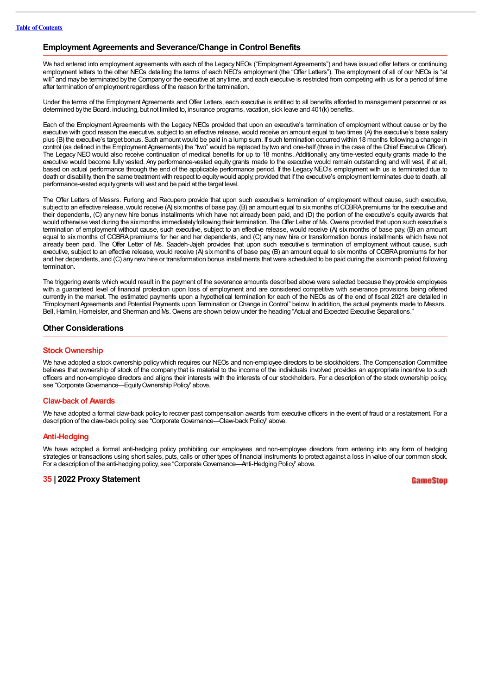# **Employment Agreements and Severance/Change in Control Benefits**

We had entered into employment agreements with each of the Legacy NEOs ("Employment Agreements") and have issued offer letters or continuing employment letters to the other NEOs detailing the terms of each NEO's employment (the "Offer Letters"). The employment of all of our NEOs is "at will" and may be terminated by the Company or the executive at any time, and each executive is restricted from competing with us for a period of time after termination of employment regardless of the reason for the termination.

Under the terms of the Employment Agreements and Offer Letters, each executive is entitled to all benefits afforded to management personnel or as determined bythe Board, including, but not limited to, insurance programs, vacation, sick leave and 401(k) benefits.

Each of the Employment Agreements with the Legacy NEOs provided that upon an executive's termination of employment without cause or by the executive with good reason the executive, subject to an effective release, would receive an amount equal to two times (A) the executive's base salary plus (B) the executive's target bonus. Such amount would be paid in a lump sum. If such termination occurred within 18 months following a change in control (as defined in the Employment Agreements) the "two" would be replaced by two and one-half (three in the case of the Chief Executive Officer). The Legacy NEO would also receive continuation of medical benefits for up to 18 months. Additionally, any time-vested equity grants made to the executive would become fully vested. Any performance-vested equity grants made to the executive would remain outstanding and will vest, if at all, based on actual performance through the end of the applicable performance period. If the Legacy NEO's employment with us is terminated due to death or disability, then the same treatment with respect to equity would apply, provided that if the executive's employment terminates due to death, all performance-vested equitygrants will vest and be paid at the target level.

The Offer Letters of Messrs. Furlong and Recupero provide that upon such executive's termination of employment without cause, such executive, subject to an effective release, would receive (A) sixmonths of base pay, (B) an amount equal to sixmonths of COBRA premiums for the executive and their dependents, (C) any new hire bonus installments which have not already been paid, and (D) the portion of the executive's equity awards that would otherwise vest during the sixmonths immediatelyfollowing their termination. The Offer Letter of Ms. Owens provided that upon such executive's termination of employment without cause, such executive, subject to an effective release, would receive (A) six months of base pay, (B) an amount equal to six months of COBRA premiums for her and her dependents, and (C) any new hire or transformation bonus installments which have not already been paid. The Offer Letter of Ms. Saadeh-Jajeh provides that upon such executive's termination of employment without cause, such executive, subject to an effective release, would receive (A) six months of base pay, (B) an amount equal to six months of COBRA premiums for her and her dependents, and (C) anynew hire or transformation bonus installments that were scheduled to be paid during the sixmonth period following termination.

The triggering events which would result in the payment of the severance amounts described above were selected because they provide employees with a guaranteed level of financial protection upon loss of employment and are considered competitive with severance provisions being offered currently in the market. The estimated payments upon a hypothetical termination for each of the NEOs as of the end of fiscal 2021 are detailed in "EmploymentAgreements and Potential Payments upon Termination or Change in Control" below. In addition, the actual payments made to Messrs. Bell, Hamlin, Homeister, and Sherman and Ms. Owens are shown below under the heading "Actual and Expected Executive Separations."

## **Other Considerations**

#### **Stock Ownership**

We have adopted a stock ownership policywhich requires our NEOs and non-employee directors to be stockholders. The Compensation Committee believes that ownership of stock of the company that is material to the income of the individuals involved provides an appropriate incentive to such officers and non-employee directors and aligns their interests with the interests of our stockholders. For a description of the stock ownership policy, see "Corporate Governance—Equity Ownership Policy" above.

#### **Claw-back of Awards**

We have adopted a formal claw-back policy to recover past compensation awards from executive officers in the event of fraud or a restatement. For a description of the claw-back policy, see "Corporate Governance—Claw-back Policy" above.

#### **Anti-Hedging**

We have adopted a formal anti-hedging policy prohibiting our employees and non-employee directors from entering into any form of hedging strategies or transactions using short sales, puts, calls or other types of financial instruments to protect against a loss in value of our common stock. For a description of the anti-hedging policy, see "Corporate Governance—Anti-Hedging Policy" above.

## **35 | 2022 Proxy Statement**

GameSton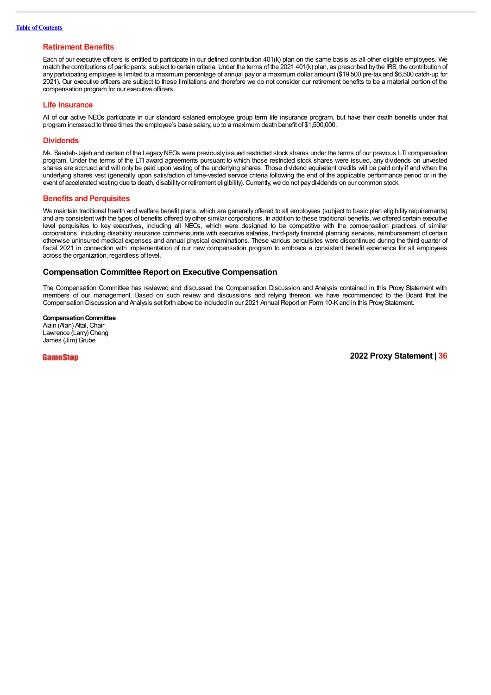### **Retirement Benefits**

Each of our executive officers is entitled to participate in our defined contribution 401(k) plan on the same basis as all other eligible employees. We match the contributions of participants, subject to certain criteria. Under the terms of the 2021 401(k) plan, as prescribed bythe IRS, the contribution of anyparticipating employee is limited to a maximum percentage of annual payor a maximum dollar amount (\$19,500 pre-taxand \$6,500 catch-up for 2021). Our executive officers are subject to these limitations and therefore we do not consider our retirement benefits to be a material portion of the compensation program for our executive officers.

#### **Life Insurance**

All of our active NEOs participate in our standard salaried employee group term life insurance program, but have their death benefits under that program increased to three times the employee's base salary, up to a maximum death benefit of \$1,500,000.

#### **Dividends**

Ms. Saadeh-Jajeh and certain of the Legacy NEOs were previously issued restricted stock shares under the terms of our previous LTI compensation program. Under the terms of the LTI award agreements pursuant to which those restricted stock shares were issued, any dividends on unvested shares are accrued and will only be paid upon vesting of the underlying shares. Those dividend equivalent credits will be paid only if and when the underlying shares vest (generally, upon satisfaction of time-vested service criteria following the end of the applicable performance period or in the event of accelerated vesting due to death, disability or retirement eligibility). Currently, we do not pay dividends on our common stock.

#### **Benefits and Perquisites**

We maintain traditional health and welfare benefit plans, which are generally offered to all employees (subject to basic plan eligibility requirements) and are consistent with the types of benefits offered byother similar corporations. In addition to these traditional benefits, we offered certain executive level perquisites to key executives, including all NEOs, which were designed to be competitive with the compensation practices of similar corporations, including disability insurance commensurate with executive salaries, third-party financial planning services, reimbursement of certain otherwise uninsured medical expenses and annual physical examinations. These various perquisites were discontinued during the third quarter of fiscal 2021 in connection with implementation of our new compensation program to embrace a consistent benefit experience for all employees across the organization, regardless of level.

### **Compensation Committee Report on Executive Compensation**

The Compensation Committee has reviewed and discussed the Compensation Discussion and Analysis contained in this Proxy Statement with members of our management. Based on such review and discussions and relying thereon, we have recommended to the Board that the Compensation Discussion and Analysis set forth above be included in our 2021 Annual Report on Form 10-Kand in this ProxyStatement.

**Compensation Committee** Alain (Alan) Attal, Chair Lawrence (Larry) Cheng James (Jim) Grube

GameStop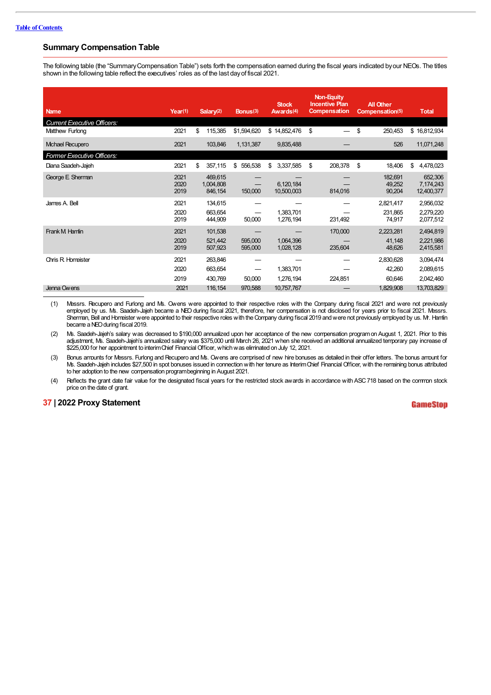# **Summary Compensation Table**

The following table (the "SummaryCompensation Table") sets forth the compensation earned during the fiscal years indicated byour NEOs. The titles shown in the following table reflect the executives' roles as of the last dayof fiscal 2021.

| <b>Name</b>                        | Year(1)              | Salary $(2)$                    | Bonus(3)           | <b>Stock</b><br>Awards <sup>(4)</sup> | Non-Equity<br><b>Incentive Plan</b><br><b>Compensation</b> | <b>All Other</b><br>Compensation(5) | <b>Total</b>                        |
|------------------------------------|----------------------|---------------------------------|--------------------|---------------------------------------|------------------------------------------------------------|-------------------------------------|-------------------------------------|
| <b>Current Executive Officers:</b> |                      |                                 |                    |                                       |                                                            |                                     |                                     |
| Matthew Furlong                    | 2021                 | \$<br>115,385                   | \$1,594,620        | \$14,852,476                          | \$                                                         | \$<br>250,453                       | \$16,812,934                        |
| Michael Recupero                   | 2021                 | 103,846                         | 1,131,387          | 9,835,488                             |                                                            | 526                                 | 11,071,248                          |
| Former Executive Officers:         |                      |                                 |                    |                                       |                                                            |                                     |                                     |
| Diana Saadeh-Jajeh                 | 2021                 | \$<br>357,115                   | \$556,538          | \$<br>3,337,585                       | \$<br>208,378                                              | \$<br>18,406                        | \$<br>4,478,023                     |
| George E Sherman                   | 2021<br>2020<br>2019 | 469.615<br>1,004,808<br>846,154 | 150,000            | 6,120,184<br>10,500,003               | 814,016                                                    | 182,691<br>49,252<br>90,204         | 652,306<br>7,174,243<br>12,400,377  |
| James A. Bell                      | 2021<br>2020<br>2019 | 134,615<br>663,654<br>444,909   | 50,000             | 1,383,701<br>1,276,194                | 231,492                                                    | 2,821,417<br>231.865<br>74,917      | 2,956,032<br>2,279,220<br>2,077,512 |
| Frank M Hamlin                     | 2021<br>2020<br>2019 | 101,538<br>521,442<br>507,923   | 595,000<br>595,000 | 1,064,396<br>1,028,128                | 170,000<br>235,604                                         | 2,223,281<br>41,148<br>48,626       | 2,494,819<br>2,221,986<br>2,415,581 |
| <b>Chris R. Homeister</b>          | 2021<br>2020<br>2019 | 263,846<br>663,654<br>430,769   | 50,000             | 1,383,701<br>1,276,194                | 224,851                                                    | 2,830,628<br>42,260<br>60,646       | 3,094,474<br>2,089,615<br>2,042,460 |
| Jenna Owens                        | 2021                 | 116,154                         | 970,588            | 10,757,767                            |                                                            | 1,829,908                           | 13,703,829                          |

(1) Messrs. Recupero and Furlong and Ms. Owens were appointed to their respective roles with the Company during fiscal 2021 and were not previously employed by us. Ms. Saadeh-Jajeh became a NEO during fiscal 2021, therefore, her compensation is not disclosed for years prior to fiscal 2021. Messrs. Sherman, Bell and Horreister were appointed to their respective roles with the Company during fiscal 2019 and were not previously employed by us. Mr. Hamlin became aNEOduring fiscal 2019.

(2) Ms. Saadeh-Jajeh's salary was decreased to \$190,000 annualized upon her acceptance of the new compensation programon August 1, 2021. Prior to this adjustment, Ms. Saadeh-Jajeh's annualized salary was \$375,000 until March 26, 2021 when she received an additional annualized temporary pay increase of \$225,000 for her appointment to interimChief FinancialOfficer, whichwas eliminated on July 12, 2021.

(3) Bonus amounts for Messrs. Furlong and Recupero and Ms. Owens are comprised of new hire bonuses as detailed in their offer letters. The bonus amount for Ms. Saadeh-Jajeh includes \$27,500 in spot bonuses issued in connection with her tenure as Interim Chief Financial Officer, with the remaining bonus attributed to her adoption to the new compensation programbeginning in August 2021.

(4) Reflects the grant date fair value for the designated fiscal years for the restricted stock awards in accordance with ASC718 based on the common stock price on the date of grant.

# **37 | 2022 Proxy Statement**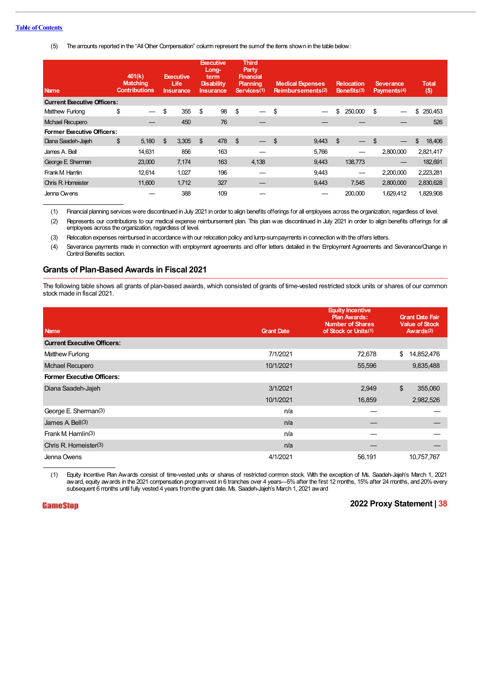#### **Table of Contents**

(5) The amounts reported in the "AllOther Compensation" column represent the sumof the items shown in the table below:

| <b>Name</b>                        | 401(k)<br><b>Matching</b><br><b>Contributions</b> | <b>Executive</b><br><b>Life</b><br><b>Insurance</b> | <b>Executive</b><br>Long-<br>term<br><b>Disability</b><br><b>Insurance</b> | <b>Third</b><br>Party,<br><b>Financial</b><br><b>Planning</b><br>Services(1) | <b>Medical Expenses</b><br><b>Reimbursements(2)</b> | <b>Relocation</b><br>Benefits(3) | Severance,<br>Payments <sup>(4)</sup> | <b>Total</b><br>$($ \$) |
|------------------------------------|---------------------------------------------------|-----------------------------------------------------|----------------------------------------------------------------------------|------------------------------------------------------------------------------|-----------------------------------------------------|----------------------------------|---------------------------------------|-------------------------|
| <b>Current Executive Officers:</b> |                                                   |                                                     |                                                                            |                                                                              |                                                     |                                  |                                       |                         |
| Matthew Furlong                    | \$                                                | \$<br>355                                           | \$<br>98                                                                   | \$                                                                           | \$                                                  | \$<br>250,000                    | \$                                    | \$<br>250,453           |
| Mchael Recupero                    |                                                   | 450                                                 | 76                                                                         |                                                                              |                                                     |                                  |                                       | 526                     |
| <b>Former Executive Officers:</b>  |                                                   |                                                     |                                                                            |                                                                              |                                                     |                                  |                                       |                         |
| Diana Saadeh-Jajeh                 | \$<br>5.180                                       | \$<br>3,305                                         | \$<br>478                                                                  | \$                                                                           | \$<br>9,443                                         | \$                               | \$                                    | \$<br>18,406            |
| James A. Bell                      | 14.631                                            | 856                                                 | 163                                                                        |                                                                              | 5.766                                               |                                  | 2.800.000                             | 2,821,417               |
| George E Sherman                   | 23,000                                            | 7,174                                               | 163                                                                        | 4,138                                                                        | 9,443                                               | 138,773                          |                                       | 182,691                 |
| Frank M Hamlin                     | 12,614                                            | 1,027                                               | 196                                                                        |                                                                              | 9,443                                               |                                  | 2,200,000                             | 2,223,281               |
| <b>Chris R. Homeister</b>          | 11,600                                            | 1.712                                               | 327                                                                        |                                                                              | 9,443                                               | 7.545                            | 2,800,000                             | 2,830,628               |
| Jenna Owens                        |                                                   | 388                                                 | 109                                                                        |                                                                              |                                                     | 200.000                          | 1.629.412                             | 1,829,908               |

(1) Financial planning services were discontinued in July 2021 in order to align benefits offerings for all employees across the organization, regardless of level.

(2) Represents our contributions to our medical expense reimbursement plan. This plan was discontinued in July 2021 in order to align benefits offerings for all employees across the organization, regardless of level.

(3) Relocation expenses reimbursed in accordancewith our relocation policy and lump-sumpayments in connectionwith the offers letters.

(4) Severance payments made in connection with employment agreements and offer letters detailed in the Employment Agreements and Severance/Change in Control Benefits section.

# **Grants of Plan-Based Awards in Fiscal 2021**

The following table shows all grants of plan-based awards, which consisted of grants of time-vested restricted stock units or shares of our common stock made in fiscal 2021.

| <b>Name</b>                        | <b>Grant Date</b> | <b>Equity Incentive</b><br><b>Plan Awards:</b><br><b>Number of Shares</b><br>of Stock or Units(1) | <b>Grant Date Fair</b><br><b>Value of Stock</b><br>Awards <sup>(2)</sup> |
|------------------------------------|-------------------|---------------------------------------------------------------------------------------------------|--------------------------------------------------------------------------|
| <b>Current Executive Officers:</b> |                   |                                                                                                   |                                                                          |
| Matthew Furlong                    | 7/1/2021          | 72,678                                                                                            | \$<br>14,852,476                                                         |
| Michael Recupero                   | 10/1/2021         | 55,596                                                                                            | 9,835,488                                                                |
| <b>Former Executive Officers:</b>  |                   |                                                                                                   |                                                                          |
| Diana Saadeh-Jajeh                 | 3/1/2021          | 2,949                                                                                             | \$<br>355,060                                                            |
|                                    | 10/1/2021         | 16,859                                                                                            | 2,982,526                                                                |
| George E. Sherman(3)               | n/a               |                                                                                                   |                                                                          |
| James $A$ Bell $(3)$               | n/a               |                                                                                                   |                                                                          |
| Frank M. Hamlin <sup>(3)</sup>     | n/a               |                                                                                                   |                                                                          |
| Chris R. Homeister(3)              | n/a               |                                                                                                   |                                                                          |
| Jenna Owens                        | 4/1/2021          | 56,191                                                                                            | 10,757,767                                                               |

(1) Equity Incentive Plan Awards consist of time-vested units or shares of restricted common stock. With the exception of Ms. Saadeh-Jajeh's March 1, 2021 award, equity awards in the 2021 compensation programvest in 6 tranches over 4 years—5%after the first 12 months, 15%after 24 months, and 20%every subsequent 6 months until fully vested 4 years fromthe grant date. Ms. Saadeh-Jajeh's March 1, 2021 award

## **GameStop**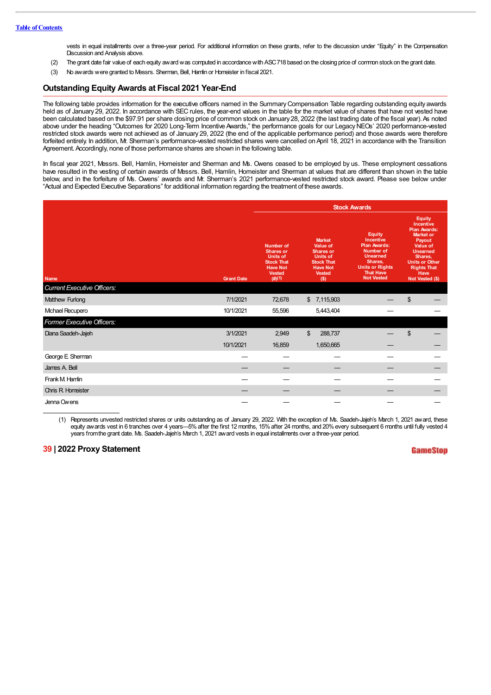vests in equal installments over a three-year period. For additional information on these grants, refer to the discussion under "Equity" in the Compensation Discussion and Analysis above.

- (2) The grant date fair value of each equity awardwas computed in accordancewith ASC718 based on the closing price of common stock on the grant date.
- (3) No awards were granted to Messrs. Sherman, Bell, Hamlin or Homeister in fiscal 2021.

## **Outstanding Equity Awards at Fiscal 2021 Year-End**

The following table provides information for the executive officers named in the Summary Compensation Table regarding outstanding equity awards held as of January 29, 2022. In accordance with SEC rules, the year-end values in the table for the market value of shares that have not vested have been calculated based on the \$97.91 per share closing price of common stock on January 28, 2022 (the last trading date of the fiscal year). As noted above under the heading "Outcomes for 2020 Long-Term Incentive Awards," the performance goals for our Legacy NEOs' 2020 performance-vested restricted stock awards were not achieved as of January 29, 2022 (the end of the applicable performance period) and those awards were therefore forfeited entirely. In addition, Mr. Sherman's performance-vested restricted shares were cancelled on April 18, 2021 in accordance with the Transition Agreement. Accordingly, none of those performance shares are shown in the following table.

In fiscal year 2021, Messrs. Bell, Hamlin, Homeister and Sherman and Ms. Owens ceased to be employed by us. These employment cessations have resulted in the vesting of certain awards of Messrs. Bell, Hamlin, Homeister and Sherman at values that are different than shown in the table below, and in the forfeiture of Ms. Owens' awards and Mr. Sherman's 2021 performance-vested restricted stock award. Please see below under "Actual and Expected Executive Separations" for additional information regarding the treatment of these awards.

|                                    |                   | <b>Stock Awards</b>                                                                                                        |                                                                                                                                             |                                                                                                                                                                 |                                                                                                                                                                                                            |  |  |  |  |
|------------------------------------|-------------------|----------------------------------------------------------------------------------------------------------------------------|---------------------------------------------------------------------------------------------------------------------------------------------|-----------------------------------------------------------------------------------------------------------------------------------------------------------------|------------------------------------------------------------------------------------------------------------------------------------------------------------------------------------------------------------|--|--|--|--|
| Name                               | <b>Grant Date</b> | <b>Number of</b><br><b>Shares or</b><br><b>Units of</b><br><b>Stock That</b><br><b>Have Not</b><br><b>Vested</b><br>(#)(1) | <b>Market</b><br><b>Value of</b><br><b>Shares or</b><br><b>Units of</b><br><b>Stock That</b><br><b>Have Not</b><br><b>Vested</b><br>$($ \$) | <b>Equity</b><br>Incentive<br><b>Plan Awards:</b><br>Number of<br><b>Unearned</b><br>Shares,<br><b>Units or Rights</b><br><b>That Have</b><br><b>Not Vested</b> | <b>Equity</b><br>Incentive<br><b>Plan Awards:</b><br><b>Market or</b><br>Payout<br><b>Value of</b><br><b>Unearned</b><br>Shares,<br><b>Units or Other</b><br><b>Rights That</b><br>Have<br>Not Vested (\$) |  |  |  |  |
| <b>Current Executive Officers:</b> |                   |                                                                                                                            |                                                                                                                                             |                                                                                                                                                                 |                                                                                                                                                                                                            |  |  |  |  |
| Matthew Furlong                    | 7/1/2021          | 72,678                                                                                                                     | 7,115,903<br>$\mathbb{S}$                                                                                                                   |                                                                                                                                                                 | \$                                                                                                                                                                                                         |  |  |  |  |
| Mchael Recupero                    | 10/1/2021         | 55,596                                                                                                                     | 5,443,404                                                                                                                                   |                                                                                                                                                                 |                                                                                                                                                                                                            |  |  |  |  |
| Former Executive Officers:         |                   |                                                                                                                            |                                                                                                                                             |                                                                                                                                                                 |                                                                                                                                                                                                            |  |  |  |  |
| Diana Saadeh-Jajeh                 | 3/1/2021          | 2,949                                                                                                                      | \$<br>288,737                                                                                                                               |                                                                                                                                                                 | \$                                                                                                                                                                                                         |  |  |  |  |
|                                    | 10/1/2021         | 16,859                                                                                                                     | 1,650,665                                                                                                                                   |                                                                                                                                                                 |                                                                                                                                                                                                            |  |  |  |  |
| George E Sherman                   |                   |                                                                                                                            |                                                                                                                                             |                                                                                                                                                                 |                                                                                                                                                                                                            |  |  |  |  |
| James A. Bell                      |                   |                                                                                                                            |                                                                                                                                             |                                                                                                                                                                 |                                                                                                                                                                                                            |  |  |  |  |
| Frank M Hamlin                     |                   |                                                                                                                            |                                                                                                                                             |                                                                                                                                                                 |                                                                                                                                                                                                            |  |  |  |  |
| <b>Chris R Homeister</b>           |                   |                                                                                                                            |                                                                                                                                             |                                                                                                                                                                 |                                                                                                                                                                                                            |  |  |  |  |
| Jenna Owens                        |                   |                                                                                                                            |                                                                                                                                             |                                                                                                                                                                 |                                                                                                                                                                                                            |  |  |  |  |

(1) Represents unvested restricted shares or units outstanding as of January 29, 2022. With the exception of Ms. Saadeh-Jajeh's March 1, 2021 award, these equity awards vest in 6 tranches over 4 years—5%after the first 12 months, 15%after 24 months, and 20%every subsequent 6 months until fully vested 4 years fromthe grant date. Ms. Saadeh-Jajeh's March 1, 2021 award vests in equal installments over a three-year period.

## **39 | 2022 Proxy Statement**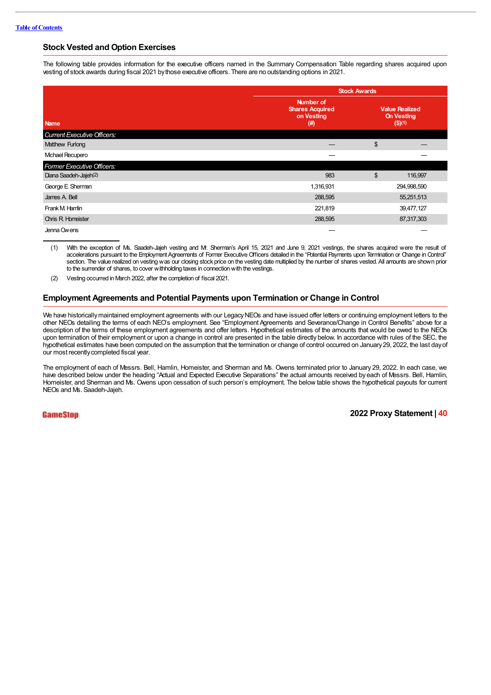# **Stock Vested and Option Exercises**

The following table provides information for the executive officers named in the Summary Compensation Table regarding shares acquired upon vesting of stock awards during fiscal 2021 bythose executive officers. There are no outstanding options in 2021.

|                                    | <b>Stock Awards</b>                                         |    |                                                             |  |  |  |
|------------------------------------|-------------------------------------------------------------|----|-------------------------------------------------------------|--|--|--|
| <b>Name</b>                        | Number of<br><b>Shares Acquired</b><br>on Vesting<br>$(\#)$ |    | <b>Value Realized</b><br><b>On Vesting</b><br>$($ \$) $(1)$ |  |  |  |
| <b>Current Executive Officers:</b> |                                                             |    |                                                             |  |  |  |
| Matthew Furlong                    |                                                             | \$ |                                                             |  |  |  |
| Michael Recupero                   |                                                             |    |                                                             |  |  |  |
| Former Executive Officers:         |                                                             |    |                                                             |  |  |  |
| Diana Saadeh-Jajeh(2)              | 983                                                         | \$ | 116,997                                                     |  |  |  |
| George E Sherman                   | 1,316,931                                                   |    | 294,998,590                                                 |  |  |  |
| James A. Bell                      | 288,595                                                     |    | 55,251,513                                                  |  |  |  |
| Frank M Hamlin                     | 221,819                                                     |    | 39,477,127                                                  |  |  |  |
| <b>Chris R Homeister</b>           | 288,595                                                     |    | 87,317,303                                                  |  |  |  |
| Jenna Owens                        |                                                             |    |                                                             |  |  |  |

(1) With the exception of Ms. Saadeh-Jajeh vesting and Mr. Sherman's April 15, 2021 and June 9, 2021 vestings, the shares acquired were the result of accelerations pursuant to the Employment Agreements of Former Executive Officers detailed in the "Potential Payments upon Termination or Change in Control" section. The value realized on vesting was our closing stock price on the vesting date multiplied by the number of shares vested. All amounts are shown prior to the surrender of shares, to cover withholding taxes in connection with the vestings.

(2) Vesting occurred in March 2022, after the completion of fiscal 2021.

## **Employment Agreements and Potential Payments upon Termination or Change in Control**

We have historically maintained employment agreements with our Legacy NEOs and have issued offer letters or continuing employment letters to the other NEOs detailing the terms of each NEO's employment. See "Employment Agreements and Severance/Change in Control Benefits" above for a description of the terms of these employment agreements and offer letters. Hypothetical estimates of the amounts that would be owed to the NEOs upon termination of their employment or upon a change in control are presented in the table directly below. In accordance with rules of the SEC, the hypothetical estimates have been computed on the assumption that the termination or change of control occurred on January29, 2022, the last dayof our most recently completed fiscal year.

The employment of each of Messrs. Bell, Hamlin, Homeister, and Sherman and Ms. Owens terminated prior to January 29, 2022. In each case, we have described below under the heading "Actual and Expected Executive Separations" the actual amounts received by each of Messrs. Bell, Hamlin, Homeister, and Sherman and Ms. Owens upon cessation of such person's employment. The below table shows the hypothetical payouts for current NEOs and Ms. Saadeh-Jajeh.

### **GameStop**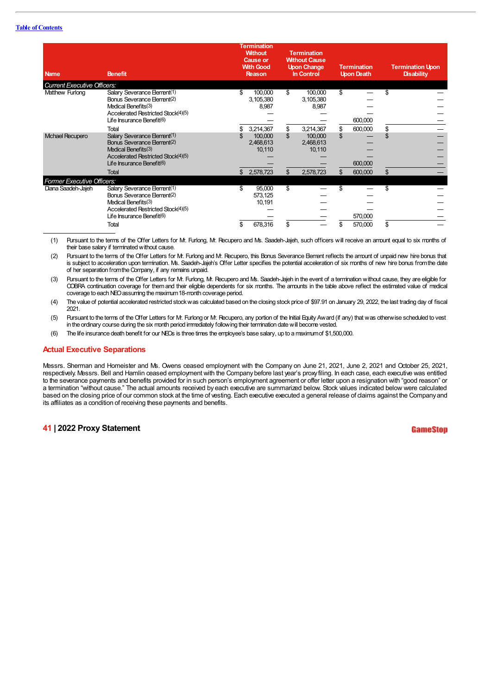#### **Table of Contents**

| <b>Name</b>                        | <b>Benefit</b>                                                                                                                                                                  |              | <b>Termination</b><br><b>Without</b><br><b>Cause or</b><br><b>With Good</b><br>Reason, |         | <b>Termination</b><br><b>Without Cause</b><br><b>Upon Change</b><br>In Control |          | <b>Termination</b><br><b>Upon Death</b> |           | <b>Termination Upon</b><br><b>Disability</b> |
|------------------------------------|---------------------------------------------------------------------------------------------------------------------------------------------------------------------------------|--------------|----------------------------------------------------------------------------------------|---------|--------------------------------------------------------------------------------|----------|-----------------------------------------|-----------|----------------------------------------------|
| <b>Current Executive Officers:</b> |                                                                                                                                                                                 |              |                                                                                        |         |                                                                                |          |                                         |           |                                              |
| Matthew Furlong                    | Salary Severance Element(1)<br>Bonus Severance Element(2)<br>Medical Benefits(3)<br>Accelerated Restricted Stock(4)(5)<br>Life Insurance Benefit <sup>(6)</sup><br>Total        | \$.          | 100,000<br>3,105,380<br>8,987<br>3,214,367                                             | \$<br>S | 100,000<br>3,105,380<br>8,987<br>3,214,367                                     | \$<br>\$ | 600,000<br>600,000                      | \$.<br>\$ |                                              |
| <b>Mchael Recupero</b>             | Salary Severance Element(1)<br>Bonus Severance Element <sup>(2)</sup><br>Medical Benefits(3)<br>Accelerated Restricted Stock(4)(5)<br>Life Insurance Benefit(6)<br><b>Total</b> | $\mathbb{S}$ | 100,000<br>2,468,613<br>10,110<br>2,578,723                                            | \$.     | 100,000<br>2,468,613<br>10,110<br>2,578,723                                    | \$       | 600,000<br>600,000                      | \$        |                                              |
| <b>Former Executive Officers:</b>  |                                                                                                                                                                                 |              |                                                                                        |         |                                                                                |          |                                         |           |                                              |
| Diana Saadeh-Jajeh                 | Salary Severance Element(1)<br>Bonus Severance Element(2)<br>Medical Benefits(3)<br>Accelerated Restricted Stock(4)(5)<br>Life Insurance Benefit(6)<br>Total                    | \$<br>S      | 95,000<br>573,125<br>10,191<br>678,316                                                 | \$      |                                                                                | \$<br>S  | 570,000<br>570,000                      | \$<br>\$  |                                              |

(1) Pursuant to the terms of the Offer Letters for Mr. Furlong, Mr. Recupero and Ms. Saadeh-Jajeh, such officers will receive an amount equal to six months of their base salary if terminated without cause.

(2) Pursuant to the terms of the Offer Letters for Mr. Furlong and Mr. Recupero, this Bonus Severance Element reflects the amount of unpaid new hire bonus that is subject to acceleration upon termination. Ms. Saadeh-Jajeh's Offer Letter specifies the potential acceleration of six months of new hire bonus from the date of her separation fromtheCompany, if any remains unpaid.

(3) Pursuant to the terms of the Offer Letters for Mr. Furlong, Mr. Recupero and Ms. Saadeh-Jajeh in the event of a termination without cause, they are eligible for COBRA continuation coverage for themand their eligible dependents for six months. The amounts in the table above reflect the estimated value of medical coverage to each NEO assuming the maximum 18-month coverage period.

(4) The value of potential accelerated restricted stockwas calculated based on the closing stock price of \$97.91 on January 29, 2022, the last trading day of fiscal 2021.

(5) Pursuant to the terms of the Offer Letters for Mr. Furlong or Mr. Recupero, any portion of the Initial Equity Award (if any) that was otherwise scheduled to vest in the ordinary course during the six month period immediately following their termination datewill become vested.

(6) The life insurance death benefit for our NEOs is three times the employee's base salary, up to a maximumof \$1,500,000.

## **Actual Executive Separations**

Messrs. Sherman and Homeister and Ms. Owens ceased employment with the Company on June 21, 2021, June 2, 2021 and October 25, 2021, respectively. Messrs. Bell and Hamlin ceased employment with the Companybefore last year's proxy filing. In each case, each executive was entitled to the severance payments and benefits provided for in such person's employment agreement or offer letter upon a resignation with "good reason" or a termination "without cause." The actual amounts received by each executive are summarized below. Stock values indicated below were calculated based on the closing price of our common stock at the time of vesting. Each executive executed a general release of claims against the Companyand its affiliates as a condition of receiving these payments and benefits.

## **41 | 2022 Proxy Statement**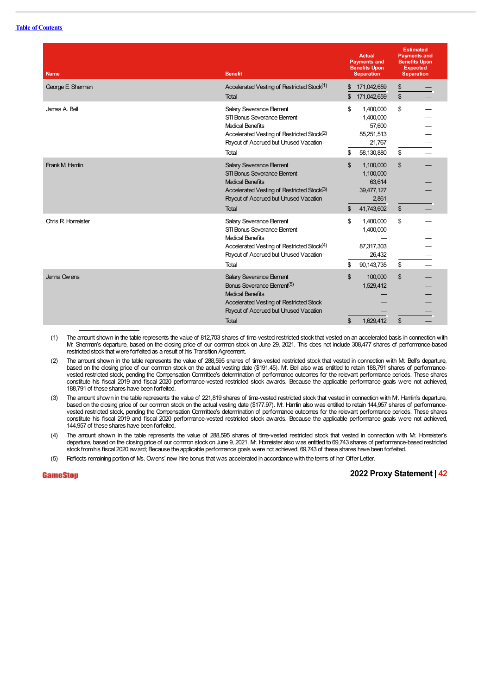| <b>Name</b>              | <b>Benefit</b>                                                                                                                                                                                           | <b>Actual</b><br><b>Payments and</b><br><b>Benefits Upon</b><br><b>Separation</b>  | <b>Estimated</b><br><b>Payments and</b><br><b>Benefits Upon</b><br><b>Expected</b><br><b>Separation</b> |
|--------------------------|----------------------------------------------------------------------------------------------------------------------------------------------------------------------------------------------------------|------------------------------------------------------------------------------------|---------------------------------------------------------------------------------------------------------|
| George E Sherman         | Accelerated Vesting of Restricted Stock <sup>(1)</sup><br><b>Total</b>                                                                                                                                   | 171,042,659<br>\$<br>171,042,659<br>\$                                             | $\frac{1}{2}$<br>\$                                                                                     |
| James A. Bell            | Salary Severance Element<br>STI Bonus Severance Flement<br><b>Medical Benefits</b><br>Accelerated Vesting of Restricted Stock <sup>(2)</sup><br>Payout of Accrued but Unused Vacation<br>Total           | \$<br>1,400,000<br>1,400,000<br>57,600<br>55,251,513<br>21,767<br>58,130,880<br>\$ | \$<br>\$                                                                                                |
| Frank M Hamlin           | <b>Salary Severance Element</b><br>STI Bonus Severance Element<br><b>Medical Benefits</b><br>Accelerated Vesting of Restricted Stock(3)<br>Payout of Accrued but Unused Vacation<br><b>Total</b>         | \$<br>1,100,000<br>1,100,000<br>63,614<br>39,477,127<br>2,861<br>41,743,602<br>\$  | \$<br>\$                                                                                                |
| <b>Chris R Homeister</b> | Salary Severance Element<br>STI Bonus Severance Element<br><b>Medical Benefits</b><br>Accelerated Vesting of Restricted Stock <sup>(4)</sup><br>Payout of Accrued but Unused Vacation<br>Total           | \$<br>1,400,000<br>1,400,000<br>87,317,303<br>26,432<br>90, 143, 735<br>\$         | \$<br>\$                                                                                                |
| Jenna Owens              | <b>Salary Severance Element</b><br>Bonus Severance Element <sup>(5)</sup><br><b>Medical Benefits</b><br>Accelerated Vesting of Restricted Stock<br>Payout of Accrued but Unused Vacation<br><b>Total</b> | \$<br>100,000<br>1,529,412<br>\$<br>1,629,412                                      | $\mathbb{S}$<br>\$                                                                                      |

(1) The amount shown in the table represents the value of 812,703 shares of time-vested restricted stock that vested on an accelerated basis in connection with Mr. Sherman's departure, based on the closing price of our common stock on June 29, 2021. This does not include 308,477 shares of performance-based restricted stock that were forfeited as a result of his Transition Agreement.

(2) The amount shown in the table represents the value of 288,595 shares of time-vested restricted stock that vested in connection with Mr. Bell's departure, based on the closing price of our common stock on the actual vesting date (\$191.45). Mr. Bell also was entitled to retain 188,791 shares of performancevested restricted stock, pending the Compensation Committee's determination of performance outcomes for the relevant performance periods. These shares constitute his fiscal 2019 and fiscal 2020 performance-vested restricted stock awards. Because the applicable performance goals were not achieved, 188,791 of these shares have been forfeited.

(3) The amount shown in the table represents the value of 221,819 shares of time-vested restricted stock that vested in connection with Mr. Hamlin's departure, based on the closing price of our common stock on the actual vesting date (\$177.97). Mr. Hamlin also was entitled to retain 144,957 shares of performancevested restricted stock, pending the Compensation Committee's determination of performance outcomes for the relevant performance periods. These shares constitute his fiscal 2019 and fiscal 2020 performance-vested restricted stock awards. Because the applicable performance goals were not achieved, 144,957 of these shares have been forfeited.

(4) The amount shown in the table represents the value of 288,595 shares of time-vested restricted stock that vested in connection with Mr. Homeister's departure, based on the closing price of our common stock on June 9, 2021. Mr. Homeister alsowas entitled to 69,743 shares of performance-based restricted stock fromhis fiscal 2020 award; Because the applicable performance goals were not achieved, 69,743 of these shares have been forfeited.

(5) Reflects remaining portion of Ms. Owens' new hire bonus that was accelerated in accordancewith the terms of her Offer Letter.

**GameStop**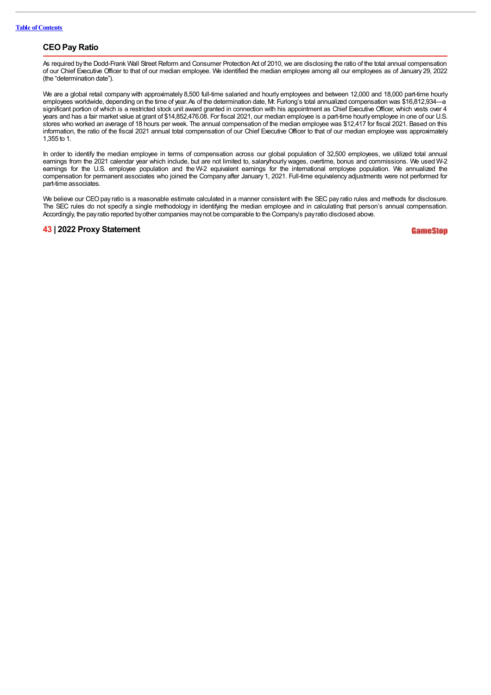# **CEOPay Ratio**

As required by the Dodd-Frank Wall Street Reform and Consumer Protection Act of 2010, we are disclosing the ratio of the total annual compensation of our Chief Executive Officer to that of our median employee. We identified the median employee among all our employees as of January 29, 2022 (the "determination date").

We are a global retail company with approximately 8,500 full-time salaried and hourly employees and between 12,000 and 18,000 part-time hourly employees worldwide, depending on the time of year. As of the determination date, Mr. Furlong's total annualized compensation was \$16,812,934—a significant portion of which is a restricted stock unit award granted in connection with his appointment as Chief Executive Officer, which vests over 4 years and has a fair market value at grant of \$14,852,476.08. For fiscal 2021, our median employee is a part-time hourlyemployee in one of our U.S. stores who worked an average of 18 hours per week. The annual compensation of the median employee was \$12,417 for fiscal 2021. Based on this information, the ratio of the fiscal 2021 annual total compensation of our Chief Executive Officer to that of our median employee was approximately 1,355 to 1.

In order to identify the median employee in terms of compensation across our global population of 32,500 employees, we utilized total annual earnings from the 2021 calendar year which include, but are not limited to, salary/hourly wages, overtime, bonus and commissions. We used W-2 earnings for the U.S. employee population and the W-2 equivalent earnings for the international employee population. We annualized the compensation for permanent associates who joined the Company after January 1, 2021. Full-time equivalency adjustments were not performed for part-time associates.

We believe our CEO pay ratio is a reasonable estimate calculated in a manner consistent with the SEC pay ratio rules and methods for disclosure. The SEC rules do not specify a single methodology in identifying the median employee and in calculating that person's annual compensation. Accordingly, the payratio reported byother companies maynot be comparable to the Company's payratio disclosed above.

## **43 | 2022 Proxy Statement**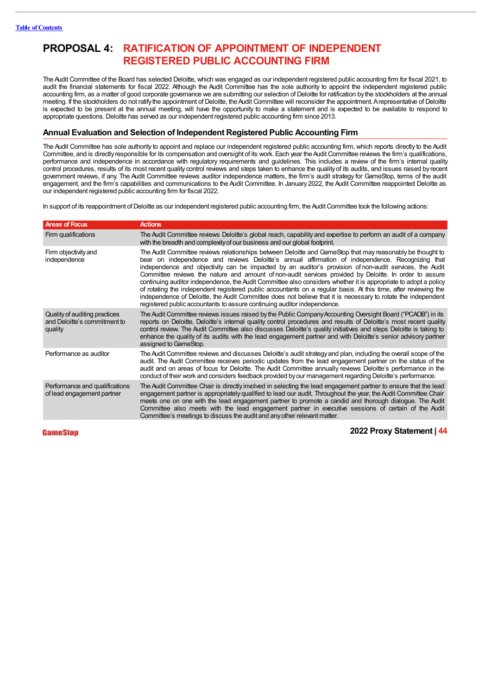# **PROPOSAL 4: RATIFICATION OF APPOINTMENT OF INDEPENDENT REGISTERED PUBLIC ACCOUNTING FIRM**

The Audit Committee of the Board has selected Deloitte, which was engaged as our independent registered public accounting firm for fiscal 2021, to audit the financial statements for fiscal 2022. Although the Audit Committee has the sole authority to appoint the independent registered public accounting firm, as a matter of good corporate governance we are submitting our selection of Deloitte for ratification bythe stockholders at the annual meeting. If the stockholders do not ratify the appointment of Deloitte, the Audit Committee will reconsider the appointment. Arepresentative of Deloitte is expected to be present at the annual meeting, will have the opportunity to make a statement and is expected to be available to respond to appropriate questions.Deloitte has served as our independent registered public accounting firm since 2013.

# **Annual Evaluation and Selection of Independent Registered Public Accounting Firm**

The Audit Committee has sole authority to appoint and replace our independent registered public accounting firm, which reports directly to the Audit Committee, and is directly responsible for its compensation and oversight of its work. Each year the Audit Committee reviews the firm's qualifications, performance and independence in accordance with regulatory requirements and guidelines. This includes a review of the firm's internal quality control procedures, results of its most recent quality control reviews and steps taken to enhance the qualityof its audits, and issues raised by recent government reviews, if any. The Audit Committee reviews auditor independence matters, the firm's audit strategy for GameStop, terms of the audit engagement, and the firm's capabilities and communications to the Audit Committee. In January 2022, the Audit Committee reappointed Deloitte as our independent registered public accounting firm for fiscal 2022.

In support of its reappointment of Deloitte as our independent registered public accounting firm, the Audit Committee took the following actions:

| <b>Areas of Focus</b>                                                    | <b>Actions</b>                                                                                                                                                                                                                                                                                                                                                                                                                                                                                                                                                                                                                                                                                                                                                                                                                                                        |
|--------------------------------------------------------------------------|-----------------------------------------------------------------------------------------------------------------------------------------------------------------------------------------------------------------------------------------------------------------------------------------------------------------------------------------------------------------------------------------------------------------------------------------------------------------------------------------------------------------------------------------------------------------------------------------------------------------------------------------------------------------------------------------------------------------------------------------------------------------------------------------------------------------------------------------------------------------------|
| Firm qualifications                                                      | The Audit Committee reviews Deloitte's global reach, capability and expertise to perform an audit of a company<br>with the breadth and complexity of our business and our global footprint.                                                                                                                                                                                                                                                                                                                                                                                                                                                                                                                                                                                                                                                                           |
| Firm objectivity and<br>independence                                     | The Audit Committee reviews relationships between Deloitte and GameStop that may reasonably be thought to<br>bear on independence and reviews Deloitte's annual affirmation of independence. Recognizing that<br>independence and objectivity can be impacted by an auditor's provision of non-audit services, the Audit<br>Committee reviews the nature and amount of non-audit services provided by Deloitte. In order to assure<br>continuing auditor independence, the Audit Committee also considers whether it is appropriate to adopt a policy<br>of rotating the independent registered public accountants on a regular basis. At this time, after reviewing the<br>independence of Deloitte, the Audit Committee does not believe that it is necessary to rotate the independent<br>registered public accountants to assure continuing auditor independence. |
| Quality of auditing practices<br>and Deloitte's commitment to<br>quality | The Audit Committee reviews issues raised by the Public Company Accounting Oversight Board ("PCAOB") in its<br>reports on Deloitte, Deloitte's internal quality control procedures and results of Deloitte's most recent quality<br>control review. The Audit Committee also discusses Deloitte's quality initiatives and steps Deloitte is taking to<br>enhance the quality of its audits with the lead engagement partner and with Deloitte's senior advisory partner<br>assigned to GameStop.                                                                                                                                                                                                                                                                                                                                                                      |
| Performance as auditor                                                   | The Audit Committee reviews and discusses Deloitte's audit strategy and plan, including the overall scope of the<br>audit. The Audit Committee receives periodic updates from the lead engagement partner on the status of the<br>audit and on areas of focus for Deloitte. The Audit Committee annually reviews Deloitte's performance in the<br>conduct of their work and considers feedback provided by our management regarding Deloitte's performance.                                                                                                                                                                                                                                                                                                                                                                                                           |
| Performance and qualifications<br>of lead engagement partner             | The Audit Committee Chair is directly involved in selecting the lead engagement partner to ensure that the lead<br>engagement partner is appropriately qualified to lead our audit. Throughout the year, the Audit Committee Chair<br>meets one on one with the lead engagement partner to promote a candid and thorough dialogue. The Audit<br>Committee also meets with the lead engagement partner in executive sessions of certain of the Audit<br>Committee's meetings to discuss the audit and any other relevant matter.                                                                                                                                                                                                                                                                                                                                       |

#### GameStop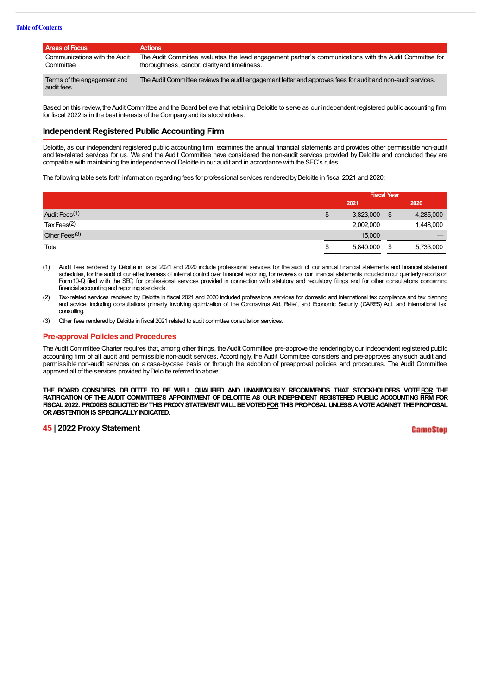### **Table of Contents**

| Areas of Focus                             | <b>Actions</b>                                                                                                                                           |
|--------------------------------------------|----------------------------------------------------------------------------------------------------------------------------------------------------------|
| Communications with the Audit<br>Committee | The Audit Committee evaluates the lead engagement partner's communications with the Audit Committee for<br>thoroughness, candor, clarity and timeliness. |
| Terms of the engagement and<br>audit fees  | The Audit Committee reviews the audit engagement letter and approves fees for audit and non-audit services.                                              |

Based on this review, the Audit Committee and the Board believe that retaining Deloitte to serve as our independent registered public accounting firm for fiscal 2022 is in the best interests of the Companyand its stockholders.

## **Independent Registered Public Accounting Firm**

Deloitte, as our independent registered public accounting firm, examines the annual financial statements and provides other permissible non-audit and tax-related services for us. We and the Audit Committee have considered the non-audit services provided by Deloitte and concluded they are compatible with maintaining the independence of Deloitte in our audit and in accordance with the SEC's rules.

The following table sets forth information regarding fees for professional services rendered byDeloitte in fiscal 2021 and 2020:

|                           | <b>Fiscal Year</b> |           |    |           |
|---------------------------|--------------------|-----------|----|-----------|
|                           |                    | 2021      |    | 2020      |
| Audit Fees <sup>(1)</sup> | \$                 | 3,823,000 | \$ | 4,285,000 |
| Tax Fees $(2)$            |                    | 2,002,000 |    | 1,448,000 |
| Other Fees $(3)$          |                    | 15,000    |    |           |
| Total                     | ۰D                 | 5,840,000 | \$ | 5,733,000 |

- (1) Audit fees rendered by Deloitte in fiscal 2021 and 2020 include professional services for the audit of our annual financial statements and financial statement schedules, for the audit of our effectiveness of internal control over financial reporting, for reviews of our financial statements included in our quarterly reports on Form10-Q filed with the SEC, for professional services provided in connection with statutory and regulatory filings and for other consultations concerning financial accounting and reporting standards.
- (2) Tax-related services rendered by Deloitte in fiscal 2021 and 2020 included professional services for domestic and international tax compliance and tax planning and advice, including consultations primarily involving optimization of the Coronavirus Aid, Relief, and Economic Security (CARES) Act, and international tax consulting.
- (3) Other fees rendered by Deloitte in fiscal 2021 related to audit committee consultation services.

### **Pre-approval Policies and Procedures**

The Audit Committee Charter requires that, among other things, the Audit Committee pre-approve the rendering by our independent registered public accounting firm of all audit and permissible non-audit services. Accordingly, the Audit Committee considers and pre-approves any such audit and permissible non-audit services on a case-by-case basis or through the adoption of preapproval policies and procedures. The Audit Committee approved all of the services provided by Deloitte referred to above.

**THE BOARD CONSIDERS DELOITTE TO BE WELL QUALIFIED AND UNANIMOUSLY RECOMMENDS THAT STOCKHOLDERS VOTEFOR THE** RATIFICATION OF THE AUDIT COMMITTEE'S APPOINTMENT OF DELOITTE AS OUR INDEPENDENT REGISTERED PUBLIC ACCOUNTING FIRM FOR **FISCAL 2022. PROXIES SOLICITEDBYTHIS PROXYSTATEMENT WILLBEVOTEDFORTHIS PROPOSALUNLESS AVOTEAGAINST THEPROPOSAL ORABSTENTIONISSPECIFICALLYINDICATED.**

## **45 | 2022 Proxy Statement**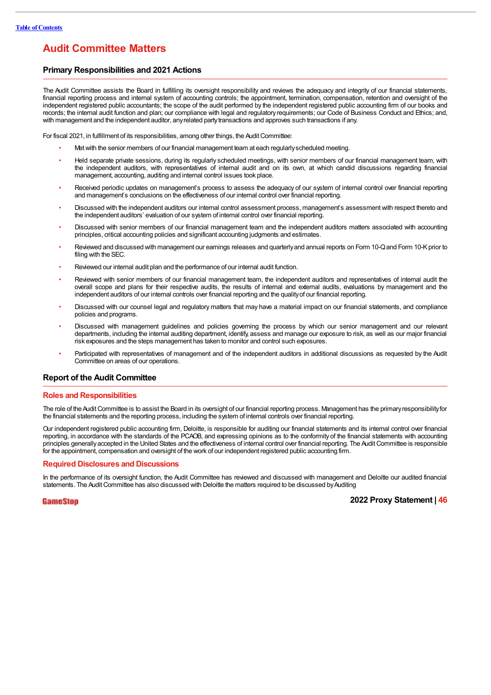# **Audit Committee Matters**

# **Primary Responsibilities and 2021 Actions**

The Audit Committee assists the Board in fulfilling its oversight responsibility and reviews the adequacy and integrity of our financial statements, financial reporting process and internal system of accounting controls; the appointment, termination, compensation, retention and oversight of the independent registered public accountants; the scope of the audit performed by the independent registered public accounting firm of our books and records; the internal audit function and plan; our compliance with legal and regulatory requirements; our Code of Business Conduct and Ethics; and, with management and the independent auditor, anyrelated partytransactions and approves such transactions if any.

For fiscal 2021, in fulfillment of its responsibilities, among other things, the Audit Committee:

- Metwith the senior members of our financial management team at each regularlyscheduled meeting.
- Held separate private sessions, during its regularly scheduled meetings, with senior members of our financial management team, with the independent auditors, with representatives of internal audit and on its own, at which candid discussions regarding financial management, accounting, auditing and internal control issues took place.
- Received periodic updates on management's process to assess the adequacy of our system of internal control over financial reporting and management's conclusions on the effectiveness of our internal control over financial reporting.
- Discussed with the independent auditors our internal control assessment process, management's assessment with respect thereto and the independent auditors' evaluation of our system of internal control over financial reporting.
- Discussed with senior members of our financial management team and the independent auditors matters associated with accounting principles, critical accounting policies and significant accounting judgments and estimates.
- Reviewed and discussed with management our earnings releases and quarterlyand annual reports on Form 10-Qand Form 10-Kprior to filing with the SEC.
- Reviewed our internal audit plan and the performance of our internal audit function.
- Reviewed with senior members of our financial management team, the independent auditors and representatives of internal audit the overall scope and plans for their respective audits, the results of internal and external audits, evaluations by management and the independent auditors of our internal controls over financial reporting and the qualityof our financial reporting.
- Discussed with our counsel legal and regulatory matters that may have a material impact on our financial statements, and compliance policies and programs.
- Discussed with management guidelines and policies governing the process by which our senior management and our relevant departments, including the internal auditing department, identify, assess and manage our exposure to risk, as well as our major financial risk exposures and the steps management has taken to monitor and control such exposures.
- Participated with representatives of management and of the independent auditors in additional discussions as requested by the Audit Committee on areas of our operations.

# **Report of the Audit Committee**

#### **Roles and Responsibilities**

The role of the Audit Committee is to assist the Board in its oversight of our financial reporting process. Management has the primary responsibility for the financial statements and the reporting process, including the system of internal controls over financial reporting.

Our independent registered public accounting firm, Deloitte, is responsible for auditing our financial statements and its internal control over financial reporting, in accordance with the standards of the PCAOB, and expressing opinions as to the conformity of the financial statements with accounting principles generallyaccepted in the United States and the effectiveness of internal control over financial reporting. The AuditCommittee is responsible for the appointment, compensation and oversight of the work of our independent registered public accounting firm.

#### **Required Disclosures and Discussions**

In the performance of its oversight function, the Audit Committee has reviewed and discussed with management and Deloitte our audited financial statements. The Audit Committee has also discussed with Deloitte the matters required to be discussed by Auditing

#### GameStop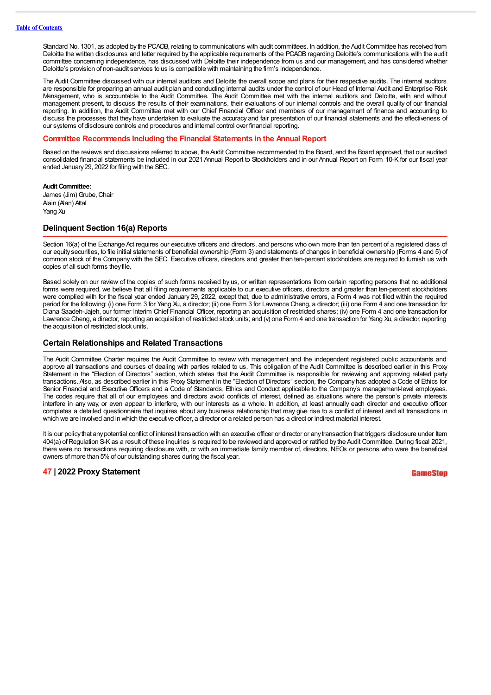Standard No. 1301, as adopted by the PCAOB, relating to communications with audit committees. In addition, the Audit Committee has received from Deloitte the written disclosures and letter required by the applicable requirements of the PCAOB regarding Deloitte's communications with the audit committee concerning independence, has discussed with Deloitte their independence from us and our management, and has considered whether Deloitte's provision of non-audit services to us is compatible with maintaining the firm's independence.

The Audit Committee discussed with our internal auditors and Deloitte the overall scope and plans for their respective audits. The internal auditors are responsible for preparing an annual audit plan and conducting internal audits under the control of our Head of Internal Audit and Enterprise Risk Management, who is accountable to the Audit Committee. The Audit Committee met with the internal auditors and Deloitte, with and without management present, to discuss the results of their examinations, their evaluations of our internal controls and the overall quality of our financial reporting. In addition, the Audit Committee met with our Chief Financial Officer and members of our management of finance and accounting to discuss the processes that they have undertaken to evaluate the accuracy and fair presentation of our financial statements and the effectiveness of our systems of disclosure controls and procedures and internal control over financial reporting.

### **Committee Recommends Including the Financial Statements in the Annual Report**

Based on the reviews and discussions referred to above, the Audit Committee recommended to the Board, and the Board approved, that our audited consolidated financial statements be included in our 2021 Annual Report to Stockholders and in our Annual Report on Form 10-K for our fiscal year ended January29, 2022 for filing with the SEC.

#### **Audit Committee:**

James (Jim) Grube, Chair Alain (Alan) Attal Yang Xu

### **Delinquent Section 16(a) Reports**

Section 16(a) of the Exchange Act requires our executive officers and directors, and persons who own more than ten percent of a registered class of our equitysecurities, to file initial statements of beneficial ownership (Form 3) and statements of changes in beneficial ownership (Forms 4 and 5) of common stock of the Company with the SEC. Executive officers, directors and greater than ten-percent stockholders are required to furnish us with copies of all such forms theyfile.

Based solely on our review of the copies of such forms received by us, or written representations from certain reporting persons that no additional forms were required, we believe that all filing requirements applicable to our executive officers, directors and greater than ten-percent stockholders were complied with for the fiscal year ended January 29, 2022, except that, due to administrative errors, a Form 4 was not filed within the required period for the following: (i) one Form 3 for Yang Xu, a director; (ii) one Form 3 for Lawrence Cheng, a director; (iii) one Form 4 and one transaction for Diana Saadeh-Jajeh, our former Interim Chief Financial Officer, reporting an acquisition of restricted shares; (iv) one Form 4 and one transaction for Lawrence Cheng, a director, reporting an acquisition of restricted stock units; and (v) one Form 4 and one transaction for Yang Xu, a director, reporting the acquisition of restricted stock units.

## **Certain Relationships and Related Transactions**

The Audit Committee Charter requires the Audit Committee to review with management and the independent registered public accountants and approve all transactions and courses of dealing with parties related to us. This obligation of the Audit Committee is described earlier in this Proxy Statement in the "Election of Directors" section, which states that the Audit Committee is responsible for reviewing and approving related party transactions. Also, as described earlier in this Proxy Statement in the "Election of Directors" section, the Company has adopted a Code of Ethics for Senior Financial and Executive Officers and a Code of Standards, Ethics and Conduct applicable to the Company's management-level employees. The codes require that all of our employees and directors avoid conflicts of interest, defined as situations where the person's private interests interfere in any way, or even appear to interfere, with our interests as a whole. In addition, at least annually each director and executive officer completes a detailed questionnaire that inquires about any business relationship that may give rise to a conflict of interest and all transactions in which we are involved and in which the executive officer, a director or a related person has a direct or indirect material interest.

It is our policy that any potential conflict of interest transaction with an executive officer or director or any transaction that triggers disclosure under Item 404(a) of Regulation S-K as a result of these inquiries is required to be reviewed and approved or ratified by the Audit Committee. During fiscal 2021, there were no transactions requiring disclosure with, or with an immediate family member of, directors, NEOs or persons who were the beneficial owners of more than 5%of our outstanding shares during the fiscal year.

#### **47 | 2022 Proxy Statement**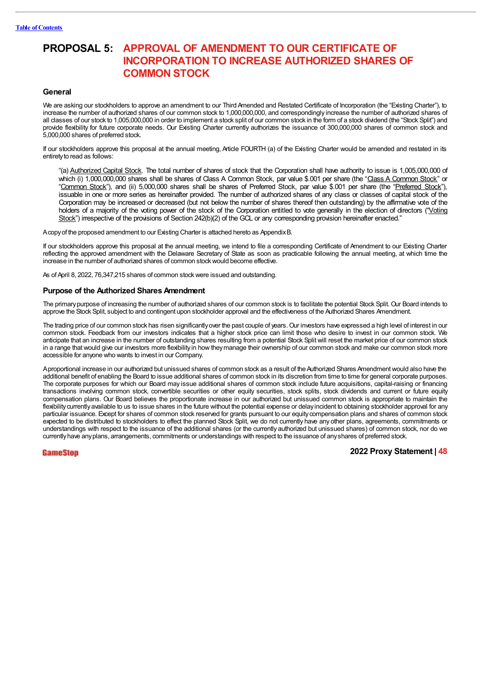# **PROPOSAL 5: APPROVAL OF AMENDMENT TO OUR CERTIFICATE OF INCORPORATION TO INCREASE AUTHORIZED SHARES OF COMMON STOCK**

### **General**

We are asking our stockholders to approve an amendment to our Third Amended and Restated Certificate of Incorporation (the "Existing Charter"), to increase the number of authorized shares of our common stock to 1,000,000,000, and correspondingly increase the number of authorized shares of all classes of our stock to 1,005,000,000 in order to implement a stock split of our common stock in the form of a stock dividend (the "Stock Split") and provide flexibility for future corporate needs. Our Existing Charter currently authorizes the issuance of 300,000,000 shares of common stock and 5,000,000 shares of preferred stock.

If our stockholders approve this proposal at the annual meeting, Article FOURTH (a) of the Existing Charter would be amended and restated in its entiretyto read as follows:

"(a) Authorized Capital Stock. The total number of shares of stock that the Corporation shall have authority to issue is 1,005,000,000 of which (i) 1,000,000,000 shares shall be shares of Class A Common Stock, par value \$.001 per share (the "Class A Common Stock" or "Common Stock"), and (ii) 5,000,000 shares shall be shares of Preferred Stock, par value \$.001 per share (the "Preferred Stock"), issuable in one or more series as hereinafter provided. The number of authorized shares of any class or classes of capital stock of the Corporation may be increased or decreased (but not below the number of shares thereof then outstanding) by the affirmative vote of the holders of a majority of the voting power of the stock of the Corporation entitled to vote generally in the election of directors ("Voting Stock") irrespective of the provisions of Section 242(b)(2) of the GCL or any corresponding provision hereinafter enacted."

Acopyof the proposed amendment to our Existing Charter is attached hereto as AppendixB.

If our stockholders approve this proposal at the annual meeting, we intend to file a corresponding Certificate of Amendment to our Existing Charter reflecting the approved amendment with the Delaware Secretary of State as soon as practicable following the annual meeting, at which time the increase in the number of authorized shares of common stockwould become effective.

As of April 8, 2022, 76,347,215 shares of common stock were issued and outstanding.

### **Purpose of the Authorized Shares Amendment**

The primarypurpose of increasing the number of authorized shares of our common stock is to facilitate the potential Stock Split. Our Board intends to approve the Stock Split, subject to and contingent upon stockholder approval and the effectiveness of the Authorized Shares Amendment.

The trading price of our common stock has risen significantlyover the past couple of years. Our investors have expressed a high level of interest in our common stock. Feedback from our investors indicates that a higher stock price can limit those who desire to invest in our common stock. We anticipate that an increase in the number of outstanding shares resulting from a potential Stock Split will reset the market price of our common stock in a range that would give our investors more flexibility in how they manage their ownership of our common stock and make our common stock more accessible for anyone who wants to invest in our Company.

Aproportional increase in our authorized but unissued shares of common stock as a result of theAuthorized Shares Amendmentwould also have the additional benefit of enabling the Board to issue additional shares of common stock in its discretion from time to time for general corporate purposes. The corporate purposes for which our Board may issue additional shares of common stock include future acquisitions, capital-raising or financing transactions involving common stock, convertible securities or other equity securities, stock splits, stock dividends and current or future equity compensation plans. Our Board believes the proportionate increase in our authorized but unissued common stock is appropriate to maintain the flexibility currently available to us to issue shares in the future without the potential expense or delay incident to obtaining stockholder approval for any particular issuance. Except for shares of common stock reserved for grants pursuant to our equity compensation plans and shares of common stock expected to be distributed to stockholders to effect the planned Stock Split, we do not currently have any other plans, agreements, commitments or understandings with respect to the issuance of the additional shares (or the currently authorized but unissued shares) of common stock, nor do we currentlyhave anyplans, arrangements, commitments or understandings with respect to the issuance of anyshares of preferred stock.

## GameStop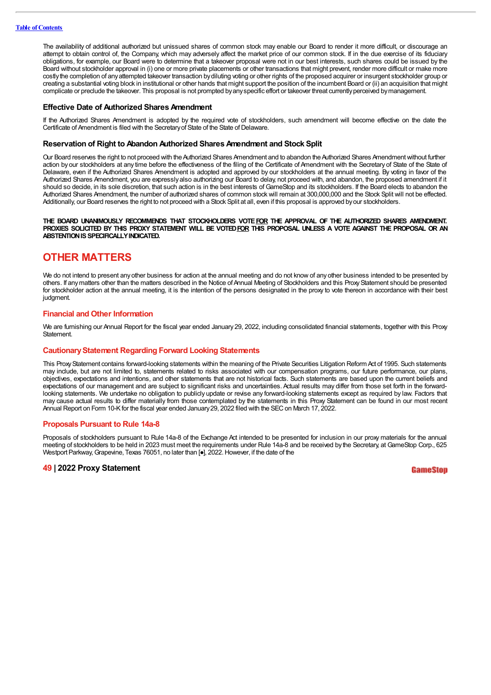The availability of additional authorized but unissued shares of common stock may enable our Board to render it more difficult, or discourage an attempt to obtain control of, the Company, which may adversely affect the market price of our common stock. If in the due exercise of its fiduciary obligations, for example, our Board were to determine that a takeover proposal were not in our best interests, such shares could be issued by the Board without stockholder approval in (i) one or more private placements or other transactions that might prevent, render more difficult or make more costlythe completion of anyattempted takeover transaction bydiluting voting or other rights of the proposed acquirer or insurgent stockholder group or creating a substantial voting block in institutional or other hands that might support the position of the incumbent Board or (ii) an acquisition that might complicate or preclude the takeover. This proposal is not prompted byanyspecific effort or takeover threat currentlyperceived bymanagement.

#### **Effective Date of Authorized Shares Amendment**

If the Authorized Shares Amendment is adopted by the required vote of stockholders, such amendment will become effective on the date the Certificate of Amendment is filed with the Secretary of State of the State of Delaware.

#### **Reservation of Right to Abandon Authorized Shares Amendment and Stock Split**

Our Board reserves the right to not proceed with the Authorized Shares Amendment and to abandon the Authorized Shares Amendment without further action by our stockholders at any time before the effectiveness of the filing of the Certificate of Amendment with the Secretary of State of the State of Delaware, even if the Authorized Shares Amendment is adopted and approved by our stockholders at the annual meeting. By voting in favor of the Authorized Shares Amendment, you are expressly also authorizing our Board to delay, not proceed with, and abandon, the proposed amendment if it should so decide, in its sole discretion, that such action is in the best interests of GameStop and its stockholders. If the Board elects to abandon the Authorized Shares Amendment, the number of authorized shares of common stock will remain at 300,000,000 and the Stock Split will not be effected. Additionally, our Board reserves the right to not proceed with a Stock Split at all, even if this proposal is approved byour stockholders.

#### **THE BOARD UNANIMOUSLY RECOMMENDS THAT STOCKHOLDERS VOTEFOR THE APPROVAL OF THE AUTHORIZED SHARES AMENDMENT.** PROXIES SOLICITED BY THIS PROXY STATEMENT WILL BE VOTED FOR THIS PROPOSAL UNLESS A VOTE AGAINST THE PROPOSAL OR AN **ABSTENTION IS SPECIFICALLY INDICATED.**

# **OTHER MATTERS**

We do not intend to present any other business for action at the annual meeting and do not know of any other business intended to be presented by others. If any matters other than the matters described in the Notice of Annual Meeting of Stockholders and this Proxy Statement should be presented for stockholder action at the annual meeting, it is the intention of the persons designated in the proxy to vote thereon in accordance with their best judament.

### **Financial and Other Information**

We are furnishing our Annual Report for the fiscal year ended January 29, 2022, including consolidated financial statements, together with this Proxy **Statement** 

#### **CautionaryStatement Regarding Forward Looking Statements**

This Proxy Statement contains forward-looking statements within the meaning of the Private Securities Litigation Reform Act of 1995. Such statements may include, but are not limited to, statements related to risks associated with our compensation programs, our future performance, our plans, objectives, expectations and intentions, and other statements that are not historical facts. Such statements are based upon the current beliefs and expectations of our management and are subject to significant risks and uncertainties. Actual results may differ from those set forth in the forwardlooking statements. We undertake no obligation to publicly update or revise any forward-looking statements except as required by law. Factors that may cause actual results to differ materially from those contemplated by the statements in this Proxy Statement can be found in our most recent Annual Report on Form 10-K for the fiscal year ended January 29, 2022 filed with the SEC on March 17, 2022.

#### **Proposals Pursuant to Rule 14a-8**

Proposals of stockholders pursuant to Rule 14a-8 of the Exchange Act intended to be presented for inclusion in our proxy materials for the annual meeting of stockholders to be held in 2023 must meet the requirements under Rule 14a-8 and be received by the Secretary, at GameStop Corp., 625 Westport Parkway, Grapevine, Texas 76051, no later than  $\left[\bullet\right]$ , 2022. However, if the date of the

# **49 | 2022 Proxy Statement**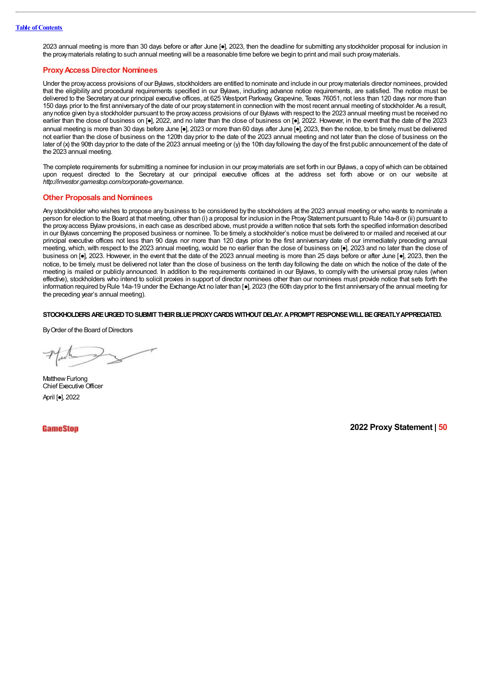2023 annual meeting is more than 30 days before or after June [●], 2023, then the deadline for submitting any stockholder proposal for inclusion in the proxymaterials relating to such annual meeting will be a reasonable time before we begin to print and mail such proxymaterials.

#### **ProxyAccess Director Nominees**

Under the proxyaccess provisions of our Bylaws, stockholders are entitled to nominate and include in our proxymaterials director nominees, provided that the eligibility and procedural requirements specified in our Bylaws, including advance notice requirements, are satisfied. The notice must be delivered to the Secretary at our principal executive offices, at 625 Westport Parkway, Grapevine, Texas 76051, not less than 120 days nor more than 150 days prior to the first anniversary of the date of our proxy statement in connection with the most recent annual meeting of stockholder. As a result, anynotice given bya stockholder pursuant to the proxyaccess provisions of our Bylaws with respect to the 2023 annual meeting must be received no earlier than the close of business on [•], 2022, and no later than the close of business on [•], 2022. However, in the event that the date of the 2023 annual meeting is more than 30 days before June [•], 2023 or more than 60 days after June [•], 2023, then the notice, to be timely, must be delivered not earlier than the close of business on the 120th day prior to the date of the 2023 annual meeting and not later than the close of business on the later of (x) the 90th day prior to the date of the 2023 annual meeting or (y) the 10th day following the day of the first public announcement of the date of the 2023 annual meeting.

The complete requirements for submitting a nominee for inclusion in our proxymaterials are set forth in our Bylaws, a copyof which can be obtained upon request directed to the Secretary at our principal executive offices at the address set forth above or on our website at *http:/ investor.gamestop.com/corporate-governance*.

#### **Other Proposals and Nominees**

Any stockholder who wishes to propose anybusiness to be considered by the stockholders at the 2023 annual meeting or who wants to nominate a person for election to the Board at that meeting, other than (i) a proposal for inclusion in the Proxy Statement pursuant to Rule 14a-8 or (ii) pursuant to the proxyaccess Bylaw provisions, in each case as described above, must provide a written notice that sets forth the specified information described in our Bylaws concerning the proposed business or nominee. To be timely, a stockholder's notice must be delivered to or mailed and received at our principal executive offices not less than 90 days nor more than 120 days prior to the first anniversary date of our immediately preceding annual meeting, which, with respect to the 2023 annual meeting, would be no earlier than the close of business on [●], 2023 and no later than the close of business on [•], 2023. However, in the event that the date of the 2023 annual meeting is more than 25 days before or after June [•], 2023, then the notice, to be timely, must be delivered not later than the close of business on the tenth day following the date on which the notice of the date of the meeting is mailed or publicly announced. In addition to the requirements contained in our Bylaws, to comply with the universal proxy rules (when effective), stockholders who intend to solicit proxies in support of director nominees other than our nominees must provide notice that sets forth the information required by Rule 14a-19 under the Exchange Act no later than [...], 2023 (the 60th day prior to the first anniversary of the annual meeting for the preceding year's annual meeting).

#### **STOCKHOLDERSAREURGEDTOSUBMITTHEIRBLUEPROXYCARDS WITHOUTDELAY.APROMPTRESPONSEWILLBEGREATLYAPPRECIATED.**

By Order of the Board of Directors

Matthew Furlong Chief Executive Officer April [●], 2022

**GameStop**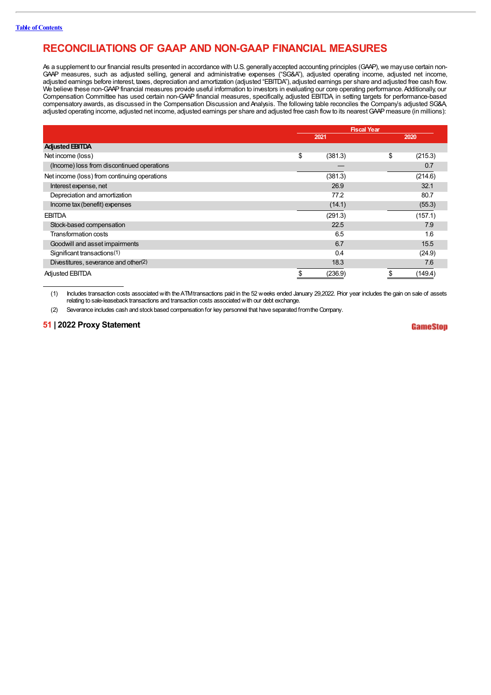# **RECONCILIATIONS OF GAAP AND NON-GAAP FINANCIAL MEASURES**

As a supplement to our financial results presented in accordance with U.S. generally accepted accounting principles (GAAP), we may use certain non-GAP measures, such as adjusted selling, general and administrative expenses ("SG&A"), adjusted operating income, adjusted net income, adjusted earnings before interest, taxes, depreciation and annortization (adjusted "EBIT We believe these non-GAAP financial measures provide useful information to investors in evaluating our core operating performance. Additionally, our Compensation Committee has used certain non-GAAP financial measures, specifically, adjusted EBITDA, in setting targets for performance-based compensatory awards, as discussed in the Compensation Discussion and Analysis. The following table reconciles the Company's adjusted SG&A, adjusted operating income, adjusted net income, adjusted earnings per share and adjusted free cash flowto its nearestGAAPmeasure (in millions):

|                                              | <b>Fiscal Year</b> |               |  |
|----------------------------------------------|--------------------|---------------|--|
|                                              | 2021               | 2020          |  |
| <b>Adjusted EBITDA</b>                       |                    |               |  |
| Net income (loss)                            | \$<br>(381.3)      | \$<br>(215.3) |  |
| (Income) loss from discontinued operations   |                    | 0.7           |  |
| Net income (loss) from continuing operations | (381.3)            | (214.6)       |  |
| Interest expense, net                        | 26.9               | 32.1          |  |
| Depreciation and amortization                | 77.2               | 80.7          |  |
| Income tax (benefit) expenses                | (14.1)             | (55.3)        |  |
| <b>EBITDA</b>                                | (291.3)            | (157.1)       |  |
| Stock-based compensation                     | 22.5               | 7.9           |  |
| Transformation costs                         | 6.5                | 1.6           |  |
| Goodwill and asset impairments               | 6.7                | 15.5          |  |
| Significant transactions(1)                  | 0.4                | (24.9)        |  |
| Divestitures, severance and other(2)         | 18.3               | 7.6           |  |
| <b>Adjusted EBITDA</b>                       | (236.9)            | (149.4)       |  |

(1) Includes transaction costs associated with theATMtransactions paid in the 52 weeks ended January 29,2022. Prior year includes the gain on sale of assets relating to sale-leaseback transactions and transaction costs associated with our debt exchange.

(2) Severance includes cash and stock based compensation for key personnel that have separated fromtheCompany.

# **51 | 2022 Proxy Statement**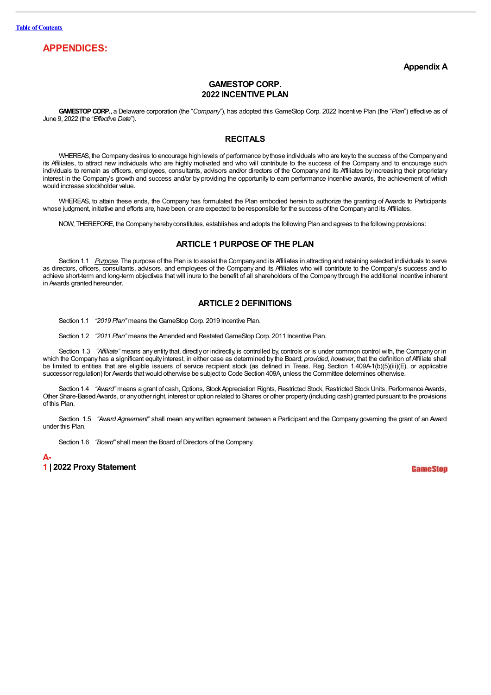# **APPENDICES:**

**Appendix A**

# **GAMESTOP CORP. 2022 INCENTIVE PLAN**

**GAMESTOPCORP.,** a Delaware corporation (the "*Company*"), has adopted this GameStop Corp. 2022 Incentive Plan (the "*Plan*") effective as of June 9, 2022 (the "*Effective Date*").

# **RECITALS**

WHEREAS, the Companydesires to encourage high levels of performance bythose individuals who are keyto the success of the Companyand its Affiliates, to attract new individuals who are highly motivated and who will contribute to the success of the Company and to encourage such individuals to remain as officers, employees, consultants, advisors and/or directors of the Company and its Affiliates by increasing their proprietary interest in the Company's growth and success and/or by providing the opportunity to earn performance incentive awards, the achievement of which would increase stockholder value.

WHEREAS, to attain these ends, the Company has formulated the Plan embodied herein to authorize the granting of Awards to Participants whose judgment, initiative and efforts are, have been, or are expected to be responsible for the success of the Company and its Affiliates.

NOW, THEREFORE, the Companyherebyconstitutes, establishes and adopts the following Plan and agrees to the following provisions:

# **ARTICLE 1 PURPOSE OF THE PLAN**

Section 1.1 *Purpose*. The purpose of the Plan is to assist the Companyand its Affiliates in attracting and retaining selected individuals to serve as directors, officers, consultants, advisors, and employees of the Company and its Affiliates who will contribute to the Company's success and to achieve short-term and long-term objectives that will inure to the benefit of all shareholders of the Company through the additional incentive inherent in Awards granted hereunder.

# **ARTICLE 2 DEFINITIONS**

Section 1.1 *"2019 Plan"* means the GameStop Corp. 2019 Incentive Plan.

Section 1.2 *"2011 Plan"* means the Amended and RestatedGameStop Corp. 2011 Incentive Plan.

Section 1.3 "Affiliate" means any entity that, directly or indirectly, is controlled by, controls or is under common control with, the Company or in which the Companyhas a significant equity interest, in either case as determined by the Board; *provided*, *however*, that the definition of Affiliate shall be limited to entities that are eligible issuers of service recipient stock (as defined in Treas. Reg. Section 1.409A-1(b)(5)(iii)(E), or applicable successor regulation) for Awards thatwould otherwise be subject to Code Section 409A, unless the Committee determines otherwise.

Section 1.4 *"Award"* means a grant of cash, Options, Stock Appreciation Rights, Restricted Stock, Restricted Stock Units, Performance Awards, Other Share-BasedAwards, or anyother right, interest or option related to Shares or other property(including cash) granted pursuant to the provisions of this Plan.

Section 1.5 *"Award Agreement"* shall mean anywritten agreement between a Participant and the Company governing the grant of an Award under this Plan.

Section 1.6 *"Board"* shall mean the Board of Directors of the Company.

**A-1 | 2022 Proxy Statement**

GameSton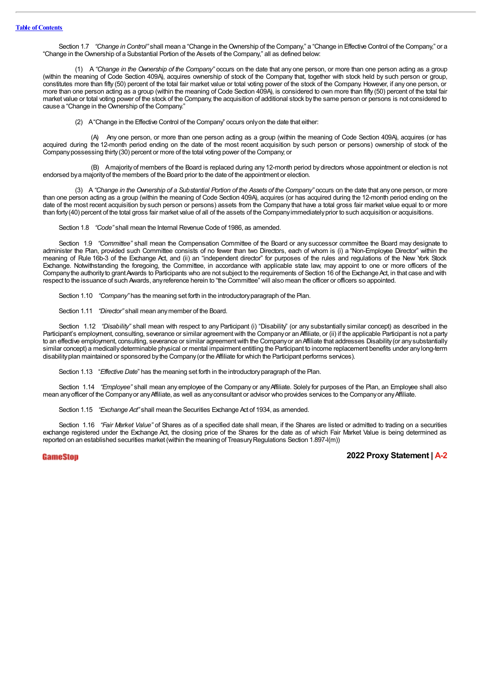Section 1.7 "Change in Control" shall mean a "Change in the Ownership of the Company," a "Change in Effective Control of the Company," or a "Change in the Ownership of a Substantial Portion of the Assets of the Company," all as defined below:

(1) A *"Change in the Ownership of the Company"* occurs on the date that any one person, or more than one person acting as a group (within the meaning of Code Section 409A), acquires ownership of stock of the Company that, together with stock held by such person or group, constitutes more than fifty (50) percent of the total fair market value or total voting power of the stock of the Company. However, if any one person, or more than one person acting as a group (within the meaning of Code Section 409A), is considered to own more than fifty (50) percent of the total fair market value or total voting power of the stock of the Company, the acquisition of additional stock bythe same person or persons is not considered to cause a "Change in the Ownership of the Company."

(2) A"Change in the Effective Control of the Company" occurs onlyon the date that either:

(A) Any one person, or more than one person acting as a group (within the meaning of Code Section 409A), acquires (or has acquired during the 12-month period ending on the date of the most recent acquisition by such person or persons) ownership of stock of the Companypossessing thirty(30) percent or more of the total voting power of the Company; or

(B) Amajorityof members of the Board is replaced during any 12-month period bydirectors whose appointment or election is not endorsed bya majorityof the members of the Board prior to the date of the appointment or election.

(3) A "Change in the Ownership of a Substantial Portion of the Assets of the Company" occurs on the date that any one person, or more than one person acting as a group (within the meaning of Code Section 409A), acquires (or has acquired during the 12-month period ending on the date of the most recent acquisition by such person or persons) assets from the Company that have a total gross fair market value equal to or more than forty(40) percent of the total gross fair market value of all of the assets of the Companyimmediatelyprior to such acquisition or acquisitions.

Section 1.8 *"Code"* shall mean the Internal Revenue Code of 1986, as amended.

Section 1.9 *"Committee"* shall mean the Compensation Committee of the Board or any successor committee the Board may designate to administer the Plan, provided such Committee consists of no fewer than two Directors, each of whom is (i) a "Non-Employee Director" within the meaning of Rule 16b-3 of the Exchange Act, and (ii) an "independent director" for purposes of the rules and regulations of the New York Stock Exchange. Notwithstanding the foregoing, the Committee, in accordance with applicable state law, may appoint to one or more officers of the Company the authority to grant Awards to Participants who are not subject to the requirements of Section 16 of the Exchange Act, in that case and with respect to the issuance of such Awards, anyreference herein to "the Committee" will also mean the officer or officers so appointed.

Section 1.10 *"Company*" has the meaning set forth in the introductory paragraph of the Plan.

Section 1.11 *"Director"* shall mean anymember of the Board.

Section 1.12 *"Disability"* shall mean with respect to any Participant (i) "Disability" (or any substantially similar concept) as described in the Participant's employment, consulting, severance or similar agreement with the Company or an Affiliate, or (ii) if the applicable Participant is not a party to an effective employment, consulting, severance or similar agreement with the Company or an Affiliate that addresses Disability (or any substantially similar concept) a medically determinable physical or mental impairment entitling the Participant to income replacement benefits under any long-term disabilityplan maintained or sponsored bythe Company(or the Affiliate for which the Participant performs services).

Section 1.13 "*Effective Date*" has the meaning set forth in the introductoryparagraph of the Plan.

Section 1.14 *"Employee"* shall mean any employee of the Company or any Affiliate. Solely for purposes of the Plan, an Employee shall also mean anyofficer of the Companyor anyAffiliate, as well as anyconsultant or advisor who provides services to the Companyor anyAffiliate.

Section 1.15 *"Exchange Act"* shall mean the Securities Exchange Act of 1934, as amended.

Section 1.16 *"Fair Market Value"* of Shares as of a specified date shall mean, if the Shares are listed or admitted to trading on a securities exchange registered under the Exchange Act, the closing price of the Shares for the date as of which Fair Market Value is being determined as reported on an established securities market (within the meaning of TreasuryRegulations Section 1.897-l(m))

**GameStop**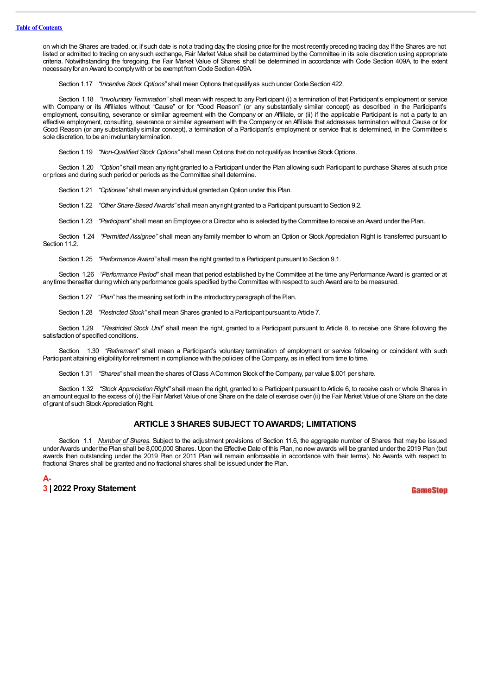on which the Shares are traded, or, if such date is not a trading day, the closing price for the most recentlypreceding trading day. If the Shares are not listed or admitted to trading on any such exchange, Fair Market Value shall be determined by the Committee in its sole discretion using appropriate criteria. Notwithstanding the foregoing, the Fair Market Value of Shares shall be determined in accordance with Code Section 409A, to the extent necessaryfor an Award to complywith or be exempt from Code Section 409A.

Section 1.17 *"Incentive Stock Options"* shall mean Options that qualify as such under Code Section 422.

Section 1.18 *"Involuntary Termination"* shall mean with respect to any Participant (i) a termination of that Participant's employment or service with Company or its Affiliates without "Cause" or for "Good Reason" (or any substantially similar concept) as described in the Participant's employment, consulting, severance or similar agreement with the Company or an Affiliate, or (ii) if the applicable Participant is not a party to an effective employment, consulting, severance or similar agreement with the Company or an Affiliate that addresses termination without Cause or for Good Reason (or any substantially similar concept), a termination of a Participant's employment or service that is determined, in the Committee's sole discretion, to be an involuntary termination.

Section 1.19 *"Non-Qualified Stock Options"* shall mean Options that do not qualify as Incentive Stock Options.

Section 1.20 *"Option"* shall mean any right granted to a Participant under the Plan allowing such Participant to purchase Shares at such price or prices and during such period or periods as the Committee shall determine.

Section 1.21 *"Optionee"* shall mean any individual granted an Option under this Plan.

Section 1.22 *"Other Share-Based Awards"* shall mean anyright granted to a Participant pursuant to Section 9.2.

Section 1.23 *"Participant"* shall mean an Employee or a Director who is selected bythe Committee to receive an Award under the Plan.

Section 1.24 *"Permitted Assignee"* shall mean any family member to whom an Option or Stock Appreciation Right is transferred pursuant to Section 11.2.

Section 1.25 *"Performance Award"* shall mean the right granted to a Participant pursuant to Section 9.1.

Section 1.26 *"Performance Period"* shall mean that period established by the Committee at the time any Performance Award is granted or at anytime thereafter during which anyperformance goals specified bythe Committee with respect to such Award are to be measured.

Section 1.27 "*Plan*" has the meaning set forth in the introductoryparagraph of the Plan.

Section 1.28 *"Restricted Stock"* shall mean Shares granted to a Participant pursuant to Article 7.

Section 1.29 "*Restricted Stock Unit*" shall mean the right, granted to a Participant pursuant to Article 8, to receive one Share following the satisfaction of specified conditions.

Section 1.30 "Retirement" shall mean a Participant's voluntary termination of employment or service following or coincident with such Participant attaining eligibilityfor retirement in compliance with the policies of the Company, as in effect from time to time.

Section 1.31 *"Shares"* shall mean the shares of Class ACommon Stock of the Company, par value \$.001 per share.

Section 1.32 *"Stock Appreciation Right"* shall mean the right, granted to a Participant pursuant to Article 6, to receive cash or whole Shares in an amount equal to the excess of (i) the Fair Market Value of one Share on the date of exercise over (ii) the Fair Market Value of one Share on the date of grant of such Stock Appreciation Right.

# **ARTICLE 3 SHARES SUBJECT TOAWARDS; LIMITATIONS**

Section 1.1 *Number of Shares.* Subject to the adjustment provisions of Section 11.6, the aggregate number of Shares that may be issued under Awards under the Plan shall be 8,000,000 Shares. Upon the Effective Date of this Plan, no new awards will be granted under the 2019 Plan (but awards then outstanding under the 2019 Plan or 2011 Plan will remain enforceable in accordance with their terms). No Awards with respect to fractional Shares shall be granted and no fractional shares shall be issued under the Plan.

| A- |  |                          |  |
|----|--|--------------------------|--|
|    |  | 3   2022 Proxy Statement |  |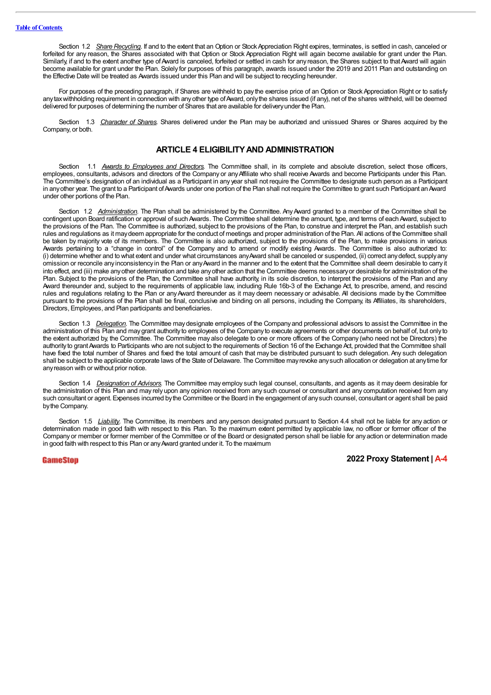Section 1.2 *Share Recycling*. If and to the extent that an Option or Stock Appreciation Right expires, terminates, is settled in cash, canceled or forfeited for any reason, the Shares associated with that Option or Stock Appreciation Right will again become available for grant under the Plan. Similarly, if and to the extent another type of Award is canceled, forfeited or settled in cash for any reason, the Shares subject to that Award will again become available for grant under the Plan. Solely for purposes of this paragraph, awards issued under the 2019 and 2011 Plan and outstanding on the Effective Date will be treated as Awards issued under this Plan and will be subject to recycling hereunder.

For purposes of the preceding paragraph, if Shares are withheld to pay the exercise price of an Option or Stock Appreciation Right or to satisfy any tax withholding requirement in connection with any other type of Award, only the shares issued (if any), net of the shares withheld, will be deemed delivered for purposes of determining the number of Shares that are available for deliveryunder the Plan.

Section 1.3 Character of Shares. Shares delivered under the Plan may be authorized and unissued Shares or Shares acquired by the Company, or both.

# **ARTICLE 4 ELIGIBILITYAND ADMINISTRATION**

Section 1.1 *Awards to Employees and Directors.* The Committee shall, in its complete and absolute discretion, select those officers, employees, consultants, advisors and directors of the Company or anyAffiliate who shall receive Awards and become Participants under this Plan. The Committee's designation of an individual as a Participant in any year shall not require the Committee to designate such person as a Participant in any other year. The grant to a Participant of Awards under one portion of the Plan shall not require the Committee to grant such Participant an Award under other portions of the Plan.

Section 1.2 *Administration*. The Plan shall be administered by the Committee. Any Award granted to a member of the Committee shall be contingent upon Board ratification or approval of such Awards. The Committee shall determine the amount, type, and terms of each Award, subject to the provisions of the Plan. The Committee is authorized, subject to the provisions of the Plan, to construe and interpret the Plan, and establish such rules and regulations as it maydeem appropriate for the conduct of meetings and proper administration of the Plan. All actions of the Committee shall be taken by majority vote of its members. The Committee is also authorized, subject to the provisions of the Plan, to make provisions in various Awards pertaining to a "change in control" of the Company and to amend or modify existing Awards. The Committee is also authorized to: (i) determine whether and to what extent and under what circumstances anyAward shall be canceled or suspended, (ii) correct anydefect, supplyany omission or reconcile any inconsistency in the Plan or anyAward in the manner and to the extent that the Committee shall deem desirable to carry it into effect, and (iii) make anyother determination and take anyother action that the Committee deems necessaryor desirable for administration of the Plan. Subject to the provisions of the Plan, the Committee shall have authority, in its sole discretion, to interpret the provisions of the Plan and any Award thereunder and, subject to the requirements of applicable law, including Rule 16b-3 of the Exchange Act, to prescribe, amend, and rescind rules and regulations relating to the Plan or anyAward thereunder as it may deem necessary or advisable. All decisions made by the Committee pursuant to the provisions of the Plan shall be final, conclusive and binding on all persons, including the Company, its Affiliates, its shareholders, Directors, Employees, and Plan participants and beneficiaries.

Section 1.3 *Delegation*. The Committee may designate employees of the Company and professional advisors to assist the Committee in the administration of this Plan and maygrant authority to employees of the Company to execute agreements or other documents on behalf of, but only to the extent authorized by, the Committee. The Committee may also delegate to one or more officers of the Company (who need not be Directors) the authority to grant Awards to Participants who are not subject to the requirements of Section 16 of the Exchange Act, provided that the Committee shall have fixed the total number of Shares and fixed the total amount of cash that may be distributed pursuant to such delegation. Any such delegation shall be subject to the applicable corporate laws of the State of Delaware. The Committee mayrevoke anysuch allocation or delegation at anytime for anyreason with or without prior notice.

Section 1.4 *Designation of Advisors.* The Committee may employ such legal counsel, consultants, and agents as it may deem desirable for the administration of this Plan and may rely upon any opinion received from any such counsel or consultant and any computation received from any such consultant or agent. Expenses incurred bythe Committee or the Board in the engagement of anysuch counsel, consultant or agent shall be paid bythe Company.

Section 1.5 *Liability*. The Committee, its members and any person designated pursuant to Section 4.4 shall not be liable for any action or determination made in good faith with respect to this Plan. To the maximum extent permitted by applicable law, no officer or former officer of the Companyor member or former member of the Committee or of the Board or designated person shall be liable for anyaction or determination made in good faith with respect to this Plan or anyAward granted under it. To the maximum

GameStop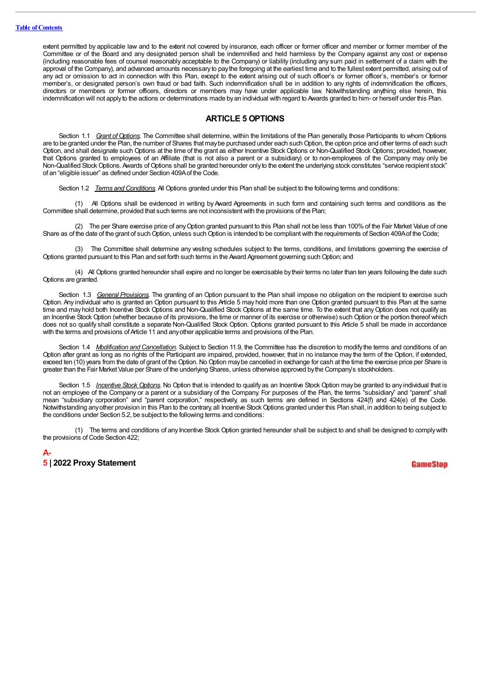extent permitted by applicable law and to the extent not covered by insurance, each officer or former officer and member or former member of the Committee or of the Board and any designated person shall be indemnified and held harmless by the Company against any cost or expense (including reasonable fees of counsel reasonably acceptable to the Company) or liability (including any sum paid in settlement of a claim with the approval of the Company), and advanced amounts necessary to pay the foregoing at the earliest time and to the fullest extent permitted, arising out of any act or omission to act in connection with this Plan, except to the extent arising out of such officer's or former officer's, member's or former member's, or designated person's own fraud or bad faith. Such indemnification shall be in addition to any rights of indemnification the officers, directors or members or former officers, directors or members may have under applicable law. Notwithstanding anything else herein, this indemnification will not applyto the actions or determinations made byan individual with regard to Awards granted to him- or herself under this Plan.

## **ARTICLE 5 OPTIONS**

Section 1.1 *Grant of Options*. The Committee shall determine, within the limitations of the Plan generally, those Participants to whom Options are to be granted under the Plan, the number of Shares that may be purchased under each such Option, the option price and other terms of each such Option, and shall designate such Options at the time of the grant as either Incentive Stock Options or Non-Qualified Stock Options; provided, however, that Options granted to employees of an Affiliate (that is not also a parent or a subsidiary) or to non-employees of the Company may only be Non-Qualified Stock Options.Awards of Options shall be granted hereunder onlyto the extent the underlying stock constitutes "service recipient stock" of an "eligible issuer" as defined under Section 409Aof the Code.

Section 1.2 *Terms and Conditions.* All Options granted under this Plan shall be subject to the following terms and conditions:

(1) All Options shall be evidenced in writing by Award Agreements in such form and containing such terms and conditions as the Committee shall determine, provided that such terms are not inconsistentwith the provisions of the Plan;

(2) The per Share exercise price of anyOption granted pursuant to this Plan shall not be less than 100% of the Fair Market Value of one Share as of the date of the grant of such Option, unless such Option is intended to be compliant with the requirements of Section 409A of the Code;

(3) The Committee shall determine any vesting schedules subject to the terms, conditions, and limitations governing the exercise of Options granted pursuant to this Plan and set forth such terms in the Award Agreement governing such Option; and

(4) All Options granted hereunder shall expire and no longer be exercisable bytheir terms no later than ten years following the date such Options are granted.

Section 1.3 *General Provisions.* The granting of an Option pursuant to the Plan shall impose no obligation on the recipient to exercise such Option. Any individual who is granted an Option pursuant to this Article 5 may hold more than one Option granted pursuant to this Plan at the same time and may hold both Incentive Stock Options and Non-Qualified Stock Options at the same time. To the extent that any Option does not qualify as an Incentive Stock Option (whether because of its provisions, the time or manner of its exercise or otherwise) such Option or the portion thereof which does not so qualify shall constitute a separate Non-Qualified Stock Option. Options granted pursuant to this Article 5 shall be made in accordance with the terms and provisions of Article 11 and any other applicable terms and provisions of the Plan.

Section 1.4 *Modification and Cancellation.* Subject to Section 11.9, the Committee has the discretion to modify the terms and conditions of an Option after grant as long as no rights of the Participant are impaired, provided, however, that in no instance may the term of the Option, if extended, exceed ten (10) years from the date of grant of the Option. No Option maybe cancelled in exchange for cash at the time the exercise price per Share is greater than the Fair Market Value per Share of the underlying Shares, unless otherwise approved bythe Company's stockholders.

Section 1.5 *Incentive Stock Options.* No Option that is intended to qualifyas an Incentive Stock Option maybe granted to any individual that is not an employee of the Company or a parent or a subsidiary of the Company. For purposes of the Plan, the terms "subsidiary" and "parent" shall mean "subsidiary corporation" and "parent corporation," respectively, as such terms are defined in Sections 424(f) and 424(e) of the Code. Notwithstanding anyother provision in this Plan to the contrary, all Incentive Stock Options granted under this Plan shall, in addition to being subject to the conditions under Section 5.2, be subject to the following terms and conditions:

(1) The terms and conditions of any Incentive Stock Option granted hereunder shall be subject to and shall be designed to complywith the provisions of Code Section 422;

**A-5 | 2022 Proxy Statement**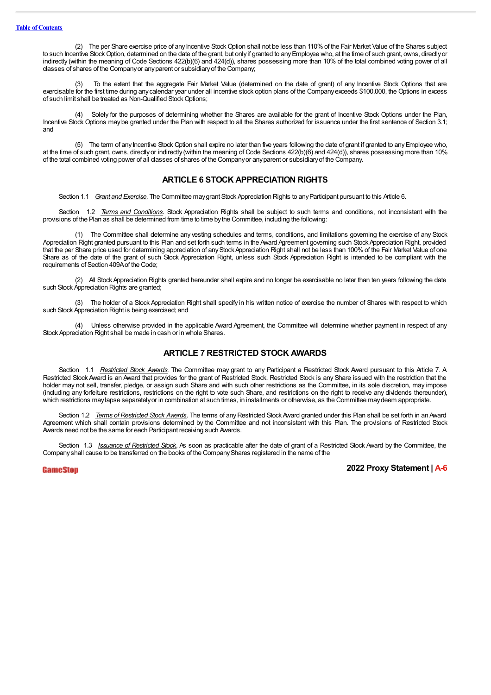(2) The per Share exercise price of any Incentive Stock Option shall not be less than 110%of the Fair Market Value of the Shares subject to such Incentive Stock Option, determined on the date of the grant, but only if granted to any Employee who, at the time of such grant, owns, directly or indirectly (within the meaning of Code Sections 422(b)(6) and 424(d)), shares possessing more than 10% of the total combined voting power of all classes of shares of the Companyor anyparent or subsidiaryof the Company;

To the extent that the aggregate Fair Market Value (determined on the date of grant) of any Incentive Stock Options that are exercisable for the first time during anycalendar year under all incentive stock option plans of the Companyexceeds \$100,000, the Options in excess of such limit shall be treated as Non-Qualified StockOptions;

(4) Solely for the purposes of determining whether the Shares are available for the grant of Incentive Stock Options under the Plan, Incentive Stock Options may be granted under the Plan with respect to all the Shares authorized for issuance under the first sentence of Section 3.1; and

(5) The term of any Incentive Stock Option shall expire no later than five years following the date of grant if granted to anyEmployee who, at the time of such grant, owns, directlyor indirectly (within the meaning of Code Sections 422(b)(6) and 424(d)), shares possessing more than 10% of the total combined voting power of all classes of shares of the Companyor anyparent or subsidiaryof the Company.

# **ARTICLE 6 STOCK APPRECIATION RIGHTS**

Section 1.1 *Grant and Exercise.* The Committee maygrant Stock Appreciation Rights to anyParticipant pursuant to this Article 6.

Section 1.2 *Terms and Conditions.* Stock Appreciation Rights shall be subject to such terms and conditions, not inconsistent with the provisions of the Plan as shall be determined from time to time bythe Committee, including the following:

(1) The Committee shall determine any vesting schedules and terms, conditions, and limitations governing the exercise of any Stock Appreciation Right granted pursuant to this Plan and set forth such terms in the Award Agreement governing such StockAppreciation Right, provided that the per Share price used for determining appreciation of any Stock Appreciation Right shall not be less than 100% of the Fair Market Value of one Share as of the date of the grant of such Stock Appreciation Right, unless such Stock Appreciation Right is intended to be compliant with the requirements of Section 409Aof the Code;

(2) All StockAppreciation Rights granted hereunder shall expire and no longer be exercisable no later than ten years following the date such Stock Appreciation Rights are granted;

The holder of a Stock Appreciation Right shall specify in his written notice of exercise the number of Shares with respect to which such Stock Appreciation Right is being exercised; and

(4) Unless otherwise provided in the applicable Award Agreement, the Committee will determine whether payment in respect of any Stock Appreciation Right shall be made in cash or in whole Shares.

# **ARTICLE 7 RESTRICTED STOCK AWARDS**

Section 1.1 *Restricted Stock Awards.* The Committee may grant to any Participant a Restricted Stock Award pursuant to this Article 7. A Restricted Stock Award is an Award that provides for the grant of Restricted Stock. Restricted Stock is any Share issued with the restriction that the holder may not sell, transfer, pledge, or assign such Share and with such other restrictions as the Committee, in its sole discretion, may impose (including any forfeiture restrictions, restrictions on the right to vote such Share, and restrictions on the right to receive any dividends thereunder), which restrictions may lapse separately or in combination at such times, in installments or otherwise, as the Committee may deem appropriate.

Section 1.2 *Terms of Restricted Stock Awards.* The terms of anyRestricted StockAward granted under this Plan shall be set forth in an Award Agreement which shall contain provisions determined by the Committee and not inconsistent with this Plan. The provisions of Restricted Stock Awards need not be the same for each Participant receiving such Awards.

Section 1.3 *Issuance of Restricted Stock.* As soon as practicable after the date of grant of a Restricted Stock Award by the Committee, the Company shall cause to be transferred on the books of the Company Shares registered in the name of the

GameSton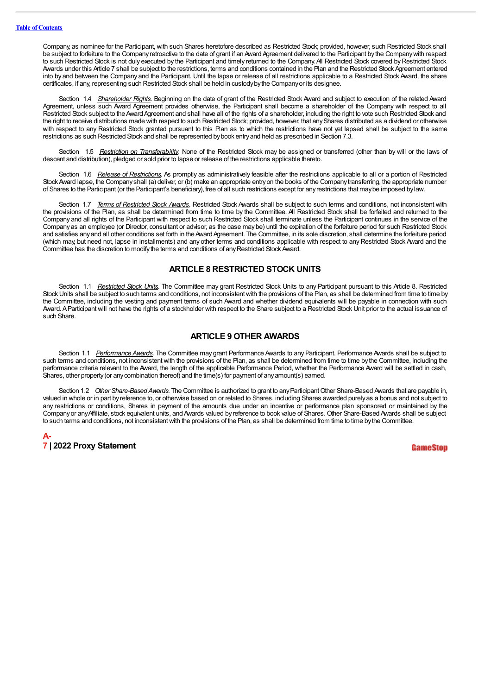Company, as nominee for the Participant, with such Shares heretofore described as Restricted Stock; provided, however, such Restricted Stock shall be subject to forfeiture to the Company retroactive to the date of grant if an Award Agreement delivered to the Participant by the Company with respect to such Restricted Stock is not duly executed by the Participant and timely returned to the Company. All Restricted Stock covered by Restricted Stock Awards under this Article 7 shall be subject to the restrictions, terms and conditions contained in the Plan and the Restricted Stock Agreement entered into by and between the Company and the Participant. Until the lapse or release of all restrictions applicable to a Restricted Stock Award, the share certificates, if any, representing such Restricted Stock shall be held in custodybythe Companyor its designee.

Section 1.4 *Shareholder Rights*. Beginning on the date of grant of the Restricted Stock Award and subject to execution of the related Award Agreement, unless such Award Agreement provides otherwise, the Participant shall become a shareholder of the Company with respect to all Restricted Stock subject to the Award Agreement and shall have all of the rights of a shareholder, including the right to vote such Restricted Stock and the right to receive distributions made with respect to such Restricted Stock; provided, however, that anyShares distributed as a dividend or otherwise with respect to any Restricted Stock granted pursuant to this Plan as to which the restrictions have not yet lapsed shall be subject to the same restrictions as such Restricted Stock and shall be represented bybook entryand held as prescribed in Section 7.3.

Section 1.5 *Restriction on Transferability.* None of the Restricted Stock may be assigned or transferred (other than by will or the laws of descent and distribution), pledged or sold prior to lapse or release of the restrictions applicable thereto.

Section 1.6 *Release of Restrictions*. As promptly as administratively feasible after the restrictions applicable to all or a portion of Restricted StockAward lapse, the Companyshall (a) deliver, or (b) make an appropriate entryon the books of the Companytransferring, the appropriate number of Shares to the Participant (or the Participant's beneficiary), free of all such restrictions except for anyrestrictions that maybe imposed bylaw.

Section 1.7 *Terms of Restricted Stock Awards.* Restricted Stock Awards shall be subject to such terms and conditions, not inconsistent with the provisions of the Plan, as shall be determined from time to time by the Committee. All Restricted Stock shall be forfeited and returned to the Company and all rights of the Participant with respect to such Restricted Stock shall terminate unless the Participant continues in the service of the Companyas an employee (or Director, consultant or advisor, as the case maybe) until the expiration of the forfeiture period for such Restricted Stock and satisfies any and all other conditions set forth in the Award Agreement. The Committee, in its sole discretion, shall determine the forfeiture period (which may, but need not, lapse in installments) and any other terms and conditions applicable with respect to any Restricted Stock Award and the Committee has the discretion to modifythe terms and conditions of anyRestricted Stock Award.

# **ARTICLE 8 RESTRICTED STOCK UNITS**

Section 1.1 *Restricted Stock Units*. The Committee may grant Restricted Stock Units to any Participant pursuant to this Article 8. Restricted Stock Units shall be subject to such terms and conditions, not inconsistent with the provisions of the Plan, as shall be determined from time to time by the Committee, including the vesting and payment terms of such Award and whether dividend equivalents will be payable in connection with such Award.AParticipant will not have the rights of a stockholder with respect to the Share subject to a Restricted Stock Unit prior to the actual issuance of such Share.

## **ARTICLE 9 OTHER AWARDS**

Section 1.1 *Performance Awards*. The Committee may grant Performance Awards to any Participant. Performance Awards shall be subject to such terms and conditions, not inconsistent with the provisions of the Plan, as shall be determined from time to time by the Committee, including the performance criteria relevant to the Award, the length of the applicable Performance Period, whether the Performance Award will be settled in cash, Shares, other property(or anycombination thereof) and the time(s) for payment of anyamount(s) earned.

Section 1.2 *Other Share-Based Awards*. The Committee is authorized to grant to any Participant Other Share-Based Awards that are payable in, valued in whole or in part byreference to, or otherwise based on or related to Shares, including Shares awarded purelyas a bonus and not subject to any restrictions or conditions, Shares in payment of the amounts due under an incentive or performance plan sponsored or maintained by the Company or any Affiliate, stock equivalent units, and Awards valued by reference to book value of Shares. Other Share-Based Awards shall be subject to such terms and conditions, not inconsistentwith the provisions of the Plan, as shall be determined from time to time bythe Committee.

| A- |  |                          |  |
|----|--|--------------------------|--|
|    |  | 7   2022 Proxy Statement |  |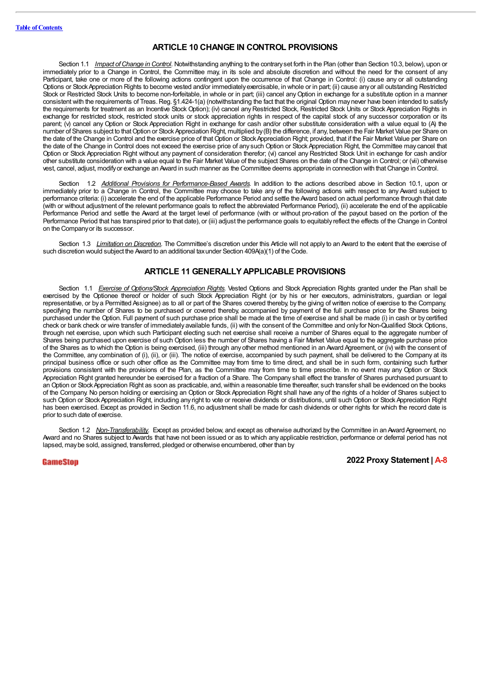# **ARTICLE 10 CHANGE IN CONTROL PROVISIONS**

Section 1.1 *Impact ofChange in Control.* Notwithstanding anything to the contraryset forth in the Plan (other than Section 10.3, below), upon or immediately prior to a Change in Control, the Committee may, in its sole and absolute discretion and without the need for the consent of any Participant, take one or more of the following actions contingent upon the occurrence of that Change in Control: (i) cause any or all outstanding Options or StockAppreciation Rights to become vested and/or immediatelyexercisable, in whole or in part; (ii) cause anyor all outstanding Restricted Stock or Restricted Stock Units to become non-forfeitable, in whole or in part; (iii) cancel anyOption in exchange for a substitute option in a manner consistent with the requirements of Treas. Reg. §1.424-1(a) (notwithstanding the fact that the original Option may never have been intended to satisfy the requirements for treatment as an Incentive Stock Option); (iv) cancel anyRestricted Stock, Restricted Stock Units or Stock Appreciation Rights in exchange for restricted stock, restricted stock units or stock appreciation rights in respect of the capital stock of any successor corporation or its parent; (v) cancel any Option or Stock Appreciation Right in exchange for cash and/or other substitute consideration with a value equal to (A) the number of Shares subject to thatOption or Stock Appreciation Right, multiplied by(B) the difference, if any, between the Fair Market Value per Share on the date of the Change in Control and the exercise price of that Option or StockAppreciation Right; provided, that if the Fair Market Value per Share on the date of the Change in Control does not exceed the exercise price of any such Option or Stock Appreciation Right, the Committee may cancel that Option or Stock Appreciation Right without any payment of consideration therefor; (vi) cancel any Restricted Stock Unit in exchange for cash and/or other substitute consideration with a value equal to the Fair Market Value of the subject Shares on the date of the Change in Control; or (vii) otherwise vest, cancel, adjust, modifyor exchange an Award in such manner as the Committee deems appropriate in connection with thatChange in Control.

Section 1.2 *Additional Provisions for Performance-Based Awards.* In addition to the actions described above in Section 10.1, upon or immediately prior to a Change in Control, the Committee may choose to take any of the following actions with respect to any Award subject to performance criteria: (i) accelerate the end of the applicable Performance Period and settle the Award based on actual performance through that date (with or without adjustment of the relevant performance goals to reflect the abbreviated Performance Period), (ii) accelerate the end of the applicable Performance Period and settle the Award at the target level of performance (with or without pro-ration of the payout based on the portion of the Performance Period that has transpired prior to that date), or (iii) adjust the performance goals to equitably reflect the effects of the Change in Control on the Companyor its successor.

Section 1.3 *Limitation on Discretion*. The Committee's discretion under this Article will not apply to an Award to the extent that the exercise of such discretion would subject the Award to an additional tax under Section 409A(a)(1) of the Code.

# **ARTICLE 11 GENERALLYAPPLICABLE PROVISIONS**

Section 1.1 *Exercise of Options/Stock Appreciation Rights.* Vested Options and Stock Appreciation Rights granted under the Plan shall be exercised by the Optionee thereof or holder of such Stock Appreciation Right (or by his or her executors, administrators, guardian or legal representative, or by a Permitted Assignee) as to all or part of the Shares covered thereby, by the giving of written notice of exercise to the Company, specifying the number of Shares to be purchased or covered thereby, accompanied by payment of the full purchase price for the Shares being purchased under the Option. Full payment of such purchase price shall be made at the time of exercise and shall be made (i) in cash or by certified check or bank check or wire transfer of immediately available funds, (ii) with the consent of the Committee and only for Non-Qualified Stock Options, through net exercise, upon which such Participant electing such net exercise shall receive a number of Shares equal to the aggregate number of Shares being purchased upon exercise of such Option less the number of Shares having a Fair Market Value equal to the aggregate purchase price of the Shares as to which the Option is being exercised, (iii) through any other method mentioned in an Award Agreement, or (iv) with the consent of the Committee, any combination of (i), (ii), or (iii). The notice of exercise, accompanied by such payment, shall be delivered to the Company at its principal business office or such other office as the Committee may from time to time direct, and shall be in such form, containing such further provisions consistent with the provisions of the Plan, as the Committee may from time to time prescribe. In no event may any Option or Stock Appreciation Right granted hereunder be exercised for a fraction of a Share. The Company shall effect the transfer of Shares purchased pursuant to an Option or StockAppreciation Right as soon as practicable, and, within a reasonable time thereafter, such transfer shall be evidenced on the books of the Company. No person holding or exercising an Option or Stock Appreciation Right shall have any of the rights of a holder of Shares subject to such Option or StockAppreciation Right, including any right to vote or receive dividends or distributions, until such Option or StockAppreciation Right has been exercised. Except as provided in Section 11.6, no adjustment shall be made for cash dividends or other rights for which the record date is prior to such date of exercise.

Section 1.2 *Non-Transferability*. Except as provided below, and except as otherwise authorized by the Committee in an Award Agreement, no Award and no Shares subject to Awards that have not been issued or as to which any applicable restriction, performance or deferral period has not lapsed, maybe sold, assigned, transferred, pledged or otherwise encumbered, other than by

GameStop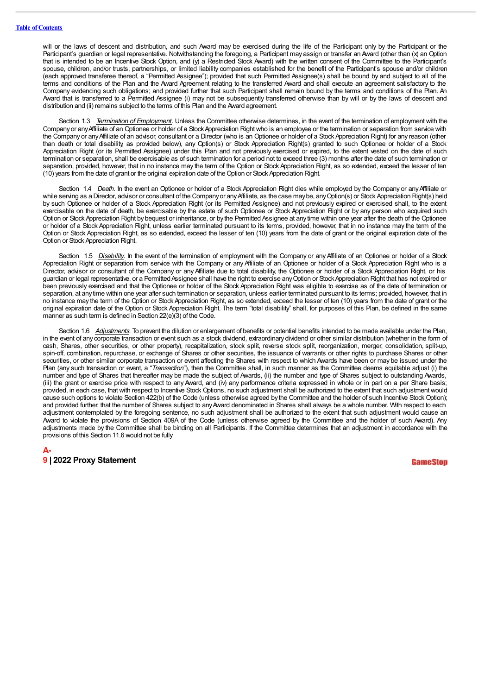will or the laws of descent and distribution, and such Award may be exercised during the life of the Participant only by the Participant or the Participant's guardian or legal representative. Notwithstanding the foregoing, a Participant may assign or transfer an Award (other than (x) an Option that is intended to be an Incentive Stock Option, and (y) a Restricted Stock Award) with the written consent of the Committee to the Participant's spouse, children, and/or trusts, partnerships, or limited liability companies established for the benefit of the Participant's spouse and/or children (each approved transferee thereof, a "Permitted Assignee"); provided that such Permitted Assignee(s) shall be bound by and subject to all of the terms and conditions of the Plan and the Award Agreement relating to the transferred Award and shall execute an agreement satisfactory to the Company evidencing such obligations; and provided further that such Participant shall remain bound by the terms and conditions of the Plan. An Award that is transferred to a Permitted Assignee (i) may not be subsequently transferred otherwise than by will or by the laws of descent and distribution and (ii) remains subject to the terms of this Plan and the Award agreement.

Section 1.3 *Termination of Employment*. Unless the Committee otherwise determines, in the event of the termination of employment with the Companyor anyAffiliate of an Optionee or holder of a StockAppreciation Right who is an employee or the termination or separation from service with the Company or anyAffiliate of an advisor, consultant or a Director (who is an Optionee or holder of a StockAppreciation Right) for any reason (other than death or total disability, as provided below), any Option(s) or Stock Appreciation Right(s) granted to such Optionee or holder of a Stock Appreciation Right (or its Permitted Assignee) under this Plan and not previously exercised or expired, to the extent vested on the date of such termination or separation, shall be exercisable as of such termination for a period not to exceed three (3) months after the date of such termination or separation, provided, however, that in no instance may the term of the Option or Stock Appreciation Right, as so extended, exceed the lesser of ten (10) years from the date of grant or the original expiration date of theOption or Stock Appreciation Right.

Section 1.4 *Death*. In the event an Optionee or holder of a Stock Appreciation Right dies while employed by the Company or any Affiliate or while serving as a Director, advisor or consultant of the Companyor any Affiliate, as the case may be, any Option(s) or Stock Appreciation Right(s) held by such Optionee or holder of a Stock Appreciation Right (or its Permitted Assignee) and not previously expired or exercised shall, to the extent exercisable on the date of death, be exercisable by the estate of such Optionee or Stock Appreciation Right or by any person who acquired such Option or StockAppreciation Right bybequest or inheritance, or by the Permitted Assignee at any time within one year after the death of the Optionee or holder of a Stock Appreciation Right, unless earlier terminated pursuant to its terms, provided, however, that in no instance may the term of the Option or Stock Appreciation Right, as so extended, exceed the lesser of ten (10) years from the date of grant or the original expiration date of the Option or Stock Appreciation Right.

Section 1.5 *Disability*. In the event of the termination of employment with the Company or any Affiliate of an Optionee or holder of a Stock Appreciation Right or separation from service with the Company or any Affiliate of an Optionee or holder of a Stock Appreciation Right who is a Director, advisor or consultant of the Company or any Affiliate due to total disability, the Optionee or holder of a Stock Appreciation Right, or his guardian or legal representative, or a Permitted Assignee shall have the right to exercise any Option or Stock Appreciation Right that has not expired or been previously exercised and that the Optionee or holder of the Stock Appreciation Right was eligible to exercise as of the date of termination or separation, at anytime within one year after such termination or separation, unless earlier terminated pursuant to its terms; provided, however, that in no instance may the term of the Option or Stock Appreciation Right, as so extended, exceed the lesser of ten (10) years from the date of grant or the original expiration date of the Option or Stock Appreciation Right. The term "total disability" shall, for purposes of this Plan, be defined in the same manner as such term is defined in Section 22(e)(3) of the Code.

Section 1.6 Adjustments. To prevent the dilution or enlargement of benefits or potential benefits intended to be made available under the Plan, in the event of any corporate transaction or event such as a stock dividend, extraordinary dividend or other similar distribution (whether in the form of cash, Shares, other securities, or other property), recapitalization, stock split, reverse stock split, reorganization, merger, consolidation, split-up, spin-off, combination, repurchase, or exchange of Shares or other securities, the issuance of warrants or other rights to purchase Shares or other securities, or other similar corporate transaction or event affecting the Shares with respect to which Awards have been or may be issued under the Plan (any such transaction or event, a "*Transaction*"), then the Committee shall, in such manner as the Committee deems equitable adjust (i) the number and type of Shares that thereafter may be made the subject of Awards, (ii) the number and type of Shares subject to outstanding Awards, (iii) the grant or exercise price with respect to any Award, and (iv) any performance criteria expressed in whole or in part on a per Share basis; provided, in each case, that with respect to Incentive Stock Options, no such adjustment shall be authorized to the extent that such adjustment would cause such options to violate Section 422(b) of the Code (unless otherwise agreed by the Committee and the holder of such Incentive Stock Option); and provided further, that the number of Shares subject to anyAward denominated in Shares shall always be a whole number. With respect to each adjustment contemplated by the foregoing sentence, no such adjustment shall be authorized to the extent that such adjustment would cause an Award to violate the provisions of Section 409A of the Code (unless otherwise agreed by the Committee and the holder of such Award). Any adjustments made by the Committee shall be binding on all Participants. If the Committee determines that an adjustment in accordance with the provisions of this Section 11.6 would not be fully

# **A-9 | 2022 Proxy Statement**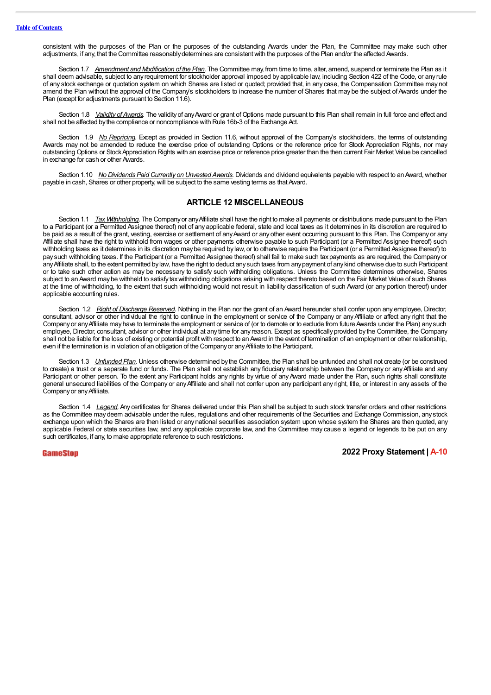consistent with the purposes of the Plan or the purposes of the outstanding Awards under the Plan, the Committee may make such other adjustments, if any, that the Committee reasonablydetermines are consistentwith the purposes of the Plan and/or the affected Awards.

Section 1.7 *Amendment and Modification of the Plan.* The Committee may, from time to time, alter, amend, suspend or terminate the Plan as it shall deem advisable, subject to any requirement for stockholder approval imposed byapplicable law, including Section 422 of the Code, or any rule of any stock exchange or quotation system on which Shares are listed or quoted; provided that, in any case, the Compensation Committee may not amend the Plan without the approval of the Company's stockholders to increase the number of Shares that may be the subject of Awards under the Plan (except for adjustments pursuant to Section 11.6).

Section 1.8 *Validity of Awards*. The validity of any Award or grant of Options made pursuant to this Plan shall remain in full force and effect and shall not be affected bythe compliance or noncompliance with Rule 16b-3 of the Exchange Act.

Section 1.9 *No Repricing*. Except as provided in Section 11.6, without approval of the Company's stockholders, the terms of outstanding Awards may not be amended to reduce the exercise price of outstanding Options or the reference price for Stock Appreciation Rights, nor may outstanding Options or StockAppreciation Rights with an exercise price or reference price greater than the then current Fair Market Value be cancelled in exchange for cash or other Awards.

Section 1.10 *No Dividends Paid Currently on Unvested Awards*. Dividends and dividend equivalents payable with respect to an Award, whether payable in cash, Shares or other property,will be subject to the same vesting terms as that Award.

# **ARTICLE 12 MISCELLANEOUS**

Section 1.1 *Tax Withholding.* The Companyor anyAffiliate shall have the right to make all payments or distributions made pursuant to the Plan to a Participant (or a Permitted Assignee thereof) net of any applicable federal, state and local taxes as it determines in its discretion are required to be paid as a result of the grant, vesting, exercise or settlement of any Award or any other event occurring pursuant to this Plan. The Company or any Affiliate shall have the right to withhold from wages or other payments otherwise payable to such Participant (or a Permitted Assignee thereof) such withholding taxes as it determines in its discretion may be required by law, or to otherwise require the Participant (or a Permitted Assignee thereof) to pay such withholding taxes. If the Participant (or a Permitted Assignee thereof) shall fail to make such taxpayments as are required, the Companyor anyAffiliate shall, to the extent permitted bylaw, have the right to deduct anysuch taxes from anypayment of anykind otherwise due to such Participant or to take such other action as may be necessary to satisfy such withholding obligations. Unless the Committee determines otherwise, Shares subject to an Award may be withheld to satisfy tax withholding obligations arising with respect thereto based on the Fair Market Value of such Shares at the time of withholding, to the extent that such withholding would not result in liability classification of such Award (or any portion thereof) under applicable accounting rules.

Section 1.2 *Right of Discharge Reserved.* Nothing in the Plan nor the grant of an Award hereunder shall confer upon any employee, Director, consultant, advisor or other individual the right to continue in the employment or service of the Company or any Affiliate or affect any right that the Company or any Affiliate may have to terminate the employment or service of (or to demote or to exclude from future Awards under the Plan) any such employee, Director, consultant, advisor or other individual at any time for any reason. Except as specifically provided by the Committee, the Company shall not be liable for the loss of existing or potential profit with respect to an Award in the event of termination of an employment or other relationship. even if the termination is in violation of an obligation of the Company or any Affiliate to the Participant.

Section 1.3 *Unfunded Plan.* Unless otherwise determined bythe Committee, the Plan shall be unfunded and shall not create (or be construed to create) a trust or a separate fund or funds. The Plan shall not establish any fiduciary relationship between the Company or any Affiliate and any Participant or other person. To the extent any Participant holds any rights by virtue of any Award made under the Plan, such rights shall constitute general unsecured liabilities of the Company or anyAffiliate and shall not confer upon any participant any right, title, or interest in any assets of the Companyor anyAffiliate.

Section 1.4 *Legend*. Any certificates for Shares delivered under this Plan shall be subject to such stock transfer orders and other restrictions as the Committee may deem advisable under the rules, regulations and other requirements of the Securities and Exchange Commission, any stock exchange upon which the Shares are then listed or any national securities association system upon whose system the Shares are then quoted, any applicable Federal or state securities law, and any applicable corporate law, and the Committee may cause a legend or legends to be put on any such certificates, if any, to make appropriate reference to such restrictions.

GameStop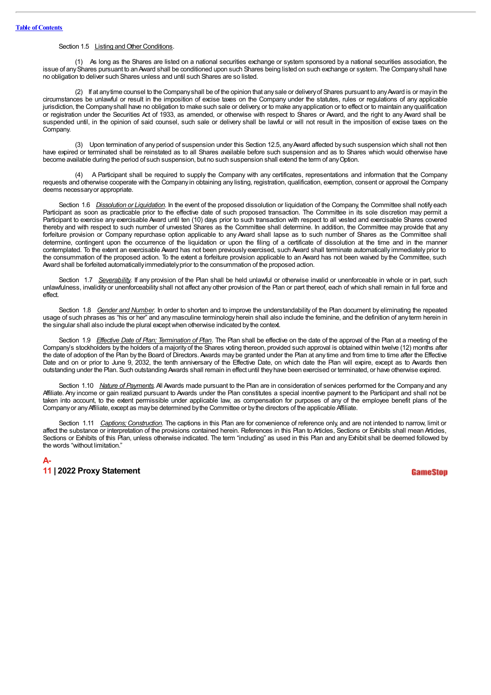## Section 1.5 Listing and Other Conditions.

(1) As long as the Shares are listed on a national securities exchange or system sponsored by a national securities association, the issue of any Shares pursuant to an Award shall be conditioned upon such Shares being listed on such exchange or system. The Company shall have no obligation to deliver such Shares unless and until such Shares are so listed.

(2) If at anytime counsel to the Companyshall be of the opinion that anysale or deliveryof Shares pursuant to anyAward is or mayin the circumstances be unlawful or result in the imposition of excise taxes on the Company under the statutes, rules or regulations of any applicable jurisdiction, the Companyshall have no obligation to make such sale or delivery, or to make anyapplication or to effect or to maintain anyqualification or registration under the Securities Act of 1933, as amended, or otherwise with respect to Shares or Award, and the right to any Award shall be suspended until, in the opinion of said counsel, such sale or delivery shall be lawful or will not result in the imposition of excise taxes on the Company.

(3) Upon termination of anyperiod of suspension under this Section 12.5, anyAward affected by such suspension which shall not then have expired or terminated shall be reinstated as to all Shares available before such suspension and as to Shares which would otherwise have become available during the period of such suspension, but no such suspension shall extend the term of anyOption.

(4) A Participant shall be required to supply the Company with any certificates, representations and information that the Company requests and otherwise cooperate with the Company in obtaining any listing, registration, qualification, exemption, consent or approval the Company deems necessaryor appropriate.

Section 1.6 *Dissolution or Liquidation*. In the event of the proposed dissolution or liquidation of the Company, the Committee shall notify each Participant as soon as practicable prior to the effective date of such proposed transaction. The Committee in its sole discretion may permit a Participant to exercise any exercisable Award until ten (10) days prior to such transaction with respect to all vested and exercisable Shares covered thereby and with respect to such number of unvested Shares as the Committee shall determine. In addition, the Committee may provide that any forfeiture provision or Company repurchase option applicable to any Award shall lapse as to such number of Shares as the Committee shall determine, contingent upon the occurrence of the liquidation or upon the filing of a certificate of dissolution at the time and in the manner contemplated. To the extent an exercisable Award has not been previously exercised, such Award shall terminate automatically immediately prior to the consummation of the proposed action. To the extent a forfeiture provision applicable to an Award has not been waived by the Committee, such Award shall be forfeited automatically immediately prior to the consummation of the proposed action.

Section 1.7 *Severability*. If any provision of the Plan shall be held unlawful or otherwise invalid or unenforceable in whole or in part, such unlawfulness, invalidity or unenforceability shall not affect any other provision of the Plan or part thereof, each of which shall remain in full force and effect.

Section 1.8 *Gender and Number.* In order to shorten and to improve the understandability of the Plan document by eliminating the repeated usage of such phrases as "his or her" and anymasculine terminologyherein shall also include the feminine, and the definition of any term herein in the singular shall also include the plural exceptwhen otherwise indicated bythe context.

Section 1.9 *Effective Date of Plan; Termination of Plan.* The Plan shall be effective on the date of the approval of the Plan at a meeting of the Company's stockholders by the holders of a majorityof the Shares voting thereon, provided such approval is obtained within twelve (12) months after the date of adoption of the Plan by the Board of Directors.Awards may be granted under the Plan at any time and from time to time after the Effective Date and on or prior to June 9, 2032, the tenth anniversary of the Effective Date, on which date the Plan will expire, except as to Awards then outstanding under the Plan. Such outstanding Awards shall remain in effect until theyhave been exercised or terminated, or have otherwise expired.

Section 1.10 *Nature of Payments*. All Awards made pursuant to the Plan are in consideration of services performed for the Company and any Affiliate. Any income or gain realized pursuant to Awards under the Plan constitutes a special incentive payment to the Participant and shall not be taken into account, to the extent permissible under applicable law, as compensation for purposes of any of the employee benefit plans of the Companyor anyAffiliate, except as maybe determined bythe Committee or bythe directors of the applicable Affiliate.

Section 1.11 *Captions; Construction*. The captions in this Plan are for convenience of reference only, and are not intended to narrow, limit or affect the substance or interpretation of the provisions contained herein. References in this Plan to Articles, Sections or Exhibits shall mean Articles, Sections or Exhibits of this Plan, unless otherwise indicated. The term "including" as used in this Plan and any Exhibit shall be deemed followed by the words "without limitation."

# **A-11 | 2022 Proxy Statement**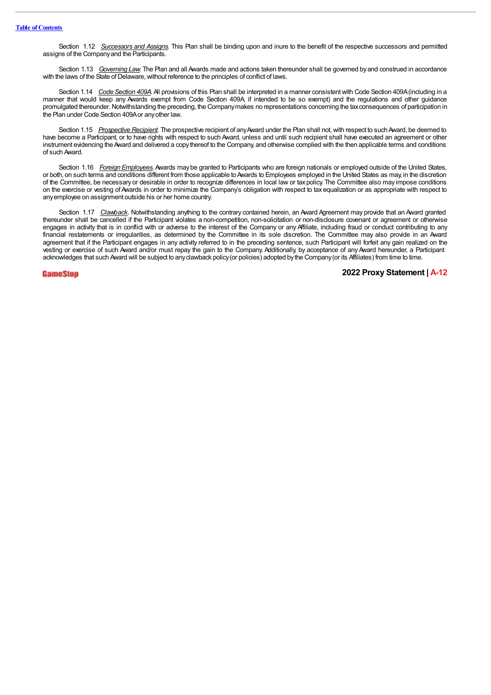Section 1.12 *Successors and Assigns.* This Plan shall be binding upon and inure to the benefit of the respective successors and permitted assigns of the Companyand the Participants.

Section 1.13 *Governing Law.* The Plan and all Awards made and actions taken thereunder shall be governed byand construed in accordance with the laws of the State of Delaware, without reference to the principles of conflict of laws.

Section 1.14 *Code Section 409A.*All provisions of this Plan shall be interpreted in a manner consistent with Code Section 409A(including in a manner that would keep any Awards exempt from Code Section 409A, if intended to be so exempt) and the regulations and other guidance promulgated thereunder.Notwithstanding the preceding, the Companymakes no representations concerning the taxconsequences of participation in the Plan under Code Section 409Aor anyother law.

Section 1.15 Prospective Recipient. The prospective recipient of any Award under the Plan shall not, with respect to such Award, be deemed to have become a Participant, or to have rights with respect to such Award, unless and until such recipient shall have executed an agreement or other instrument evidencing the Award and delivered a copy thereof to the Company, and otherwise complied with the then applicable terms and conditions of such Award.

Section 1.16 *Foreign Employees.*Awards may be granted to Participants who are foreign nationals or employed outside of the United States, or both, on such terms and conditions different from those applicable to Awards to Employees employed in the United States as may, in the discretion of the Committee, be necessary or desirable in order to recognize differences in local law or tax policy. The Committee also may impose conditions on the exercise or vesting of Awards in order to minimize the Company's obligation with respect to tax equalization or as appropriate with respect to anyemployee on assignment outside his or her home country.

Section 1.17 *Clawback*. Notwithstanding anything to the contrary contained herein, an Award Agreement may provide that an Award granted thereunder shall be cancelled if the Participant violates a non-competition, non-solicitation or non-disclosure covenant or agreement or otherwise engages in activity that is in conflict with or adverse to the interest of the Company or any Affiliate, including fraud or conduct contributing to any financial restatements or irregularities, as determined by the Committee in its sole discretion. The Committee may also provide in an Award agreement that if the Participant engages in any activity referred to in the preceding sentence, such Participant will forfeit any gain realized on the vesting or exercise of such Award and/or must repay the gain to the Company. Additionally, by acceptance of any Award hereunder, a Participant acknowledges that such Award will be subject to anyclawback policy(or policies) adopted bythe Company(or its Affiliates) from time to time.

GameSton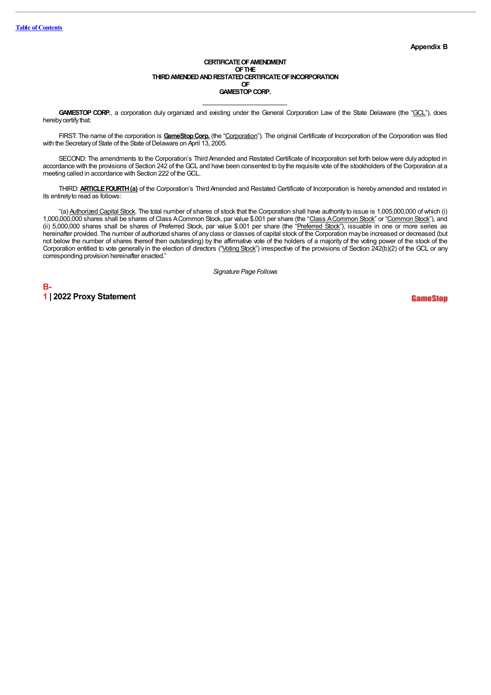#### CERTIFICATE OF AMENDMENT **OFTHE THIRDAMENDEDANDRESTATEDCERTIFICATEOFINCORPORATION OF GAMESTOP CORP.**

GAMESTOP CORP., a corporation duly organized and existing under the General Corporation Law of the State Delaware (the "GCL"), does hereby certify that:

FIRST: The name of the corporation is **GameStopCorp.** (the "Corporation"). The original Certificate of Incorporation of the Corporation was filed with the Secretary of State of the State of Delaware on April 13, 2005.

SECOND: The amendments to the Corporation's Third Amended and Restated Certificate of Incorporation set forth below were duly adopted in accordance with the provisions of Section 242 of the GCL and have been consented to bythe requisite vote of the stockholders of the Corporation at a meeting called in accordance with Section 222 of the GCL.

THIRD: **ARTICLEFOURTH(a)** of the Corporation's Third Amended and Restated Certificate of Incorporation is hereby amended and restated in its entiretyto read as follows:

"(a) Authorized Capital Stock. The total number of shares of stock that the Corporation shall have authority to issue is 1,005,000,000 of which (i) 1,000,000,000 shares shall be shares of Class ACommon Stock, par value \$.001 per share (the "Class ACommon Stock" or "Common Stock"), and (ii) 5,000,000 shares shall be shares of Preferred Stock, par value \$.001 per share (the "Preferred Stock"), issuable in one or more series as hereinafter provided. The number of authorized shares of any class or classes of capital stock of the Corporation may be increased or decreased (but not below the number of shares thereof then outstanding) by the affirmative vote of the holders of a majority of the voting power of the stock of the Corporation entitled to vote generally in the election of directors ("Voting Stock") irrespective of the provisions of Section 242(b)(2) of the GCL or any corresponding provision hereinafter enacted."

*Signature Page Follows*

**B-1 | 2022 Proxy Statement**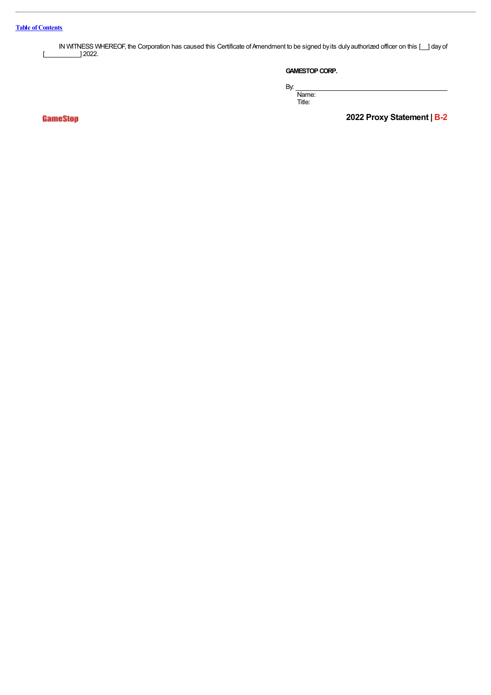IN WITNESS WHEREOF, the Corporation has caused this Certificate of Amendment to be signed by its duly authorized officer on this [ ... ] day of  $\begin{bmatrix} \boxed{2022} \end{bmatrix}$ 

# **GAMESTOP CORP.**

By:

Name: Title:

GameStop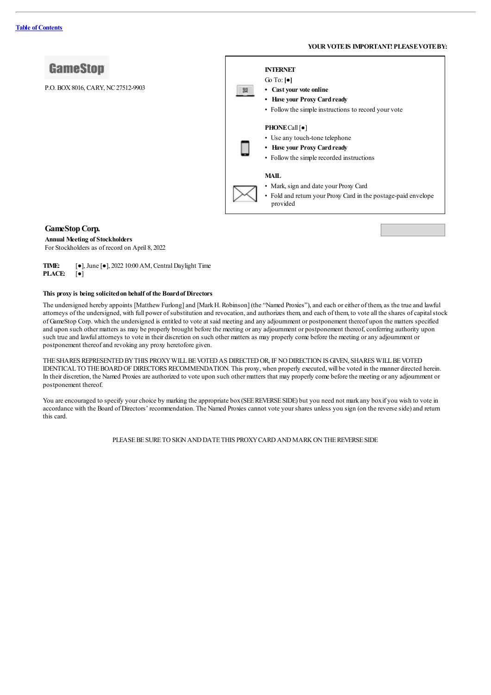#### **YOURVOTEIS IMPORTANT! PLEASEVOTEBY:**



#### **GameStopCorp.**

#### **Annual Meeting of Stockholders**

For Stockholders as of record on April 8, 2022

**TIME:** [●], June [●], 2022 10:00AM, CentralDaylight Time **PLACE:** [●]

#### **This proxy is being solicitedon behalf of the Boardof Directors**

The undersigned hereby appoints [Matthew Furlong] and [Mark H. Robinson] (the "Named Proxies"), and each or either of them, as the true and lawful attorneys of the undersigned, with full power ofsubstitution and revocation,and authorizes them,and each of them, to vote all the shares ofcapitalstock of GameStop Corp. which the undersigned is entitled to vote at said meeting and any adjournment or postponement thereof upon the matters specified and upon such othermatters as may be properly brought before the meeting orany adjournment or postponement thereof,conferring authority upon such true and lawful attorneys to vote in their discretion on such other matters as may properly come before the meeting or any adjournment or postponement thereofand revoking any proxy heretofore given.

THE SHARES REPRESENTED BY THIS PROXY WILL BE VOTED AS DIRECTED OR, IF NO DIRECTION IS GIVEN, SHARES WILL BE VOTED IDENTICALTOTHEBOARDOF DIRECTORS RECOMMENDATION. This proxy, when properly executed, will be voted in the manner directed herein. In their discretion, the Named Proxies are authorized to vote upon such othermatters that may properly come before the meeting orany adjournment or postponement thereof.

You are encouraged to specify your choice by marking the appropriate box (SEE REVERSE SIDE) but you need not mark any box if you wish to vote in accordance with the Board of Directors' recommendation. The Named Proxies cannot vote your shares unless you sign (on the reverse side) and return this card.

PLEASEBESURETOSIGNANDDATETHIS PROXYCARDANDMARKONTHEREVERSESIDE